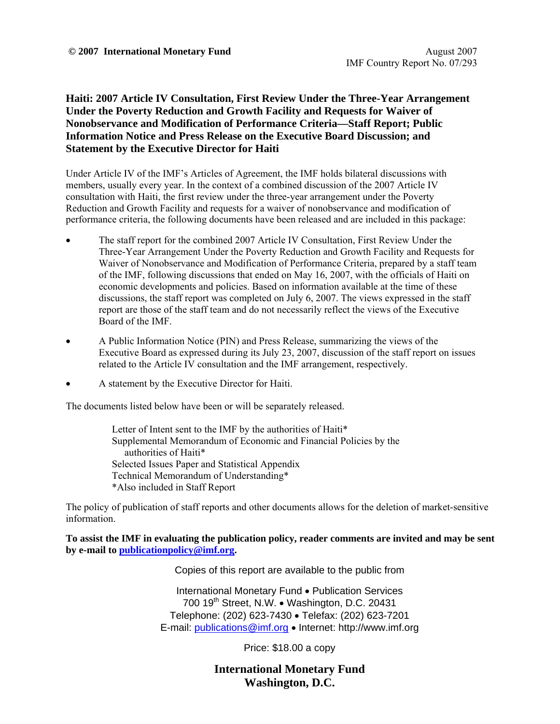## **Haiti: 2007 Article IV Consultation, First Review Under the Three-Year Arrangement Under the Poverty Reduction and Growth Facility and Requests for Waiver of Nonobservance and Modification of Performance Criteria—Staff Report; Public Information Notice and Press Release on the Executive Board Discussion; and Statement by the Executive Director for Haiti**

Under Article IV of the IMF's Articles of Agreement, the IMF holds bilateral discussions with members, usually every year. In the context of a combined discussion of the 2007 Article IV consultation with Haiti, the first review under the three-year arrangement under the Poverty Reduction and Growth Facility and requests for a waiver of nonobservance and modification of performance criteria, the following documents have been released and are included in this package:

- The staff report for the combined 2007 Article IV Consultation, First Review Under the Three-Year Arrangement Under the Poverty Reduction and Growth Facility and Requests for Waiver of Nonobservance and Modification of Performance Criteria, prepared by a staff team of the IMF, following discussions that ended on May 16, 2007, with the officials of Haiti on economic developments and policies. Based on information available at the time of these discussions, the staff report was completed on July 6, 2007. The views expressed in the staff report are those of the staff team and do not necessarily reflect the views of the Executive Board of the IMF.
- A Public Information Notice (PIN) and Press Release, summarizing the views of the Executive Board as expressed during its July 23, 2007, discussion of the staff report on issues related to the Article IV consultation and the IMF arrangement, respectively.
- A statement by the Executive Director for Haiti.

The documents listed below have been or will be separately released.

Letter of Intent sent to the IMF by the authorities of Haiti\* Supplemental Memorandum of Economic and Financial Policies by the authorities of Haiti\* Selected Issues Paper and Statistical Appendix Technical Memorandum of Understanding\* \*Also included in Staff Report

The policy of publication of staff reports and other documents allows for the deletion of market-sensitive information.

**To assist the IMF in evaluating the publication policy, reader comments are invited and may be sent by e-mail to publicationpolicy@imf.org.**

Copies of this report are available to the public from

International Monetary Fund • Publication Services 700 19<sup>th</sup> Street, N.W. • Washington, D.C. 20431 Telephone: (202) 623-7430 • Telefax: (202) 623-7201 E-mail: publications@imf.org • Internet: http://www.imf.org

Price: \$18.00 a copy

**International Monetary Fund Washington, D.C.**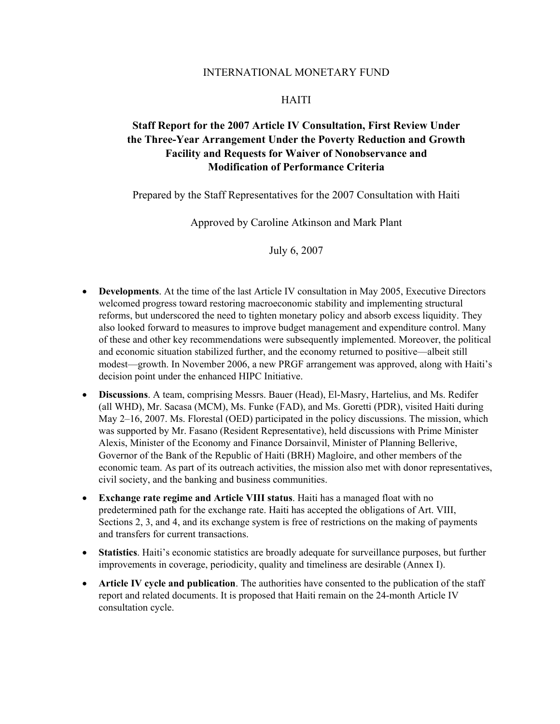### INTERNATIONAL MONETARY FUND

### HAITI

# **Staff Report for the 2007 Article IV Consultation, First Review Under the Three-Year Arrangement Under the Poverty Reduction and Growth Facility and Requests for Waiver of Nonobservance and Modification of Performance Criteria**

Prepared by the Staff Representatives for the 2007 Consultation with Haiti

Approved by Caroline Atkinson and Mark Plant

July 6, 2007

- **Developments**. At the time of the last Article IV consultation in May 2005, Executive Directors welcomed progress toward restoring macroeconomic stability and implementing structural reforms, but underscored the need to tighten monetary policy and absorb excess liquidity. They also looked forward to measures to improve budget management and expenditure control. Many of these and other key recommendations were subsequently implemented. Moreover, the political and economic situation stabilized further, and the economy returned to positive—albeit still modest—growth. In November 2006, a new PRGF arrangement was approved, along with Haiti's decision point under the enhanced HIPC Initiative.
- **Discussions**. A team, comprising Messrs. Bauer (Head), El-Masry, Hartelius, and Ms. Redifer (all WHD), Mr. Sacasa (MCM), Ms. Funke (FAD), and Ms. Goretti (PDR), visited Haiti during May 2–16, 2007. Ms. Florestal (OED) participated in the policy discussions. The mission, which was supported by Mr. Fasano (Resident Representative), held discussions with Prime Minister Alexis, Minister of the Economy and Finance Dorsainvil, Minister of Planning Bellerive, Governor of the Bank of the Republic of Haiti (BRH) Magloire, and other members of the economic team. As part of its outreach activities, the mission also met with donor representatives, civil society, and the banking and business communities.
- **Exchange rate regime and Article VIII status**. Haiti has a managed float with no predetermined path for the exchange rate. Haiti has accepted the obligations of Art. VIII, Sections 2, 3, and 4, and its exchange system is free of restrictions on the making of payments and transfers for current transactions.
- **Statistics**. Haiti's economic statistics are broadly adequate for surveillance purposes, but further improvements in coverage, periodicity, quality and timeliness are desirable (Annex I).
- **Article IV cycle and publication**. The authorities have consented to the publication of the staff report and related documents. It is proposed that Haiti remain on the 24-month Article IV consultation cycle.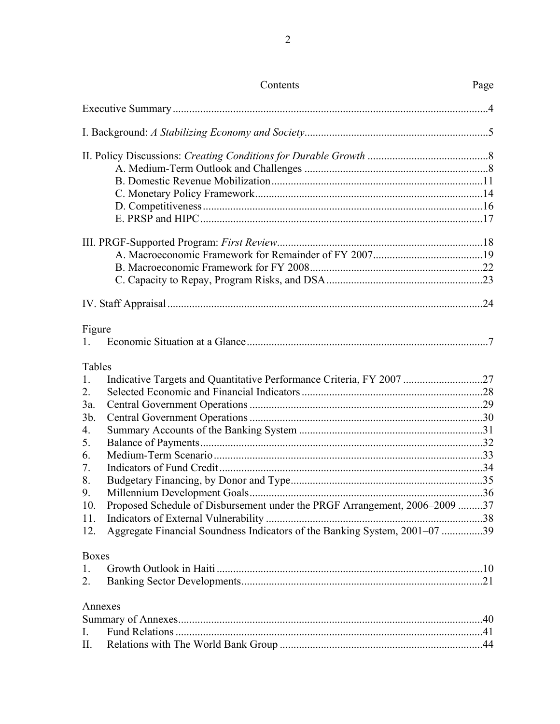|                                                                                                      | Contents                                                                                                                                                                                                                         | Page |
|------------------------------------------------------------------------------------------------------|----------------------------------------------------------------------------------------------------------------------------------------------------------------------------------------------------------------------------------|------|
|                                                                                                      |                                                                                                                                                                                                                                  |      |
|                                                                                                      |                                                                                                                                                                                                                                  |      |
|                                                                                                      |                                                                                                                                                                                                                                  |      |
|                                                                                                      |                                                                                                                                                                                                                                  |      |
|                                                                                                      |                                                                                                                                                                                                                                  |      |
|                                                                                                      |                                                                                                                                                                                                                                  |      |
| Figure<br>$\mathbf{1}$                                                                               |                                                                                                                                                                                                                                  |      |
| Tables<br>1.<br>2.<br>3a.<br>3 <sub>b</sub><br>4.<br>5.<br>6.<br>7.<br>8.<br>9.<br>10.<br>11.<br>12. | Indicative Targets and Quantitative Performance Criteria, FY 2007 27<br>Proposed Schedule of Disbursement under the PRGF Arrangement, 2006-2009 37<br>Aggregate Financial Soundness Indicators of the Banking System, 2001–07 39 |      |
| <b>Boxes</b><br>1.<br>2.<br>Annexes<br>I.<br>П.                                                      |                                                                                                                                                                                                                                  |      |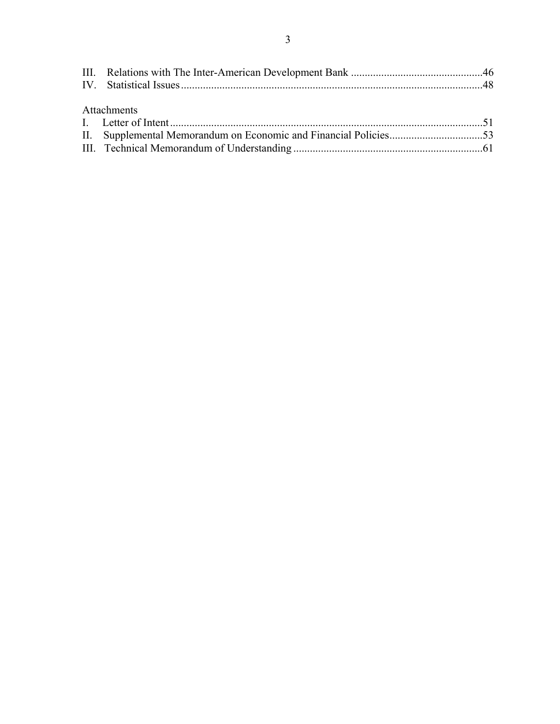| Attachments |  |
|-------------|--|
|             |  |
|             |  |
|             |  |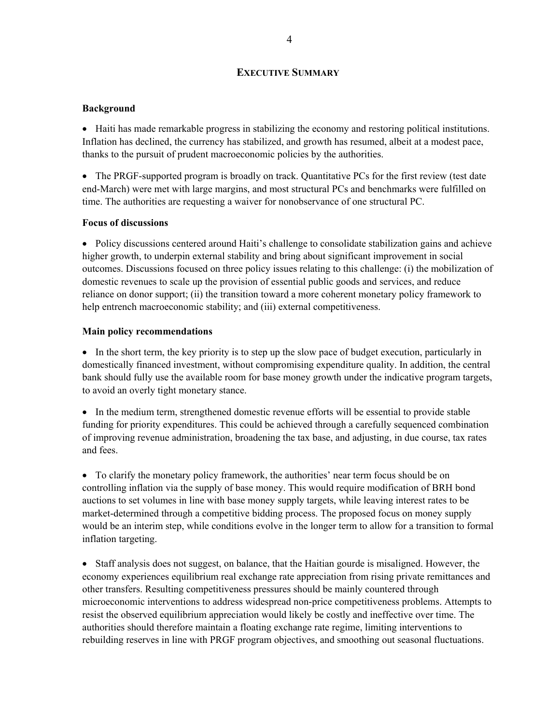### **EXECUTIVE SUMMARY**

### **Background**

• Haiti has made remarkable progress in stabilizing the economy and restoring political institutions. Inflation has declined, the currency has stabilized, and growth has resumed, albeit at a modest pace, thanks to the pursuit of prudent macroeconomic policies by the authorities.

• The PRGF-supported program is broadly on track. Quantitative PCs for the first review (test date end-March) were met with large margins, and most structural PCs and benchmarks were fulfilled on time. The authorities are requesting a waiver for nonobservance of one structural PC.

### **Focus of discussions**

• Policy discussions centered around Haiti's challenge to consolidate stabilization gains and achieve higher growth, to underpin external stability and bring about significant improvement in social outcomes. Discussions focused on three policy issues relating to this challenge: (i) the mobilization of domestic revenues to scale up the provision of essential public goods and services, and reduce reliance on donor support; (ii) the transition toward a more coherent monetary policy framework to help entrench macroeconomic stability; and (iii) external competitiveness.

### **Main policy recommendations**

• In the short term, the key priority is to step up the slow pace of budget execution, particularly in domestically financed investment, without compromising expenditure quality. In addition, the central bank should fully use the available room for base money growth under the indicative program targets, to avoid an overly tight monetary stance.

• In the medium term, strengthened domestic revenue efforts will be essential to provide stable funding for priority expenditures. This could be achieved through a carefully sequenced combination of improving revenue administration, broadening the tax base, and adjusting, in due course, tax rates and fees.

• To clarify the monetary policy framework, the authorities' near term focus should be on controlling inflation via the supply of base money. This would require modification of BRH bond auctions to set volumes in line with base money supply targets, while leaving interest rates to be market-determined through a competitive bidding process. The proposed focus on money supply would be an interim step, while conditions evolve in the longer term to allow for a transition to formal inflation targeting.

• Staff analysis does not suggest, on balance, that the Haitian gourde is misaligned. However, the economy experiences equilibrium real exchange rate appreciation from rising private remittances and other transfers. Resulting competitiveness pressures should be mainly countered through microeconomic interventions to address widespread non-price competitiveness problems. Attempts to resist the observed equilibrium appreciation would likely be costly and ineffective over time. The authorities should therefore maintain a floating exchange rate regime, limiting interventions to rebuilding reserves in line with PRGF program objectives, and smoothing out seasonal fluctuations.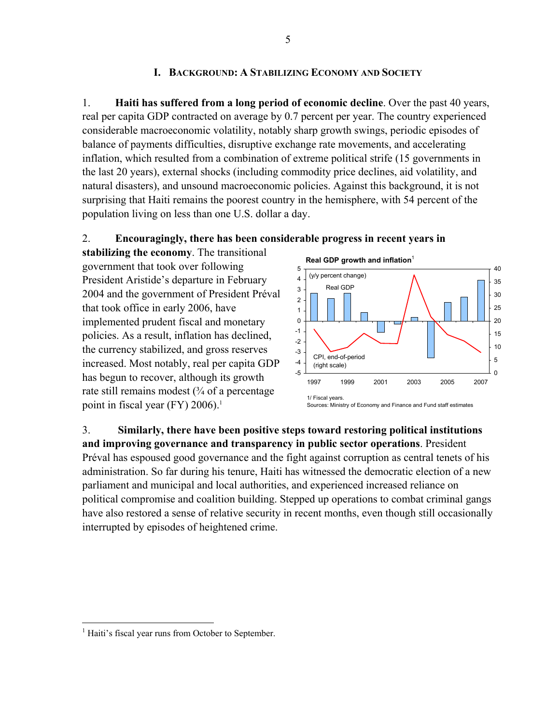## **I. BACKGROUND: A STABILIZING ECONOMY AND SOCIETY**

1. **Haiti has suffered from a long period of economic decline**. Over the past 40 years, real per capita GDP contracted on average by 0.7 percent per year. The country experienced considerable macroeconomic volatility, notably sharp growth swings, periodic episodes of balance of payments difficulties, disruptive exchange rate movements, and accelerating inflation, which resulted from a combination of extreme political strife (15 governments in the last 20 years), external shocks (including commodity price declines, aid volatility, and natural disasters), and unsound macroeconomic policies. Against this background, it is not surprising that Haiti remains the poorest country in the hemisphere, with 54 percent of the population living on less than one U.S. dollar a day.

## 2. **Encouragingly, there has been considerable progress in recent years in**

**stabilizing the economy**. The transitional government that took over following President Aristide's departure in February 2004 and the government of President Préval that took office in early 2006, have implemented prudent fiscal and monetary policies. As a result, inflation has declined, the currency stabilized, and gross reserves increased. Most notably, real per capita GDP has begun to recover, although its growth rate still remains modest  $(3/4)$  of a percentage point in fiscal year (FY) 2006).<sup>1</sup>



Sources: Ministry of Economy and Finance and Fund staff estimates

3. **Similarly, there have been positive steps toward restoring political institutions and improving governance and transparency in public sector operations**. President Préval has espoused good governance and the fight against corruption as central tenets of his administration. So far during his tenure, Haiti has witnessed the democratic election of a new parliament and municipal and local authorities, and experienced increased reliance on political compromise and coalition building. Stepped up operations to combat criminal gangs have also restored a sense of relative security in recent months, even though still occasionally interrupted by episodes of heightened crime.

1

<sup>&</sup>lt;sup>1</sup> Haiti's fiscal year runs from October to September.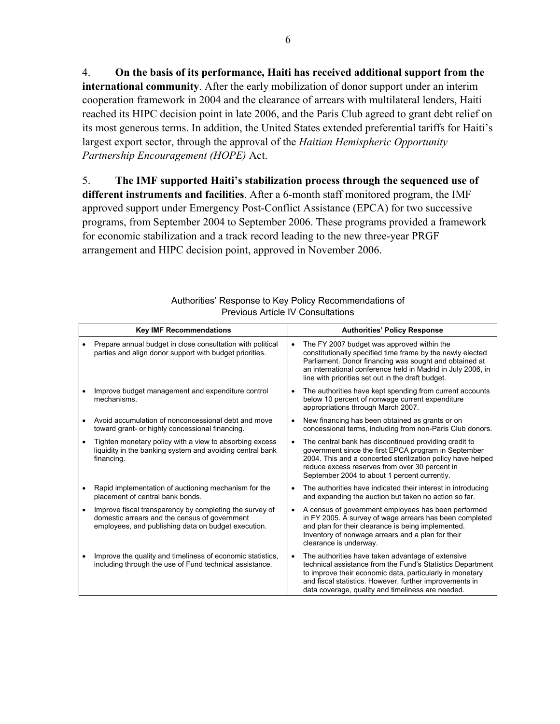4. **On the basis of its performance, Haiti has received additional support from the international community**. After the early mobilization of donor support under an interim cooperation framework in 2004 and the clearance of arrears with multilateral lenders, Haiti reached its HIPC decision point in late 2006, and the Paris Club agreed to grant debt relief on its most generous terms. In addition, the United States extended preferential tariffs for Haiti's largest export sector, through the approval of the *Haitian Hemispheric Opportunity Partnership Encouragement (HOPE)* Act.

5. **The IMF supported Haiti's stabilization process through the sequenced use of different instruments and facilities**. After a 6-month staff monitored program, the IMF approved support under Emergency Post-Conflict Assistance (EPCA) for two successive programs, from September 2004 to September 2006. These programs provided a framework for economic stabilization and a track record leading to the new three-year PRGF arrangement and HIPC decision point, approved in November 2006.

|   | <b>Key IMF Recommendations</b>                                                                                                                                  |           | <b>Authorities' Policy Response</b>                                                                                                                                                                                                                                                         |
|---|-----------------------------------------------------------------------------------------------------------------------------------------------------------------|-----------|---------------------------------------------------------------------------------------------------------------------------------------------------------------------------------------------------------------------------------------------------------------------------------------------|
|   | Prepare annual budget in close consultation with political<br>parties and align donor support with budget priorities.                                           | $\bullet$ | The FY 2007 budget was approved within the<br>constitutionally specified time frame by the newly elected<br>Parliament. Donor financing was sought and obtained at<br>an international conference held in Madrid in July 2006, in<br>line with priorities set out in the draft budget.      |
|   | Improve budget management and expenditure control<br>mechanisms.                                                                                                | ٠         | The authorities have kept spending from current accounts<br>below 10 percent of nonwage current expenditure<br>appropriations through March 2007.                                                                                                                                           |
|   | Avoid accumulation of nonconcessional debt and move<br>toward grant- or highly concessional financing.                                                          | $\bullet$ | New financing has been obtained as grants or on<br>concessional terms, including from non-Paris Club donors.                                                                                                                                                                                |
| ٠ | Tighten monetary policy with a view to absorbing excess<br>liquidity in the banking system and avoiding central bank<br>financing.                              | $\bullet$ | The central bank has discontinued providing credit to<br>government since the first EPCA program in September<br>2004. This and a concerted sterilization policy have helped<br>reduce excess reserves from over 30 percent in<br>September 2004 to about 1 percent currently.              |
|   | Rapid implementation of auctioning mechanism for the<br>placement of central bank bonds.                                                                        | ٠         | The authorities have indicated their interest in introducing<br>and expanding the auction but taken no action so far.                                                                                                                                                                       |
|   | Improve fiscal transparency by completing the survey of<br>domestic arrears and the census of government<br>employees, and publishing data on budget execution. | ٠         | A census of government employees has been performed<br>in FY 2005. A survey of wage arrears has been completed<br>and plan for their clearance is being implemented.<br>Inventory of nonwage arrears and a plan for their<br>clearance is underway.                                         |
|   | Improve the quality and timeliness of economic statistics,<br>including through the use of Fund technical assistance.                                           | $\bullet$ | The authorities have taken advantage of extensive<br>technical assistance from the Fund's Statistics Department<br>to improve their economic data, particularly in monetary<br>and fiscal statistics. However, further improvements in<br>data coverage, quality and timeliness are needed. |

| Authorities' Response to Key Policy Recommendations of |  |
|--------------------------------------------------------|--|
| <b>Previous Article IV Consultations</b>               |  |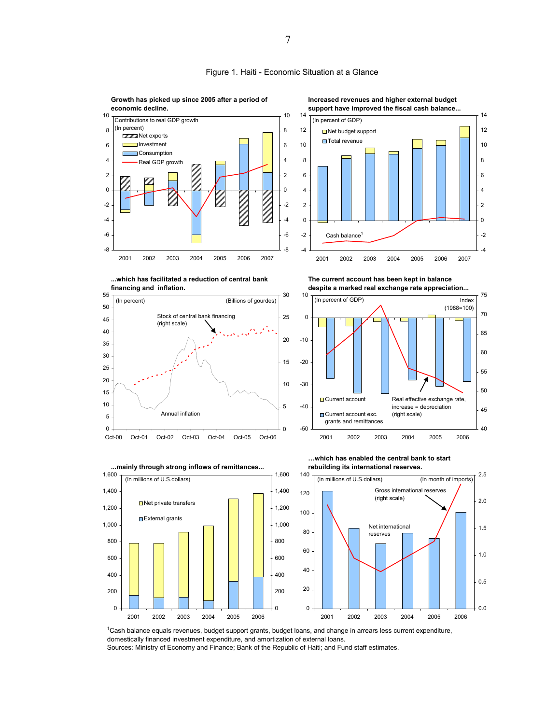

Figure 1. Haiti - Economic Situation at a Glance

**Growth has picked up since 2005 after a period of** 

<sup>1</sup>Cash balance equals revenues, budget support grants, budget loans, and change in arrears less current expenditure, domestically financed investment expenditure, and amortization of external loans. Sources: Ministry of Economy and Finance; Bank of the Republic of Haiti; and Fund staff estimates.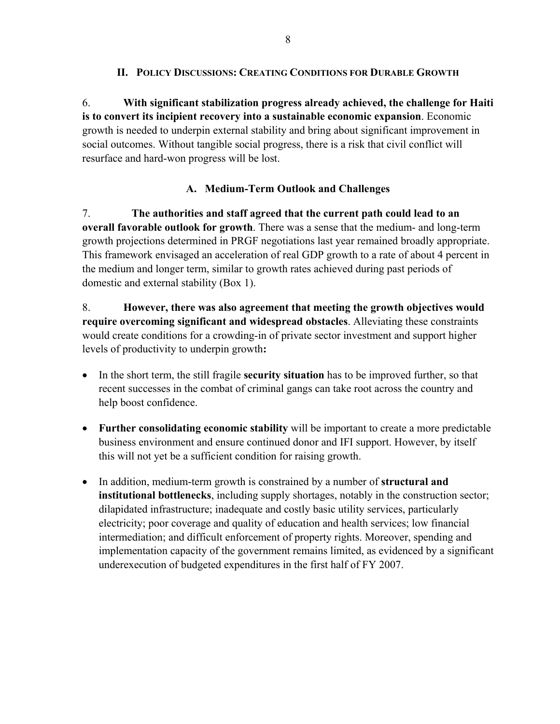## **II. POLICY DISCUSSIONS: CREATING CONDITIONS FOR DURABLE GROWTH**

6. **With significant stabilization progress already achieved, the challenge for Haiti is to convert its incipient recovery into a sustainable economic expansion**. Economic growth is needed to underpin external stability and bring about significant improvement in social outcomes. Without tangible social progress, there is a risk that civil conflict will resurface and hard-won progress will be lost.

## **A. Medium-Term Outlook and Challenges**

7. **The authorities and staff agreed that the current path could lead to an overall favorable outlook for growth**. There was a sense that the medium- and long-term growth projections determined in PRGF negotiations last year remained broadly appropriate. This framework envisaged an acceleration of real GDP growth to a rate of about 4 percent in the medium and longer term, similar to growth rates achieved during past periods of domestic and external stability (Box 1).

8. **However, there was also agreement that meeting the growth objectives would require overcoming significant and widespread obstacles**. Alleviating these constraints would create conditions for a crowding-in of private sector investment and support higher levels of productivity to underpin growth**:** 

- In the short term, the still fragile **security situation** has to be improved further, so that recent successes in the combat of criminal gangs can take root across the country and help boost confidence.
- **Further consolidating economic stability** will be important to create a more predictable business environment and ensure continued donor and IFI support. However, by itself this will not yet be a sufficient condition for raising growth.
- In addition, medium-term growth is constrained by a number of **structural and institutional bottlenecks**, including supply shortages, notably in the construction sector; dilapidated infrastructure; inadequate and costly basic utility services, particularly electricity; poor coverage and quality of education and health services; low financial intermediation; and difficult enforcement of property rights. Moreover, spending and implementation capacity of the government remains limited, as evidenced by a significant underexecution of budgeted expenditures in the first half of FY 2007.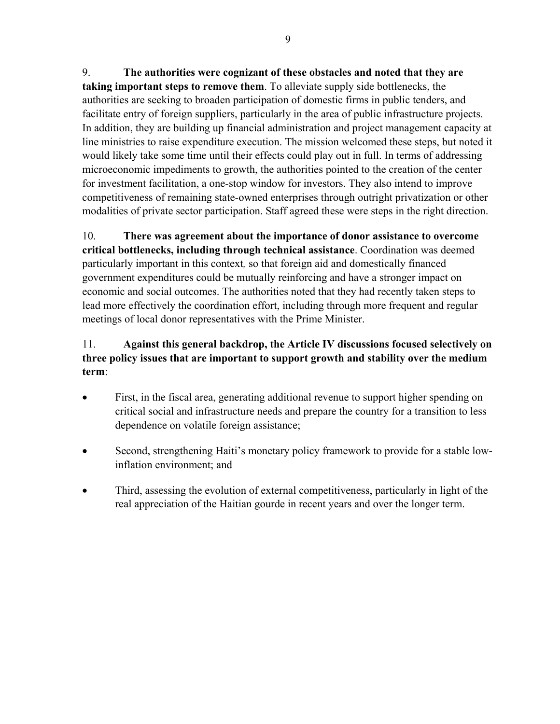9. **The authorities were cognizant of these obstacles and noted that they are taking important steps to remove them**. To alleviate supply side bottlenecks, the authorities are seeking to broaden participation of domestic firms in public tenders, and facilitate entry of foreign suppliers, particularly in the area of public infrastructure projects. In addition, they are building up financial administration and project management capacity at line ministries to raise expenditure execution. The mission welcomed these steps, but noted it would likely take some time until their effects could play out in full. In terms of addressing microeconomic impediments to growth, the authorities pointed to the creation of the center for investment facilitation, a one-stop window for investors. They also intend to improve competitiveness of remaining state-owned enterprises through outright privatization or other modalities of private sector participation. Staff agreed these were steps in the right direction.

10. **There was agreement about the importance of donor assistance to overcome critical bottlenecks, including through technical assistance**. Coordination was deemed particularly important in this context*,* so that foreign aid and domestically financed government expenditures could be mutually reinforcing and have a stronger impact on economic and social outcomes. The authorities noted that they had recently taken steps to lead more effectively the coordination effort, including through more frequent and regular meetings of local donor representatives with the Prime Minister.

# 11. **Against this general backdrop, the Article IV discussions focused selectively on three policy issues that are important to support growth and stability over the medium term**:

- First, in the fiscal area, generating additional revenue to support higher spending on critical social and infrastructure needs and prepare the country for a transition to less dependence on volatile foreign assistance;
- Second, strengthening Haiti's monetary policy framework to provide for a stable lowinflation environment; and
- Third, assessing the evolution of external competitiveness, particularly in light of the real appreciation of the Haitian gourde in recent years and over the longer term.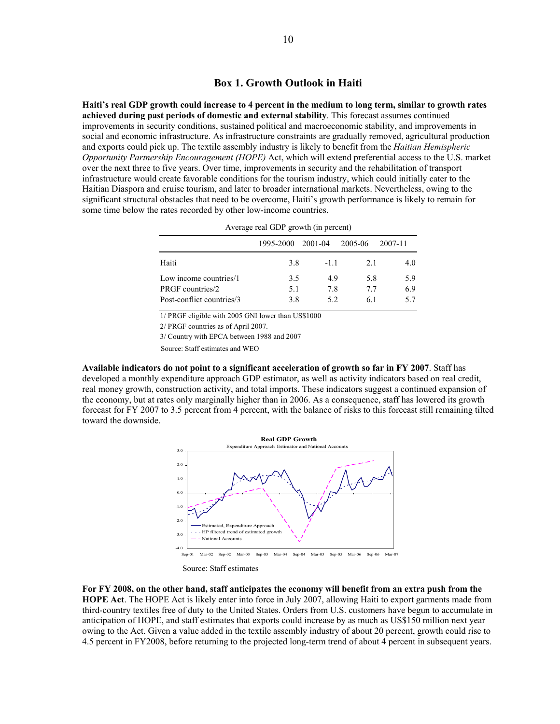**Haiti's real GDP growth could increase to 4 percent in the medium to long term, similar to growth rates achieved during past periods of domestic and external stability**. This forecast assumes continued improvements in security conditions, sustained political and macroeconomic stability, and improvements in social and economic infrastructure. As infrastructure constraints are gradually removed, agricultural production and exports could pick up. The textile assembly industry is likely to benefit from the *Haitian Hemispheric Opportunity Partnership Encouragement (HOPE)* Act, which will extend preferential access to the U.S. market over the next three to five years. Over time, improvements in security and the rehabilitation of transport infrastructure would create favorable conditions for the tourism industry, which could initially cater to the Haitian Diaspora and cruise tourism, and later to broader international markets. Nevertheless, owing to the significant structural obstacles that need to be overcome, Haiti's growth performance is likely to remain for some time below the rates recorded by other low-income countries.

|                           | 1995-2000 2001-04 |       | 2005-06 | 2007-11 |
|---------------------------|-------------------|-------|---------|---------|
| Haiti                     | 3.8               | $-11$ | 2.1     | 4.0     |
| Low income countries/1    | 3.5               | 49    | 5.8     | 5.9     |
| PRGF countries/2          | 5.1               | 7.8   | 77      | 6.9     |
| Post-conflict countries/3 | 3.8               | 52    | 61      | 57      |

Average real GDP growth (in percent)

1/ PRGF eligible with 2005 GNI lower than US\$1000

2/ PRGF countries as of April 2007.

3/ Country with EPCA between 1988 and 2007

Source: Staff estimates and WEO

**Available indicators do not point to a significant acceleration of growth so far in FY 2007**. Staff has developed a monthly expenditure approach GDP estimator, as well as activity indicators based on real credit, real money growth, construction activity, and total imports. These indicators suggest a continued expansion of the economy, but at rates only marginally higher than in 2006. As a consequence, staff has lowered its growth forecast for FY 2007 to 3.5 percent from 4 percent, with the balance of risks to this forecast still remaining tilted toward the downside.



Source: Staff estimates

**For FY 2008, on the other hand, staff anticipates the economy will benefit from an extra push from the HOPE Act**. The HOPE Act is likely enter into force in July 2007, allowing Haiti to export garments made from third-country textiles free of duty to the United States. Orders from U.S. customers have begun to accumulate in anticipation of HOPE, and staff estimates that exports could increase by as much as US\$150 million next year owing to the Act. Given a value added in the textile assembly industry of about 20 percent, growth could rise to 4.5 percent in FY2008, before returning to the projected long-term trend of about 4 percent in subsequent years.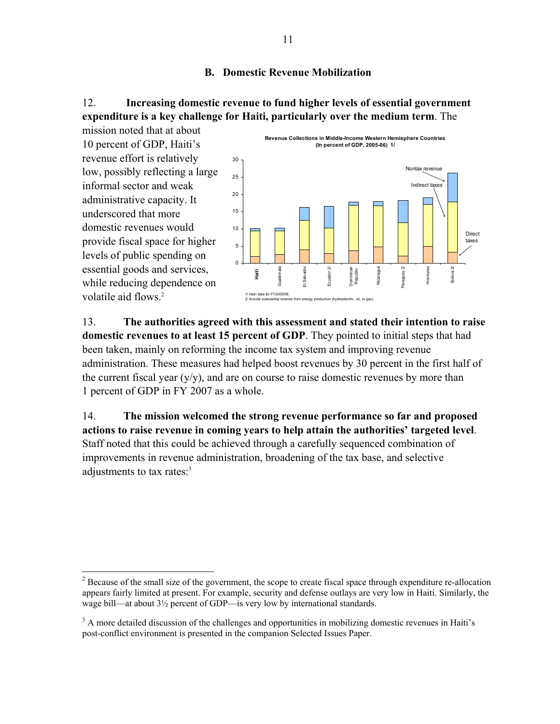## **B. Domestic Revenue Mobilization**

# 12. **Increasing domestic revenue to fund higher levels of essential government expenditure is a key challenge for Haiti, particularly over the medium term**. The



13. **The authorities agreed with this assessment and stated their intention to raise domestic revenues to at least 15 percent of GDP**. They pointed to initial steps that had been taken, mainly on reforming the income tax system and improving revenue administration. These measures had helped boost revenues by 30 percent in the first half of the current fiscal year  $(y/y)$ , and are on course to raise domestic revenues by more than 1 percent of GDP in FY 2007 as a whole.

14. **The mission welcomed the strong revenue performance so far and proposed actions to raise revenue in coming years to help attain the authorities' targeted level**. Staff noted that this could be achieved through a carefully sequenced combination of improvements in revenue administration, broadening of the tax base, and selective adjustments to tax rates:<sup>3</sup>

 $2^2$  Because of the small size of the government, the scope to create fiscal space through expenditure re-allocation appears fairly limited at present. For example, security and defense outlays are very low in Haiti. Similarly, the wage bill—at about 3½ percent of GDP—is very low by international standards.

<sup>&</sup>lt;sup>3</sup> A more detailed discussion of the challenges and opportunities in mobilizing domestic revenues in Haiti's post-conflict environment is presented in the companion Selected Issues Paper.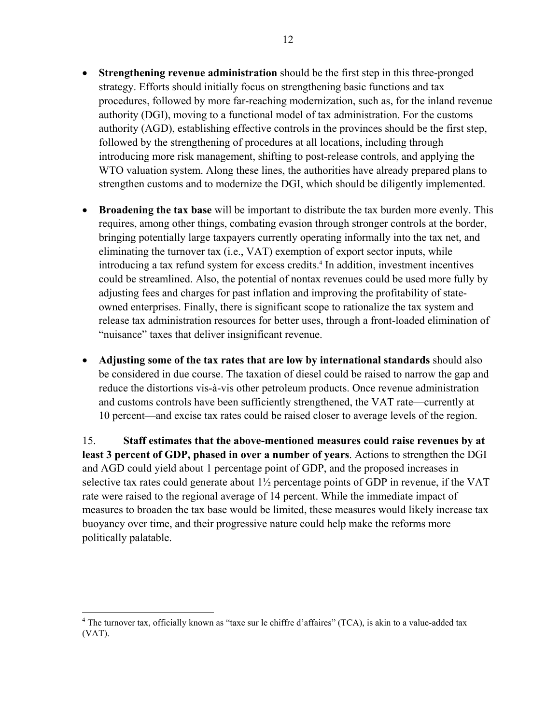- **Strengthening revenue administration** should be the first step in this three-pronged strategy. Efforts should initially focus on strengthening basic functions and tax procedures, followed by more far-reaching modernization, such as, for the inland revenue authority (DGI), moving to a functional model of tax administration. For the customs authority (AGD), establishing effective controls in the provinces should be the first step, followed by the strengthening of procedures at all locations, including through introducing more risk management, shifting to post-release controls, and applying the WTO valuation system. Along these lines, the authorities have already prepared plans to strengthen customs and to modernize the DGI, which should be diligently implemented.
- **Broadening the tax base** will be important to distribute the tax burden more evenly. This requires, among other things, combating evasion through stronger controls at the border, bringing potentially large taxpayers currently operating informally into the tax net, and eliminating the turnover tax (i.e., VAT) exemption of export sector inputs, while introducing a tax refund system for excess credits.<sup>4</sup> In addition, investment incentives could be streamlined. Also, the potential of nontax revenues could be used more fully by adjusting fees and charges for past inflation and improving the profitability of stateowned enterprises. Finally, there is significant scope to rationalize the tax system and release tax administration resources for better uses, through a front-loaded elimination of "nuisance" taxes that deliver insignificant revenue.
- **Adjusting some of the tax rates that are low by international standards** should also be considered in due course. The taxation of diesel could be raised to narrow the gap and reduce the distortions vis-à-vis other petroleum products. Once revenue administration and customs controls have been sufficiently strengthened, the VAT rate—currently at 10 percent—and excise tax rates could be raised closer to average levels of the region.

15. **Staff estimates that the above-mentioned measures could raise revenues by at least 3 percent of GDP, phased in over a number of years**. Actions to strengthen the DGI and AGD could yield about 1 percentage point of GDP, and the proposed increases in selective tax rates could generate about 1½ percentage points of GDP in revenue, if the VAT rate were raised to the regional average of 14 percent. While the immediate impact of measures to broaden the tax base would be limited, these measures would likely increase tax buoyancy over time, and their progressive nature could help make the reforms more politically palatable.

<sup>&</sup>lt;sup>4</sup> The turnover tax, officially known as "taxe sur le chiffre d'affaires" (TCA), is akin to a value-added tax (VAT).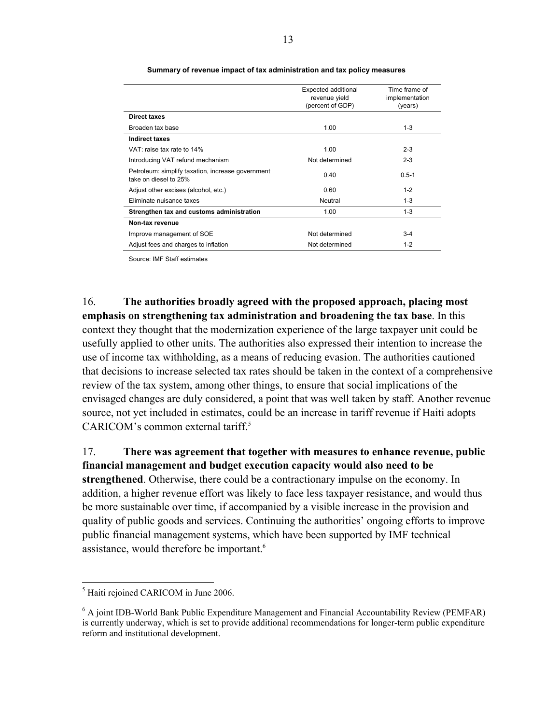|                                                                            | Expected additional<br>revenue yield<br>(percent of GDP) | Time frame of<br>implementation<br>(years) |
|----------------------------------------------------------------------------|----------------------------------------------------------|--------------------------------------------|
| Direct taxes                                                               |                                                          |                                            |
| Broaden tax base                                                           | 1.00                                                     | $1 - 3$                                    |
| <b>Indirect taxes</b>                                                      |                                                          |                                            |
| VAT: raise tax rate to 14%                                                 | 1.00                                                     | $2 - 3$                                    |
| Introducing VAT refund mechanism                                           | Not determined                                           | $2 - 3$                                    |
| Petroleum: simplify taxation, increase government<br>take on diesel to 25% | 0.40                                                     | $0.5 - 1$                                  |
| Adjust other excises (alcohol, etc.)                                       | 0.60                                                     | $1 - 2$                                    |
| Eliminate nuisance taxes                                                   | Neutral                                                  | $1 - 3$                                    |
| Strengthen tax and customs administration                                  | 1.00                                                     | $1 - 3$                                    |
| Non-tax revenue                                                            |                                                          |                                            |
| Improve management of SOE                                                  | Not determined                                           | $3 - 4$                                    |
| Adjust fees and charges to inflation                                       | Not determined                                           | $1 - 2$                                    |

#### **Summary of revenue impact of tax administration and tax policy measures**

Source: IMF Staff estimates

16. **The authorities broadly agreed with the proposed approach, placing most emphasis on strengthening tax administration and broadening the tax base**. In this context they thought that the modernization experience of the large taxpayer unit could be usefully applied to other units. The authorities also expressed their intention to increase the use of income tax withholding, as a means of reducing evasion. The authorities cautioned that decisions to increase selected tax rates should be taken in the context of a comprehensive review of the tax system, among other things, to ensure that social implications of the envisaged changes are duly considered, a point that was well taken by staff. Another revenue source, not yet included in estimates, could be an increase in tariff revenue if Haiti adopts CARICOM's common external tariff.<sup>5</sup>

17. **There was agreement that together with measures to enhance revenue, public financial management and budget execution capacity would also need to be strengthened**. Otherwise, there could be a contractionary impulse on the economy. In addition, a higher revenue effort was likely to face less taxpayer resistance, and would thus be more sustainable over time, if accompanied by a visible increase in the provision and quality of public goods and services. Continuing the authorities' ongoing efforts to improve public financial management systems, which have been supported by IMF technical assistance, would therefore be important.<sup>6</sup>

<u>.</u>

<sup>&</sup>lt;sup>5</sup> Haiti rejoined CARICOM in June 2006.

<sup>&</sup>lt;sup>6</sup> A joint IDB-World Bank Public Expenditure Management and Financial Accountability Review (PEMFAR) is currently underway, which is set to provide additional recommendations for longer-term public expenditure reform and institutional development.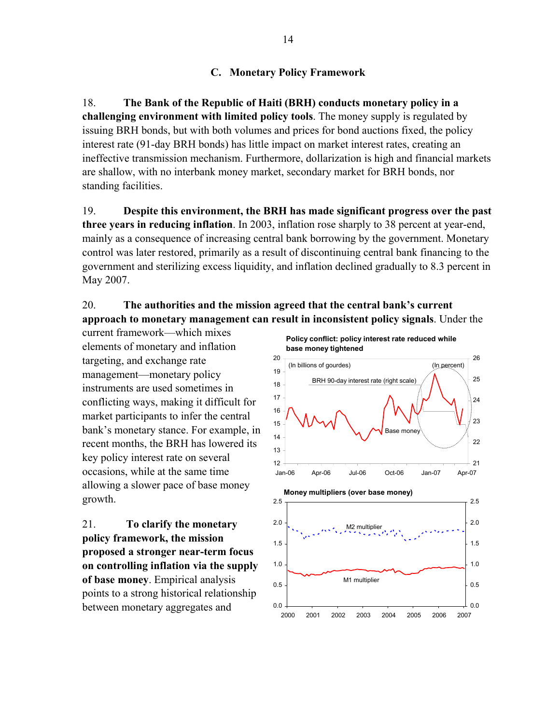## **C. Monetary Policy Framework**

18. **The Bank of the Republic of Haiti (BRH) conducts monetary policy in a challenging environment with limited policy tools**. The money supply is regulated by issuing BRH bonds, but with both volumes and prices for bond auctions fixed, the policy interest rate (91-day BRH bonds) has little impact on market interest rates, creating an ineffective transmission mechanism. Furthermore, dollarization is high and financial markets are shallow, with no interbank money market, secondary market for BRH bonds, nor standing facilities.

19. **Despite this environment, the BRH has made significant progress over the past three years in reducing inflation**. In 2003, inflation rose sharply to 38 percent at year-end, mainly as a consequence of increasing central bank borrowing by the government. Monetary control was later restored, primarily as a result of discontinuing central bank financing to the government and sterilizing excess liquidity, and inflation declined gradually to 8.3 percent in May 2007.

# 20. **The authorities and the mission agreed that the central bank's current approach to monetary management can result in inconsistent policy signals**. Under the

current framework—which mixes elements of monetary and inflation targeting, and exchange rate management—monetary policy instruments are used sometimes in conflicting ways, making it difficult for market participants to infer the central bank's monetary stance. For example, in recent months, the BRH has lowered its key policy interest rate on several occasions, while at the same time allowing a slower pace of base money growth.

21. **To clarify the monetary policy framework, the mission proposed a stronger near-term focus on controlling inflation via the supply of base money**. Empirical analysis points to a strong historical relationship between monetary aggregates and

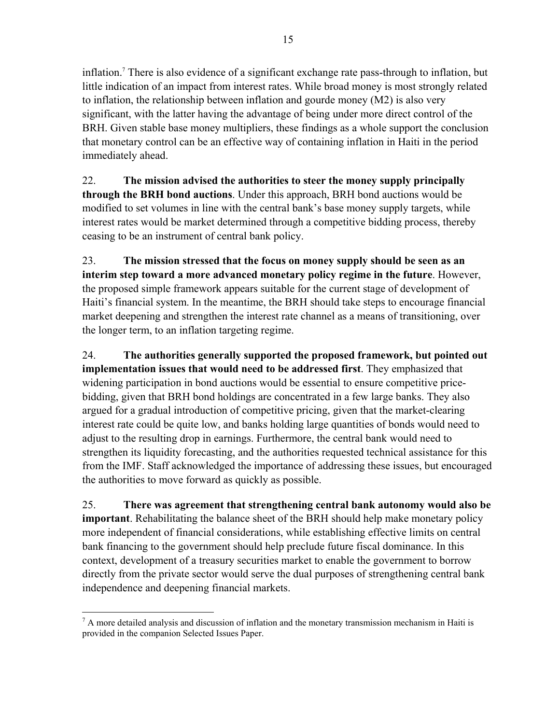inflation.7 There is also evidence of a significant exchange rate pass-through to inflation, but little indication of an impact from interest rates. While broad money is most strongly related to inflation, the relationship between inflation and gourde money (M2) is also very significant, with the latter having the advantage of being under more direct control of the BRH. Given stable base money multipliers, these findings as a whole support the conclusion that monetary control can be an effective way of containing inflation in Haiti in the period immediately ahead.

22. **The mission advised the authorities to steer the money supply principally through the BRH bond auctions**. Under this approach, BRH bond auctions would be modified to set volumes in line with the central bank's base money supply targets, while interest rates would be market determined through a competitive bidding process, thereby ceasing to be an instrument of central bank policy.

23. **The mission stressed that the focus on money supply should be seen as an interim step toward a more advanced monetary policy regime in the future**. However, the proposed simple framework appears suitable for the current stage of development of Haiti's financial system. In the meantime, the BRH should take steps to encourage financial market deepening and strengthen the interest rate channel as a means of transitioning, over the longer term, to an inflation targeting regime.

24. **The authorities generally supported the proposed framework, but pointed out implementation issues that would need to be addressed first**. They emphasized that widening participation in bond auctions would be essential to ensure competitive pricebidding, given that BRH bond holdings are concentrated in a few large banks. They also argued for a gradual introduction of competitive pricing, given that the market-clearing interest rate could be quite low, and banks holding large quantities of bonds would need to adjust to the resulting drop in earnings. Furthermore, the central bank would need to strengthen its liquidity forecasting, and the authorities requested technical assistance for this from the IMF. Staff acknowledged the importance of addressing these issues, but encouraged the authorities to move forward as quickly as possible.

25. **There was agreement that strengthening central bank autonomy would also be important**. Rehabilitating the balance sheet of the BRH should help make monetary policy more independent of financial considerations, while establishing effective limits on central bank financing to the government should help preclude future fiscal dominance. In this context, development of a treasury securities market to enable the government to borrow directly from the private sector would serve the dual purposes of strengthening central bank independence and deepening financial markets.

 $<sup>7</sup>$  A more detailed analysis and discussion of inflation and the monetary transmission mechanism in Haiti is</sup> provided in the companion Selected Issues Paper.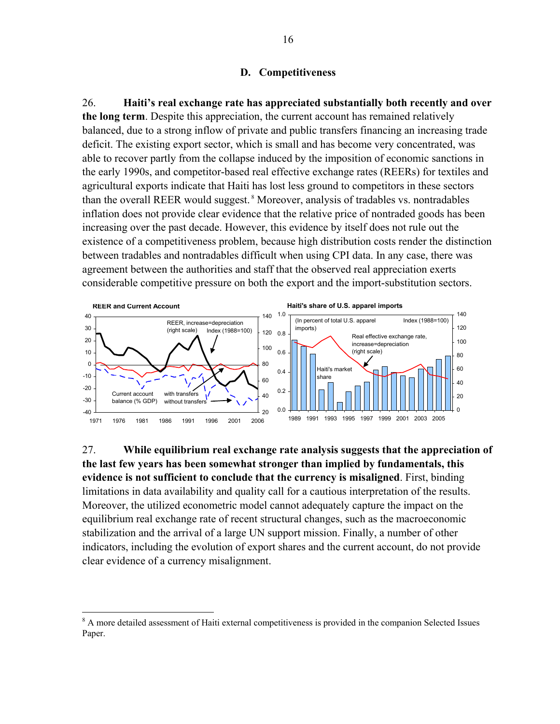### **D. Competitiveness**

26. **Haiti's real exchange rate has appreciated substantially both recently and over the long term**. Despite this appreciation, the current account has remained relatively balanced, due to a strong inflow of private and public transfers financing an increasing trade deficit. The existing export sector, which is small and has become very concentrated, was able to recover partly from the collapse induced by the imposition of economic sanctions in the early 1990s, and competitor-based real effective exchange rates (REERs) for textiles and agricultural exports indicate that Haiti has lost less ground to competitors in these sectors than the overall REER would suggest. 8 Moreover, analysis of tradables vs. nontradables inflation does not provide clear evidence that the relative price of nontraded goods has been increasing over the past decade. However, this evidence by itself does not rule out the existence of a competitiveness problem, because high distribution costs render the distinction between tradables and nontradables difficult when using CPI data. In any case, there was agreement between the authorities and staff that the observed real appreciation exerts considerable competitive pressure on both the export and the import-substitution sectors.



27. **While equilibrium real exchange rate analysis suggests that the appreciation of the last few years has been somewhat stronger than implied by fundamentals, this evidence is not sufficient to conclude that the currency is misaligned**. First, binding limitations in data availability and quality call for a cautious interpretation of the results. Moreover, the utilized econometric model cannot adequately capture the impact on the equilibrium real exchange rate of recent structural changes, such as the macroeconomic stabilization and the arrival of a large UN support mission. Finally, a number of other indicators, including the evolution of export shares and the current account, do not provide clear evidence of a currency misalignment.

<sup>&</sup>lt;sup>8</sup> A more detailed assessment of Haiti external competitiveness is provided in the companion Selected Issues Paper.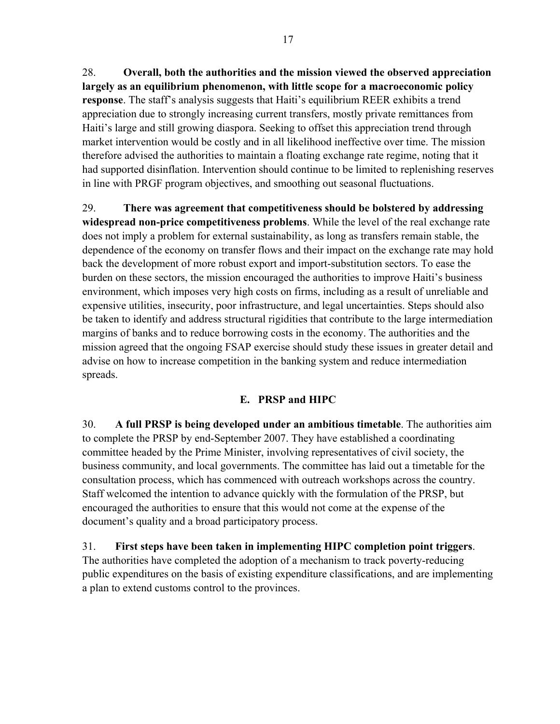28. **Overall, both the authorities and the mission viewed the observed appreciation largely as an equilibrium phenomenon, with little scope for a macroeconomic policy response**. The staff's analysis suggests that Haiti's equilibrium REER exhibits a trend appreciation due to strongly increasing current transfers, mostly private remittances from Haiti's large and still growing diaspora. Seeking to offset this appreciation trend through market intervention would be costly and in all likelihood ineffective over time. The mission therefore advised the authorities to maintain a floating exchange rate regime, noting that it had supported disinflation. Intervention should continue to be limited to replenishing reserves in line with PRGF program objectives, and smoothing out seasonal fluctuations.

29. **There was agreement that competitiveness should be bolstered by addressing widespread non-price competitiveness problems**. While the level of the real exchange rate does not imply a problem for external sustainability, as long as transfers remain stable, the dependence of the economy on transfer flows and their impact on the exchange rate may hold back the development of more robust export and import-substitution sectors. To ease the burden on these sectors, the mission encouraged the authorities to improve Haiti's business environment, which imposes very high costs on firms, including as a result of unreliable and expensive utilities, insecurity, poor infrastructure, and legal uncertainties. Steps should also be taken to identify and address structural rigidities that contribute to the large intermediation margins of banks and to reduce borrowing costs in the economy. The authorities and the mission agreed that the ongoing FSAP exercise should study these issues in greater detail and advise on how to increase competition in the banking system and reduce intermediation spreads.

# **E. PRSP and HIPC**

30. **A full PRSP is being developed under an ambitious timetable**. The authorities aim to complete the PRSP by end-September 2007. They have established a coordinating committee headed by the Prime Minister, involving representatives of civil society, the business community, and local governments. The committee has laid out a timetable for the consultation process, which has commenced with outreach workshops across the country. Staff welcomed the intention to advance quickly with the formulation of the PRSP, but encouraged the authorities to ensure that this would not come at the expense of the document's quality and a broad participatory process.

31. **First steps have been taken in implementing HIPC completion point triggers**. The authorities have completed the adoption of a mechanism to track poverty-reducing public expenditures on the basis of existing expenditure classifications, and are implementing a plan to extend customs control to the provinces.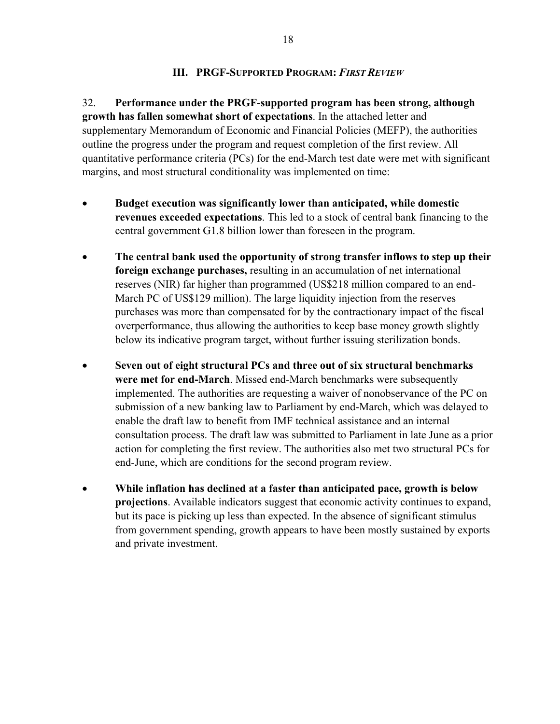## **III. PRGF-SUPPORTED PROGRAM:** *FIRST REVIEW*

32. **Performance under the PRGF-supported program has been strong, although growth has fallen somewhat short of expectations**. In the attached letter and supplementary Memorandum of Economic and Financial Policies (MEFP), the authorities outline the progress under the program and request completion of the first review. All quantitative performance criteria (PCs) for the end-March test date were met with significant margins, and most structural conditionality was implemented on time:

- **Budget execution was significantly lower than anticipated, while domestic revenues exceeded expectations**. This led to a stock of central bank financing to the central government G1.8 billion lower than foreseen in the program.
- **The central bank used the opportunity of strong transfer inflows to step up their foreign exchange purchases,** resulting in an accumulation of net international reserves (NIR) far higher than programmed (US\$218 million compared to an end-March PC of US\$129 million). The large liquidity injection from the reserves purchases was more than compensated for by the contractionary impact of the fiscal overperformance, thus allowing the authorities to keep base money growth slightly below its indicative program target, without further issuing sterilization bonds.
- **Seven out of eight structural PCs and three out of six structural benchmarks were met for end-March**. Missed end-March benchmarks were subsequently implemented. The authorities are requesting a waiver of nonobservance of the PC on submission of a new banking law to Parliament by end-March, which was delayed to enable the draft law to benefit from IMF technical assistance and an internal consultation process. The draft law was submitted to Parliament in late June as a prior action for completing the first review. The authorities also met two structural PCs for end-June, which are conditions for the second program review.
- **While inflation has declined at a faster than anticipated pace, growth is below projections**. Available indicators suggest that economic activity continues to expand, but its pace is picking up less than expected. In the absence of significant stimulus from government spending, growth appears to have been mostly sustained by exports and private investment.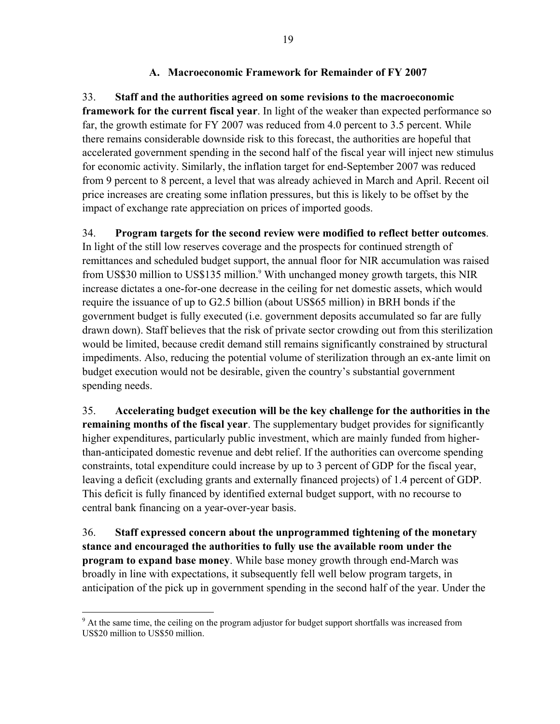## **A. Macroeconomic Framework for Remainder of FY 2007**

33. **Staff and the authorities agreed on some revisions to the macroeconomic framework for the current fiscal year**. In light of the weaker than expected performance so far, the growth estimate for FY 2007 was reduced from 4.0 percent to 3.5 percent. While there remains considerable downside risk to this forecast, the authorities are hopeful that accelerated government spending in the second half of the fiscal year will inject new stimulus for economic activity. Similarly, the inflation target for end-September 2007 was reduced from 9 percent to 8 percent, a level that was already achieved in March and April. Recent oil price increases are creating some inflation pressures, but this is likely to be offset by the impact of exchange rate appreciation on prices of imported goods.

34. **Program targets for the second review were modified to reflect better outcomes**. In light of the still low reserves coverage and the prospects for continued strength of remittances and scheduled budget support, the annual floor for NIR accumulation was raised from US\$30 million to US\$135 million.<sup>9</sup> With unchanged money growth targets, this NIR increase dictates a one-for-one decrease in the ceiling for net domestic assets, which would require the issuance of up to G2.5 billion (about US\$65 million) in BRH bonds if the government budget is fully executed (i.e. government deposits accumulated so far are fully drawn down). Staff believes that the risk of private sector crowding out from this sterilization would be limited, because credit demand still remains significantly constrained by structural impediments. Also, reducing the potential volume of sterilization through an ex-ante limit on budget execution would not be desirable, given the country's substantial government spending needs.

35. **Accelerating budget execution will be the key challenge for the authorities in the remaining months of the fiscal year**. The supplementary budget provides for significantly higher expenditures, particularly public investment, which are mainly funded from higherthan-anticipated domestic revenue and debt relief. If the authorities can overcome spending constraints, total expenditure could increase by up to 3 percent of GDP for the fiscal year, leaving a deficit (excluding grants and externally financed projects) of 1.4 percent of GDP. This deficit is fully financed by identified external budget support, with no recourse to central bank financing on a year-over-year basis.

36. **Staff expressed concern about the unprogrammed tightening of the monetary stance and encouraged the authorities to fully use the available room under the program to expand base money**. While base money growth through end-March was broadly in line with expectations, it subsequently fell well below program targets, in anticipation of the pick up in government spending in the second half of the year. Under the

 $9<sup>9</sup>$  At the same time, the ceiling on the program adjustor for budget support shortfalls was increased from US\$20 million to US\$50 million.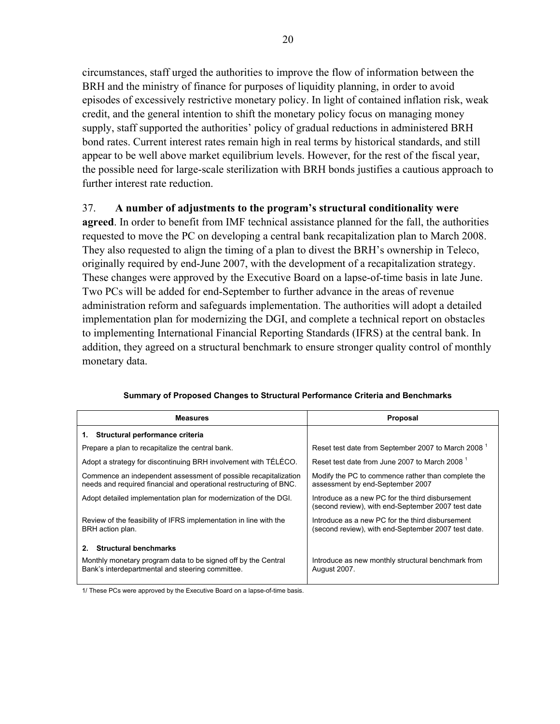circumstances, staff urged the authorities to improve the flow of information between the BRH and the ministry of finance for purposes of liquidity planning, in order to avoid episodes of excessively restrictive monetary policy. In light of contained inflation risk, weak credit, and the general intention to shift the monetary policy focus on managing money supply, staff supported the authorities' policy of gradual reductions in administered BRH bond rates. Current interest rates remain high in real terms by historical standards, and still appear to be well above market equilibrium levels. However, for the rest of the fiscal year, the possible need for large-scale sterilization with BRH bonds justifies a cautious approach to further interest rate reduction.

## 37. **A number of adjustments to the program's structural conditionality were**

**agreed**. In order to benefit from IMF technical assistance planned for the fall, the authorities requested to move the PC on developing a central bank recapitalization plan to March 2008. They also requested to align the timing of a plan to divest the BRH's ownership in Teleco, originally required by end-June 2007, with the development of a recapitalization strategy. These changes were approved by the Executive Board on a lapse-of-time basis in late June. Two PCs will be added for end-September to further advance in the areas of revenue administration reform and safeguards implementation. The authorities will adopt a detailed implementation plan for modernizing the DGI, and complete a technical report on obstacles to implementing International Financial Reporting Standards (IFRS) at the central bank. In addition, they agreed on a structural benchmark to ensure stronger quality control of monthly monetary data.

| <b>Measures</b>                                                                                                                                              | Proposal                                                                                                |  |  |  |
|--------------------------------------------------------------------------------------------------------------------------------------------------------------|---------------------------------------------------------------------------------------------------------|--|--|--|
| 1. Structural performance criteria                                                                                                                           |                                                                                                         |  |  |  |
| Prepare a plan to recapitalize the central bank.                                                                                                             | Reset test date from September 2007 to March 2008                                                       |  |  |  |
| Adopt a strategy for discontinuing BRH involvement with TÉLÉCO.                                                                                              | Reset test date from June 2007 to March 2008 <sup>1</sup>                                               |  |  |  |
| Commence an independent assessment of possible recapitalization<br>needs and required financial and operational restructuring of BNC.                        | Modify the PC to commence rather than complete the<br>assessment by end-September 2007                  |  |  |  |
| Adopt detailed implementation plan for modernization of the DGI.                                                                                             | Introduce as a new PC for the third disbursement<br>(second review), with end-September 2007 test date  |  |  |  |
| Review of the feasibility of IFRS implementation in line with the<br>BRH action plan.                                                                        | Introduce as a new PC for the third disbursement<br>(second review), with end-September 2007 test date. |  |  |  |
| <b>Structural benchmarks</b><br>$2_{-}$<br>Monthly monetary program data to be signed off by the Central<br>Bank's interdepartmental and steering committee. | Introduce as new monthly structural benchmark from<br><b>August 2007.</b>                               |  |  |  |

#### **Summary of Proposed Changes to Structural Performance Criteria and Benchmarks**

1/ These PCs were approved by the Executive Board on a lapse-of-time basis.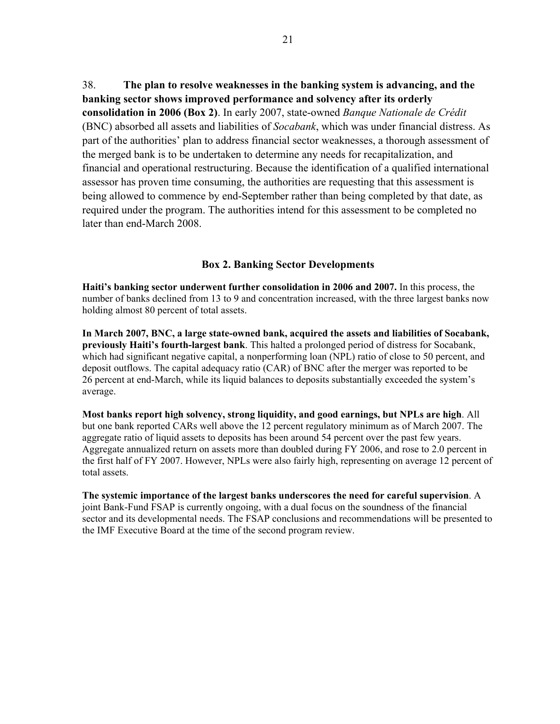38. **The plan to resolve weaknesses in the banking system is advancing, and the banking sector shows improved performance and solvency after its orderly consolidation in 2006 (Box 2)**. In early 2007, state-owned *Banque Nationale de Crédit* (BNC) absorbed all assets and liabilities of *Socabank*, which was under financial distress. As part of the authorities' plan to address financial sector weaknesses, a thorough assessment of the merged bank is to be undertaken to determine any needs for recapitalization, and financial and operational restructuring. Because the identification of a qualified international assessor has proven time consuming, the authorities are requesting that this assessment is being allowed to commence by end-September rather than being completed by that date, as required under the program. The authorities intend for this assessment to be completed no later than end-March 2008.

### **Box 2. Banking Sector Developments**

**Haiti's banking sector underwent further consolidation in 2006 and 2007.** In this process, the number of banks declined from 13 to 9 and concentration increased, with the three largest banks now holding almost 80 percent of total assets.

**In March 2007, BNC, a large state-owned bank, acquired the assets and liabilities of Socabank, previously Haiti's fourth-largest bank**. This halted a prolonged period of distress for Socabank, which had significant negative capital, a nonperforming loan (NPL) ratio of close to 50 percent, and deposit outflows. The capital adequacy ratio (CAR) of BNC after the merger was reported to be 26 percent at end-March, while its liquid balances to deposits substantially exceeded the system's average.

**Most banks report high solvency, strong liquidity, and good earnings, but NPLs are high**. All but one bank reported CARs well above the 12 percent regulatory minimum as of March 2007. The aggregate ratio of liquid assets to deposits has been around 54 percent over the past few years. Aggregate annualized return on assets more than doubled during FY 2006, and rose to 2.0 percent in the first half of FY 2007. However, NPLs were also fairly high, representing on average 12 percent of total assets.

**The systemic importance of the largest banks underscores the need for careful supervision**. A joint Bank-Fund FSAP is currently ongoing, with a dual focus on the soundness of the financial sector and its developmental needs. The FSAP conclusions and recommendations will be presented to the IMF Executive Board at the time of the second program review.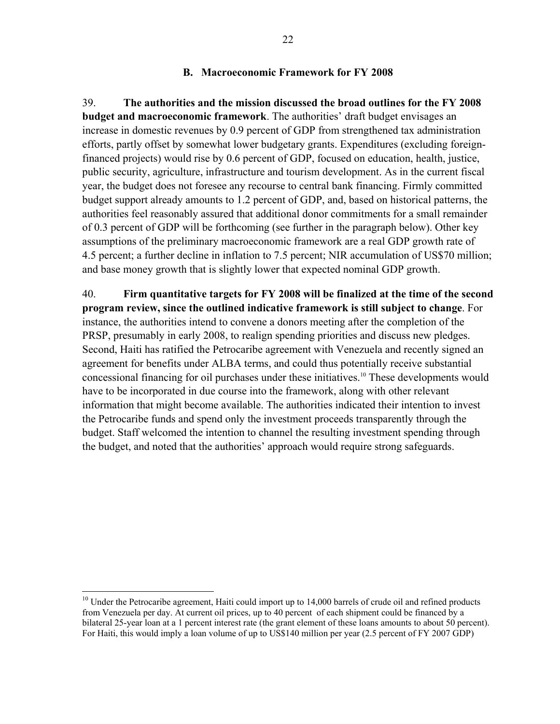### **B. Macroeconomic Framework for FY 2008**

39. **The authorities and the mission discussed the broad outlines for the FY 2008 budget and macroeconomic framework**. The authorities' draft budget envisages an increase in domestic revenues by 0.9 percent of GDP from strengthened tax administration efforts, partly offset by somewhat lower budgetary grants. Expenditures (excluding foreignfinanced projects) would rise by 0.6 percent of GDP, focused on education, health, justice, public security, agriculture, infrastructure and tourism development. As in the current fiscal year, the budget does not foresee any recourse to central bank financing. Firmly committed budget support already amounts to 1.2 percent of GDP, and, based on historical patterns, the authorities feel reasonably assured that additional donor commitments for a small remainder of 0.3 percent of GDP will be forthcoming (see further in the paragraph below). Other key assumptions of the preliminary macroeconomic framework are a real GDP growth rate of 4.5 percent; a further decline in inflation to 7.5 percent; NIR accumulation of US\$70 million; and base money growth that is slightly lower that expected nominal GDP growth.

40. **Firm quantitative targets for FY 2008 will be finalized at the time of the second program review, since the outlined indicative framework is still subject to change**. For instance, the authorities intend to convene a donors meeting after the completion of the PRSP, presumably in early 2008, to realign spending priorities and discuss new pledges. Second, Haiti has ratified the Petrocaribe agreement with Venezuela and recently signed an agreement for benefits under ALBA terms, and could thus potentially receive substantial concessional financing for oil purchases under these initiatives.<sup>10</sup> These developments would have to be incorporated in due course into the framework, along with other relevant information that might become available. The authorities indicated their intention to invest the Petrocaribe funds and spend only the investment proceeds transparently through the budget. Staff welcomed the intention to channel the resulting investment spending through the budget, and noted that the authorities' approach would require strong safeguards.

 $10$  Under the Petrocaribe agreement, Haiti could import up to 14,000 barrels of crude oil and refined products from Venezuela per day. At current oil prices, up to 40 percent of each shipment could be financed by a bilateral 25-year loan at a 1 percent interest rate (the grant element of these loans amounts to about 50 percent). For Haiti, this would imply a loan volume of up to US\$140 million per year (2.5 percent of FY 2007 GDP)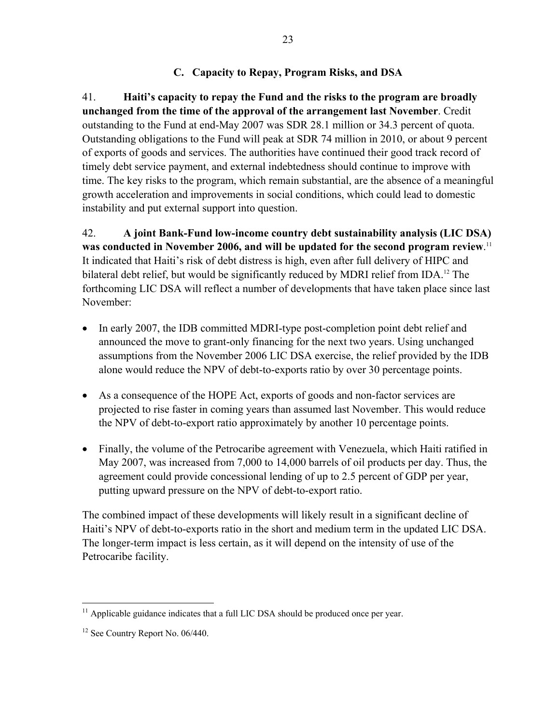## **C. Capacity to Repay, Program Risks, and DSA**

41. **Haiti's capacity to repay the Fund and the risks to the program are broadly unchanged from the time of the approval of the arrangement last November**. Credit outstanding to the Fund at end-May 2007 was SDR 28.1 million or 34.3 percent of quota. Outstanding obligations to the Fund will peak at SDR 74 million in 2010, or about 9 percent of exports of goods and services. The authorities have continued their good track record of timely debt service payment, and external indebtedness should continue to improve with time. The key risks to the program, which remain substantial, are the absence of a meaningful growth acceleration and improvements in social conditions, which could lead to domestic instability and put external support into question.

42. **A joint Bank-Fund low-income country debt sustainability analysis (LIC DSA) was conducted in November 2006, and will be updated for the second program review**. 11 It indicated that Haiti's risk of debt distress is high, even after full delivery of HIPC and bilateral debt relief, but would be significantly reduced by MDRI relief from IDA.<sup>12</sup> The forthcoming LIC DSA will reflect a number of developments that have taken place since last November:

- In early 2007, the IDB committed MDRI-type post-completion point debt relief and announced the move to grant-only financing for the next two years. Using unchanged assumptions from the November 2006 LIC DSA exercise, the relief provided by the IDB alone would reduce the NPV of debt-to-exports ratio by over 30 percentage points.
- As a consequence of the HOPE Act, exports of goods and non-factor services are projected to rise faster in coming years than assumed last November. This would reduce the NPV of debt-to-export ratio approximately by another 10 percentage points.
- Finally, the volume of the Petrocaribe agreement with Venezuela, which Haiti ratified in May 2007, was increased from 7,000 to 14,000 barrels of oil products per day. Thus, the agreement could provide concessional lending of up to 2.5 percent of GDP per year, putting upward pressure on the NPV of debt-to-export ratio.

The combined impact of these developments will likely result in a significant decline of Haiti's NPV of debt-to-exports ratio in the short and medium term in the updated LIC DSA. The longer-term impact is less certain, as it will depend on the intensity of use of the Petrocaribe facility.

<sup>&</sup>lt;sup>11</sup> Applicable guidance indicates that a full LIC DSA should be produced once per year.

<sup>&</sup>lt;sup>12</sup> See Country Report No. 06/440.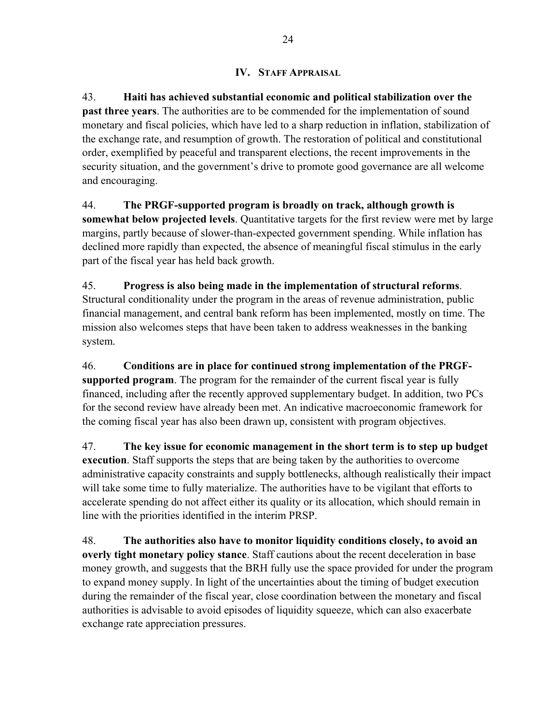## **IV. STAFF APPRAISAL**

43. **Haiti has achieved substantial economic and political stabilization over the past three years**. The authorities are to be commended for the implementation of sound monetary and fiscal policies, which have led to a sharp reduction in inflation, stabilization of the exchange rate, and resumption of growth. The restoration of political and constitutional order, exemplified by peaceful and transparent elections, the recent improvements in the security situation, and the government's drive to promote good governance are all welcome and encouraging.

44. **The PRGF-supported program is broadly on track, although growth is somewhat below projected levels**. Quantitative targets for the first review were met by large margins, partly because of slower-than-expected government spending. While inflation has declined more rapidly than expected, the absence of meaningful fiscal stimulus in the early part of the fiscal year has held back growth.

45. **Progress is also being made in the implementation of structural reforms**. Structural conditionality under the program in the areas of revenue administration, public financial management, and central bank reform has been implemented, mostly on time. The mission also welcomes steps that have been taken to address weaknesses in the banking system.

46. **Conditions are in place for continued strong implementation of the PRGFsupported program**. The program for the remainder of the current fiscal year is fully financed, including after the recently approved supplementary budget. In addition, two PCs for the second review have already been met. An indicative macroeconomic framework for the coming fiscal year has also been drawn up, consistent with program objectives.

47. **The key issue for economic management in the short term is to step up budget execution**. Staff supports the steps that are being taken by the authorities to overcome administrative capacity constraints and supply bottlenecks, although realistically their impact will take some time to fully materialize. The authorities have to be vigilant that efforts to accelerate spending do not affect either its quality or its allocation, which should remain in line with the priorities identified in the interim PRSP.

48. **The authorities also have to monitor liquidity conditions closely, to avoid an overly tight monetary policy stance**. Staff cautions about the recent deceleration in base money growth, and suggests that the BRH fully use the space provided for under the program to expand money supply. In light of the uncertainties about the timing of budget execution during the remainder of the fiscal year, close coordination between the monetary and fiscal authorities is advisable to avoid episodes of liquidity squeeze, which can also exacerbate exchange rate appreciation pressures.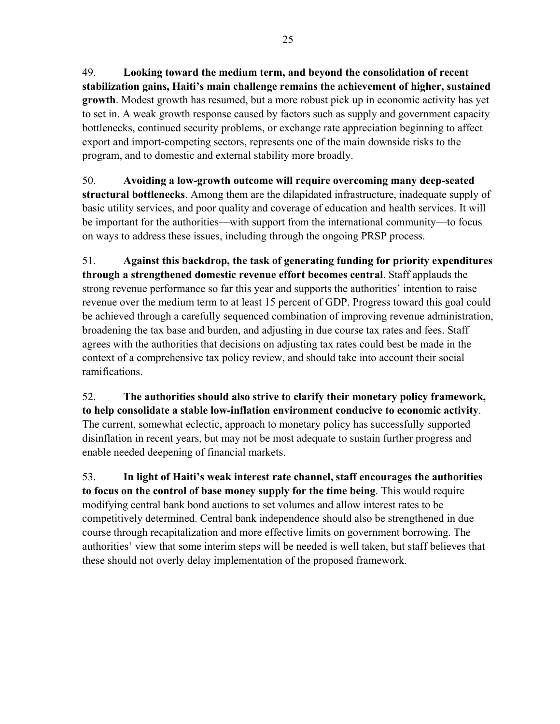49. **Looking toward the medium term, and beyond the consolidation of recent stabilization gains, Haiti's main challenge remains the achievement of higher, sustained growth**. Modest growth has resumed, but a more robust pick up in economic activity has yet to set in. A weak growth response caused by factors such as supply and government capacity bottlenecks, continued security problems, or exchange rate appreciation beginning to affect export and import-competing sectors, represents one of the main downside risks to the program, and to domestic and external stability more broadly.

50. **Avoiding a low-growth outcome will require overcoming many deep-seated structural bottlenecks**. Among them are the dilapidated infrastructure, inadequate supply of basic utility services, and poor quality and coverage of education and health services. It will be important for the authorities—with support from the international community—to focus on ways to address these issues, including through the ongoing PRSP process.

51. **Against this backdrop, the task of generating funding for priority expenditures through a strengthened domestic revenue effort becomes central**. Staff applauds the strong revenue performance so far this year and supports the authorities' intention to raise revenue over the medium term to at least 15 percent of GDP. Progress toward this goal could be achieved through a carefully sequenced combination of improving revenue administration, broadening the tax base and burden, and adjusting in due course tax rates and fees. Staff agrees with the authorities that decisions on adjusting tax rates could best be made in the context of a comprehensive tax policy review, and should take into account their social ramifications.

52. **The authorities should also strive to clarify their monetary policy framework, to help consolidate a stable low-inflation environment conducive to economic activity**. The current, somewhat eclectic, approach to monetary policy has successfully supported disinflation in recent years, but may not be most adequate to sustain further progress and enable needed deepening of financial markets.

53. **In light of Haiti's weak interest rate channel, staff encourages the authorities to focus on the control of base money supply for the time being**. This would require modifying central bank bond auctions to set volumes and allow interest rates to be competitively determined. Central bank independence should also be strengthened in due course through recapitalization and more effective limits on government borrowing. The authorities' view that some interim steps will be needed is well taken, but staff believes that these should not overly delay implementation of the proposed framework.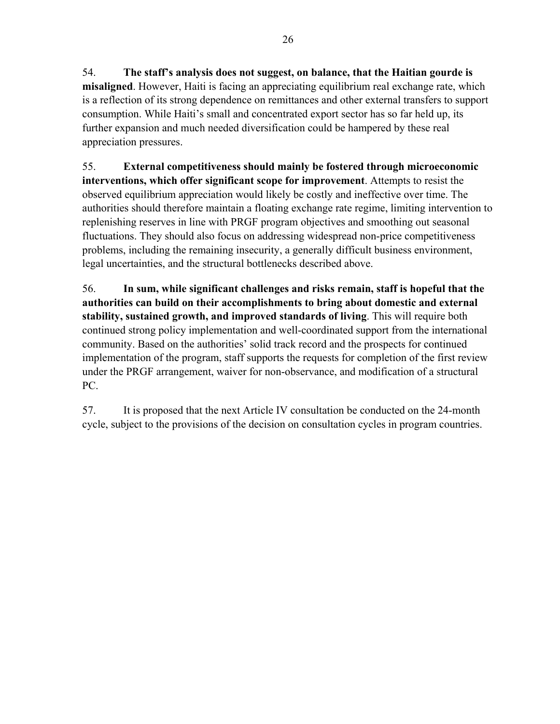54. **The staff's analysis does not suggest, on balance, that the Haitian gourde is misaligned**. However, Haiti is facing an appreciating equilibrium real exchange rate, which

is a reflection of its strong dependence on remittances and other external transfers to support consumption. While Haiti's small and concentrated export sector has so far held up, its further expansion and much needed diversification could be hampered by these real appreciation pressures.

55. **External competitiveness should mainly be fostered through microeconomic interventions, which offer significant scope for improvement**. Attempts to resist the observed equilibrium appreciation would likely be costly and ineffective over time. The authorities should therefore maintain a floating exchange rate regime, limiting intervention to replenishing reserves in line with PRGF program objectives and smoothing out seasonal fluctuations. They should also focus on addressing widespread non-price competitiveness problems, including the remaining insecurity, a generally difficult business environment, legal uncertainties, and the structural bottlenecks described above.

56. **In sum, while significant challenges and risks remain, staff is hopeful that the authorities can build on their accomplishments to bring about domestic and external stability, sustained growth, and improved standards of living**. This will require both continued strong policy implementation and well-coordinated support from the international community. Based on the authorities' solid track record and the prospects for continued implementation of the program, staff supports the requests for completion of the first review under the PRGF arrangement, waiver for non-observance, and modification of a structural PC.

57. It is proposed that the next Article IV consultation be conducted on the 24-month cycle, subject to the provisions of the decision on consultation cycles in program countries.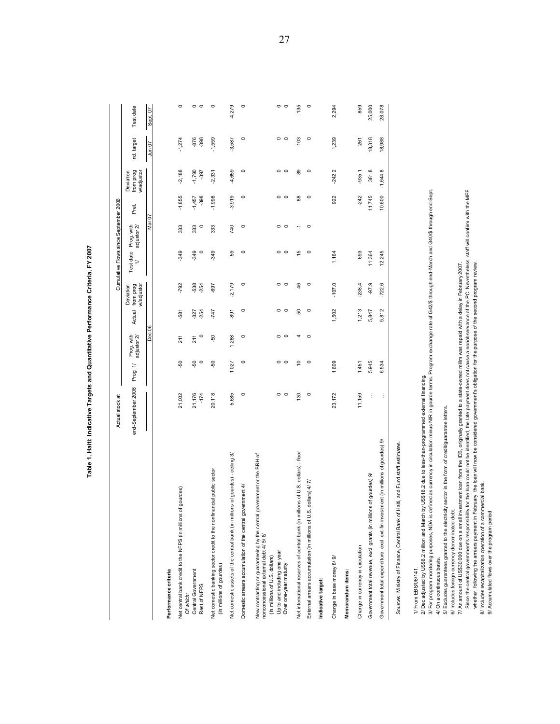|                                                                                                                                                                                                                                                                                                                               | Actual stock at    |                 |                           |                  |                                     | Cumulative Flows since September 2006 |                           |                    |                                      |                  |                 |
|-------------------------------------------------------------------------------------------------------------------------------------------------------------------------------------------------------------------------------------------------------------------------------------------------------------------------------|--------------------|-----------------|---------------------------|------------------|-------------------------------------|---------------------------------------|---------------------------|--------------------|--------------------------------------|------------------|-----------------|
|                                                                                                                                                                                                                                                                                                                               | end-September 2006 | Prog. 1/        | Prog. with<br>adjustor 2/ | Actual           | from prog<br>wadjustor<br>Deviation | Test date<br>$\overline{1}$           | Prog. with<br>adjustor 2/ | Prel.              | from prog<br>w/adjustor<br>Deviation | Ind. target      | Test date       |
|                                                                                                                                                                                                                                                                                                                               |                    |                 | Dec                       |                  |                                     |                                       | Nar                       |                    |                                      | Jun 07           | Sept. 07        |
| Performance criteria                                                                                                                                                                                                                                                                                                          |                    |                 |                           |                  |                                     |                                       |                           |                    |                                      |                  |                 |
| Net central bank credit to the NFPS (in millions of gourdes)                                                                                                                                                                                                                                                                  | 21,002             | Ş,              | 211                       | -581             | -792                                | $-349$                                | 333                       | $-1,855$           | $-2,188$                             | $-1,274$         | $\circ$         |
| Central Government<br>Rest of NFPS<br>Of which:                                                                                                                                                                                                                                                                               | 21,176<br>$-174$   | -50<br>$\circ$  | 211<br>$\circ$            | $-254$<br>$-327$ | $-538$<br>$-254$                    | $-349$<br>$\circ$                     | $\circ$<br>333            | $-398$<br>$-1,457$ | $-1,790$<br>$-397$                   | $-876$<br>$-398$ | $\circ$ $\circ$ |
| cial public sector<br>Net domestic banking sector credit to the nonfinar<br>(in millions of gourdes)                                                                                                                                                                                                                          | 20,118             | $-50$           | Ş,                        | $-747$           | -697                                | $-349$                                | 333                       | $-1,998$           | $-2,331$                             | $-1,559$         | $\circ$         |
| Net domestic assets of the central bank (in millions of gourdes) - ceiling 3/                                                                                                                                                                                                                                                 | 5,685              | 1,027           | 1,288                     | $-891$           | $-2,179$                            | 59                                    | 740                       | $-3,919$           | -4,659                               | $-3,587$         | $-4,279$        |
| Domestic arrears accumulation of the central government 4/                                                                                                                                                                                                                                                                    | $\circ$            | $\circ$         | $\circ$                   | $\circ$          | $\circ$                             | $\circ$                               | $\circ$                   | $\circ$            | $\circ$                              | $\circ$          | $\circ$         |
| New contracting or guaranteeing by the central government or the BRH of<br>nonconcessional external debt 4/ 5/ 6/<br>Up to and including one year<br>(In millions of U.S. dollars)<br>Over one-year maturity                                                                                                                  | $\circ$ $\circ$    | $\circ$ $\circ$ | $\circ$ $\circ$           | $\circ$ $\circ$  | $\circ$ $\circ$                     | $\circ$ $\circ$                       | $\circ$ $\circ$           | $\circ$ $\circ$    | $\circ$ $\circ$                      | $\circ$ $\circ$  | $\circ$ $\circ$ |
| Net international reserves of central bank (in millions of U.S. dollars) - floor                                                                                                                                                                                                                                              | 130                | $\tilde{=}$     | 4                         | 50               | 46                                  | 15                                    | 7                         | $88$               | 89                                   | 103              | 135             |
| dollars) 4/7/<br>External arrears accumulation (in millions of U.S.                                                                                                                                                                                                                                                           | $\circ$            | $\circ$         | $\circ$                   | $\circ$          | $\circ$                             | $\circ$                               | $\circ$                   | $\circ$            | $\circ$                              | $\circ$          | $\circ$         |
| Indicative target:                                                                                                                                                                                                                                                                                                            |                    |                 |                           |                  |                                     |                                       |                           |                    |                                      |                  |                 |
| Change in base money 8/9/                                                                                                                                                                                                                                                                                                     | 23,172             | 1,609           |                           | 1,502            | $-107.0$                            | 1,164                                 |                           | 922                | $-242.2$                             | 1,239            | 2,294           |
| Memorandum items:                                                                                                                                                                                                                                                                                                             |                    |                 |                           |                  |                                     |                                       |                           |                    |                                      |                  |                 |
| Change in currency in circulation                                                                                                                                                                                                                                                                                             | 11,159             | 1,451           |                           | 1,213            | $-238.4$                            | 693                                   |                           | $-242$             | $-935.1$                             | 261              | 859             |
| of gourdes) 9/<br>Government total revenue, excl. grants (in millions                                                                                                                                                                                                                                                         | ÷                  | 5,945           |                           | 5,847            | $-97.9$                             | 11,364                                |                           | 11,745             | 381.8                                | 18,318           | 25,000          |
| nent (in millions of gourdes) 9/<br>Government total expenditure, excl. ext-fin investn                                                                                                                                                                                                                                       | ÷                  | 6,534           |                           | 5,812            | $-722.6$                            | 12,245                                |                           | 10,600             | $-1,644.8$                           | 18,988           | 28,078          |
| Sources: Ministry of Finance, Central Bank of Haiti, and Fund staff estimates.                                                                                                                                                                                                                                                |                    |                 |                           |                  |                                     |                                       |                           |                    |                                      |                  |                 |
| ined as currency in circulation minus NIR in gourde terms. Program exchange rate of G42/\$ through end-March and G40/\$ through end-Sept<br>2/ Dec adjusted by US\$6.2 million and March by US\$16.2 due to less-than-programmed external financing.<br>3/ For program monitoring purposes, NDA is def<br>1/ From EBS/06/141. |                    |                 |                           |                  |                                     |                                       |                           |                    |                                      |                  |                 |
| sector in the form of credit/guarantee letters.<br>5/ Excludes guarantees granted to the electricity<br>4/ On a continuous basis.                                                                                                                                                                                             |                    |                 |                           |                  |                                     |                                       |                           |                    |                                      |                  |                 |
| 7/ An amount of US\$30,000 due on a small investment loan from the IDB, originally granted to a state-owned millm was repaid with a delay in February 2007.<br>6/ Includes foreign currency denominated debt.                                                                                                                 |                    |                 |                           |                  |                                     |                                       |                           |                    |                                      |                  |                 |
| Since the central government's responsibility for the loan could not be identified, the late payment does not cause a nonobservance of the PC. Nevertheless, staff will confirm with the MEF                                                                                                                                  |                    |                 |                           |                  |                                     |                                       |                           |                    |                                      |                  |                 |
| whether, following the arrears payment in February, the loan will now be considered government's obligation for the purpose of the second program review<br>8/ Includes recapitalization operation of a commercial bank.                                                                                                      |                    |                 |                           |                  |                                     |                                       |                           |                    |                                      |                  |                 |
| 9/ Accumulated flows over the program period.                                                                                                                                                                                                                                                                                 |                    |                 |                           |                  |                                     |                                       |                           |                    |                                      |                  |                 |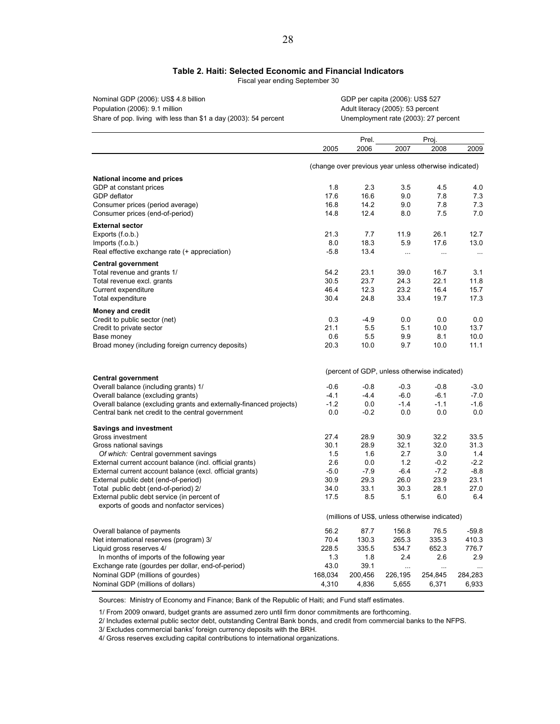### **Table 2. Haiti: Selected Economic and Financial Indicators**

Fiscal year ending September 30

| Nominal GDP (2006): US\$ 4.8 billion                             | GDP.  |
|------------------------------------------------------------------|-------|
| Population (2006): 9.1 million                                   | Adult |
| Share of pop. living with less than \$1 a day (2003): 54 percent | Unem  |

per capita (2006): US\$ 527 literacy (2005): 53 percent nployment rate (2003): 27 percent

Prel. Proj.

|                                                                     | 2005    | 2006                                                   | 2007      | 2008      | 2009     |
|---------------------------------------------------------------------|---------|--------------------------------------------------------|-----------|-----------|----------|
|                                                                     |         | (change over previous year unless otherwise indicated) |           |           |          |
| National income and prices                                          |         |                                                        |           |           |          |
| GDP at constant prices                                              | 1.8     | 2.3                                                    | 3.5       | 4.5       | 4.0      |
| GDP deflator                                                        | 17.6    | 16.6                                                   | 9.0       | 7.8       | 7.3      |
| Consumer prices (period average)                                    | 16.8    | 14.2                                                   | 9.0       | 7.8       | 7.3      |
| Consumer prices (end-of-period)                                     | 14.8    | 12.4                                                   | 8.0       | 7.5       | 7.0      |
| <b>External sector</b>                                              |         |                                                        |           |           |          |
| Exports (f.o.b.)                                                    | 21.3    | 7.7                                                    | 11.9      | 26.1      | 12.7     |
| Imports (f.o.b.)                                                    | 8.0     | 18.3                                                   | 5.9       | 17.6      | 13.0     |
| Real effective exchange rate (+ appreciation)                       | $-5.8$  | 13.4                                                   | $\ddotsc$ | $\ddotsc$ | $\cdots$ |
| <b>Central government</b>                                           |         |                                                        |           |           |          |
| Total revenue and grants 1/                                         | 54.2    | 23.1                                                   | 39.0      | 16.7      | 3.1      |
| Total revenue excl. grants                                          | 30.5    | 23.7                                                   | 24.3      | 22.1      | 11.8     |
| Current expenditure                                                 | 46.4    | 12.3                                                   | 23.2      | 16.4      | 15.7     |
| Total expenditure                                                   | 30.4    | 24.8                                                   | 33.4      | 19.7      | 17.3     |
| <b>Money and credit</b>                                             |         |                                                        |           |           |          |
| Credit to public sector (net)                                       | 0.3     | $-4.9$                                                 | 0.0       | 0.0       | 0.0      |
| Credit to private sector                                            | 21.1    | 5.5                                                    | 5.1       | 10.0      | 13.7     |
| Base money                                                          | 0.6     | 5.5                                                    | 9.9       | 8.1       | 10.0     |
| Broad money (including foreign currency deposits)                   | 20.3    | 10.0                                                   | 9.7       | 10.0      | 11.1     |
|                                                                     |         | (percent of GDP, unless otherwise indicated)           |           |           |          |
| <b>Central government</b>                                           |         |                                                        |           |           |          |
| Overall balance (including grants) 1/                               | $-0.6$  | $-0.8$                                                 | $-0.3$    | $-0.8$    | $-3.0$   |
| Overall balance (excluding grants)                                  | $-4.1$  | $-4.4$                                                 | $-6.0$    | $-6.1$    | $-7.0$   |
| Overall balance (excluding grants and externally-financed projects) | $-1.2$  | 0.0                                                    | $-1.4$    | $-1.1$    | $-1.6$   |
| Central bank net credit to the central government                   | 0.0     | $-0.2$                                                 | 0.0       | 0.0       | 0.0      |
| <b>Savings and investment</b>                                       |         |                                                        |           |           |          |
| Gross investment                                                    | 27.4    | 28.9                                                   | 30.9      | 32.2      | 33.5     |
| Gross national savings                                              | 30.1    | 28.9                                                   | 32.1      | 32.0      | 31.3     |
| Of which: Central government savings                                | 1.5     | 1.6                                                    | 2.7       | 3.0       | 1.4      |
| External current account balance (incl. official grants)            | 2.6     | 0.0                                                    | 1.2       | $-0.2$    | $-2.2$   |
| External current account balance (excl. official grants)            | $-5.0$  | $-7.9$                                                 | $-6.4$    | $-7.2$    | $-8.8$   |
| External public debt (end-of-period)                                | 30.9    | 29.3                                                   | 26.0      | 23.9      | 23.1     |
| Total public debt (end-of-period) 2/                                | 34.0    | 33.1                                                   | 30.3      | 28.1      | 27.0     |
| External public debt service (in percent of                         | 17.5    | 8.5                                                    | 5.1       | 6.0       | 6.4      |
| exports of goods and nonfactor services)                            |         |                                                        |           |           |          |
|                                                                     |         | (millions of US\$, unless otherwise indicated)         |           |           |          |
| Overall balance of payments                                         | 56.2    | 87.7                                                   | 156.8     | 76.5      | $-59.8$  |
| Net international reserves (program) 3/                             | 70.4    | 130.3                                                  | 265.3     | 335.3     | 410.3    |
| Liquid gross reserves 4/                                            | 228.5   | 335.5                                                  | 534.7     | 652.3     | 776.7    |
| In months of imports of the following year                          | 1.3     | 1.8                                                    | 2.4       | 2.6       | 2.9      |
| Exchange rate (gourdes per dollar, end-of-period)                   | 43.0    | 39.1                                                   | $\ldots$  |           |          |
| Nominal GDP (millions of gourdes)                                   | 168,034 | 200,456                                                | 226,195   | 254,845   | 284,283  |
| Nominal GDP (millions of dollars)                                   | 4,310   | 4,836                                                  | 5,655     | 6,371     | 6,933    |

Sources: Ministry of Economy and Finance; Bank of the Republic of Haiti; and Fund staff estimates.

1/ From 2009 onward, budget grants are assumed zero until firm donor commitments are forthcoming.

2/ Includes external public sector debt, outstanding Central Bank bonds, and credit from commercial banks to the NFPS.

3/ Excludes commercial banks' foreign currency deposits with the BRH.

4/ Gross reserves excluding capital contributions to international organizations.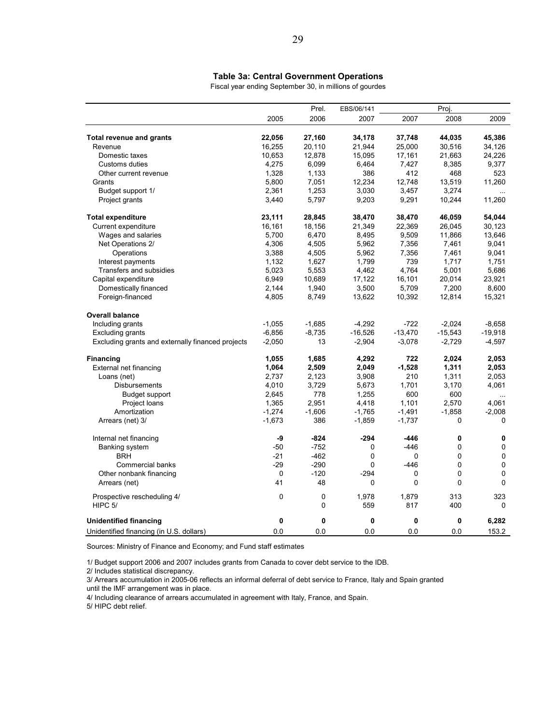### **Table 3a: Central Government Operations**

Fiscal year ending September 30, in millions of gourdes

|                                                   |          | Prel.       | EBS/06/141 |           | Proj.        |           |
|---------------------------------------------------|----------|-------------|------------|-----------|--------------|-----------|
|                                                   | 2005     | 2006        | 2007       | 2007      | 2008         | 2009      |
| <b>Total revenue and grants</b>                   | 22,056   | 27,160      | 34,178     | 37,748    | 44,035       | 45,386    |
| Revenue                                           | 16,255   | 20,110      | 21,944     | 25,000    | 30,516       | 34,126    |
| Domestic taxes                                    | 10,653   | 12,878      | 15,095     | 17,161    | 21,663       | 24,226    |
| Customs duties                                    | 4,275    | 6,099       | 6,464      | 7,427     | 8,385        | 9,377     |
| Other current revenue                             | 1,328    | 1,133       | 386        | 412       | 468          | 523       |
| Grants                                            | 5,800    | 7,051       | 12,234     | 12,748    | 13,519       | 11,260    |
| Budget support 1/                                 | 2,361    | 1,253       | 3,030      | 3,457     | 3,274        |           |
| Project grants                                    | 3,440    | 5,797       | 9,203      | 9,291     | 10,244       | 11,260    |
| <b>Total expenditure</b>                          | 23,111   | 28,845      | 38,470     | 38,470    | 46,059       | 54,044    |
| Current expenditure                               | 16,161   | 18,156      | 21,349     | 22,369    | 26,045       | 30,123    |
| Wages and salaries                                | 5,700    | 6,470       | 8,495      | 9,509     | 11,866       | 13,646    |
| Net Operations 2/                                 | 4,306    | 4,505       | 5,962      | 7,356     | 7,461        | 9,041     |
| Operations                                        | 3,388    | 4,505       | 5,962      | 7,356     | 7,461        | 9,041     |
| Interest payments                                 | 1,132    | 1,627       | 1,799      | 739       | 1,717        | 1,751     |
| Transfers and subsidies                           | 5,023    | 5,553       | 4,462      | 4,764     | 5,001        | 5,686     |
| Capital expenditure                               | 6,949    | 10,689      | 17,122     | 16,101    | 20,014       | 23,921    |
| Domestically financed                             | 2,144    | 1,940       | 3,500      | 5,709     | 7,200        | 8,600     |
| Foreign-financed                                  | 4,805    | 8,749       | 13,622     | 10,392    | 12,814       | 15,321    |
| <b>Overall balance</b>                            |          |             |            |           |              |           |
| Including grants                                  | $-1,055$ | $-1,685$    | $-4,292$   | $-722$    | $-2.024$     | $-8.658$  |
| <b>Excluding grants</b>                           | $-6,856$ | $-8,735$    | $-16,526$  | $-13,470$ | $-15,543$    | $-19,918$ |
| Excluding grants and externally financed projects | $-2,050$ | 13          | $-2,904$   | $-3,078$  | $-2,729$     | $-4,597$  |
| <b>Financing</b>                                  | 1,055    | 1,685       | 4,292      | 722       | 2,024        | 2,053     |
| External net financing                            | 1,064    | 2,509       | 2,049      | $-1,528$  | 1,311        | 2,053     |
| Loans (net)                                       | 2,737    | 2,123       | 3,908      | 210       | 1,311        | 2,053     |
| <b>Disbursements</b>                              | 4,010    | 3,729       | 5,673      | 1,701     | 3,170        | 4,061     |
| Budget support                                    | 2,645    | 778         | 1,255      | 600       | 600          | .         |
| Project loans                                     | 1,365    | 2,951       | 4,418      | 1,101     | 2,570        | 4.061     |
| Amortization                                      | $-1,274$ | $-1,606$    | $-1,765$   | $-1,491$  | $-1,858$     | $-2,008$  |
| Arrears (net) 3/                                  | $-1,673$ | 386         | $-1,859$   | $-1,737$  | $\Omega$     | 0         |
| Internal net financing                            | -9       | $-824$      | $-294$     | -446      | $\mathbf 0$  | 0         |
| Banking system                                    | $-50$    | $-752$      | 0          | $-446$    | $\Omega$     | 0         |
| <b>BRH</b>                                        | $-21$    | $-462$      | 0          | 0         | $\mathbf 0$  | 0         |
| Commercial banks                                  | $-29$    | $-290$      | 0          | $-446$    | 0            | 0         |
| Other nonbank financing                           | 0        | $-120$      | $-294$     | 0         | $\mathbf 0$  | 0         |
| Arrears (net)                                     | 41       | 48          | 0          | 0         | 0            | 0         |
| Prospective rescheduling 4/                       | 0        | 0           | 1,978      | 1,879     | 313          | 323       |
| HIPC 5/                                           |          | $\mathbf 0$ | 559        | 817       | 400          | 0         |
| <b>Unidentified financing</b>                     | 0        | 0           | 0          | 0         | $\mathbf{0}$ | 6,282     |
| Unidentified financing (in U.S. dollars)          | 0.0      | 0.0         | 0.0        | 0.0       | 0.0          | 153.2     |

Sources: Ministry of Finance and Economy; and Fund staff estimates

1/ Budget support 2006 and 2007 includes grants from Canada to cover debt service to the IDB.

2/ Includes statistical discrepancy.

3/ Arrears accumulation in 2005-06 reflects an informal deferral of debt service to France, Italy and Spain granted until the IMF arrangement was in place.

4/ Including clearance of arrears accumulated in agreement with Italy, France, and Spain.

5/ HIPC debt relief.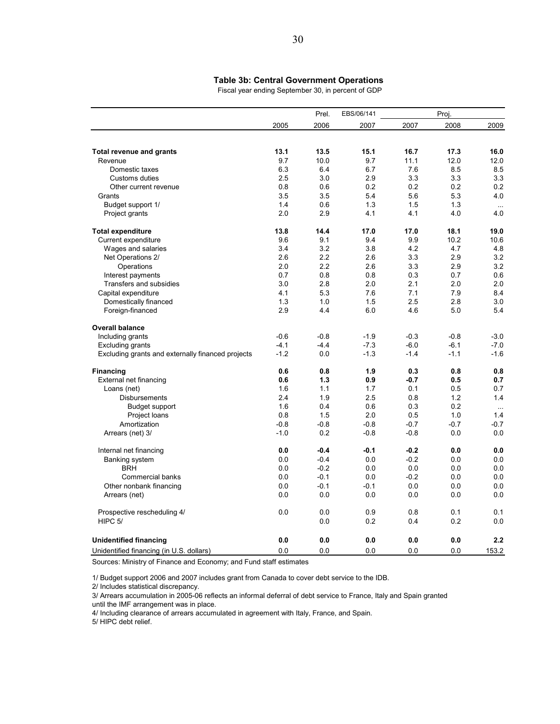#### **Table 3b: Central Government Operations**

Fiscal year ending September 30, in percent of GDP

|                                                   |        | Prel.  | EBS/06/141 |        | Proj.  |           |
|---------------------------------------------------|--------|--------|------------|--------|--------|-----------|
|                                                   | 2005   | 2006   | 2007       | 2007   | 2008   | 2009      |
|                                                   |        |        |            |        |        |           |
| <b>Total revenue and grants</b>                   | 13.1   | 13.5   | 15.1       | 16.7   | 17.3   | 16.0      |
| Revenue                                           | 9.7    | 10.0   | 9.7        | 11.1   | 12.0   | 12.0      |
| Domestic taxes                                    | 6.3    | 6.4    | 6.7        | 7.6    | 8.5    | 8.5       |
| Customs duties                                    | 2.5    | 3.0    | 2.9        | 3.3    | 3.3    | 3.3       |
| Other current revenue                             | 0.8    | 0.6    | 0.2        | 0.2    | 0.2    | 0.2       |
| Grants                                            | 3.5    | 3.5    | 5.4        | 5.6    | 5.3    | 4.0       |
| Budget support 1/                                 | 1.4    | 0.6    | 1.3        | 1.5    | 1.3    | $\ldots$  |
| Project grants                                    | 2.0    | 2.9    | 4.1        | 4.1    | 4.0    | 4.0       |
| <b>Total expenditure</b>                          | 13.8   | 14.4   | 17.0       | 17.0   | 18.1   | 19.0      |
| Current expenditure                               | 9.6    | 9.1    | 9.4        | 9.9    | 10.2   | 10.6      |
| Wages and salaries                                | 3.4    | 3.2    | 3.8        | 4.2    | 4.7    | 4.8       |
| Net Operations 2/                                 | 2.6    | 2.2    | 2.6        | 3.3    | 2.9    | 3.2       |
| Operations                                        | 2.0    | 2.2    | 2.6        | 3.3    | 2.9    | 3.2       |
| Interest payments                                 | 0.7    | 0.8    | 0.8        | 0.3    | 0.7    | 0.6       |
| Transfers and subsidies                           | 3.0    | 2.8    | 2.0        | 2.1    | 2.0    | 2.0       |
| Capital expenditure                               | 4.1    | 5.3    | 7.6        | 7.1    | 7.9    | 8.4       |
| Domestically financed                             | 1.3    | 1.0    | 1.5        | 2.5    | 2.8    | 3.0       |
| Foreign-financed                                  | 2.9    | 4.4    | 6.0        | 4.6    | 5.0    | 5.4       |
| <b>Overall balance</b>                            |        |        |            |        |        |           |
| Including grants                                  | $-0.6$ | $-0.8$ | $-1.9$     | $-0.3$ | $-0.8$ | $-3.0$    |
| <b>Excluding grants</b>                           | $-4.1$ | $-4.4$ | $-7.3$     | $-6.0$ | $-6.1$ | $-7.0$    |
| Excluding grants and externally financed projects | $-1.2$ | 0.0    | $-1.3$     | $-1.4$ | $-1.1$ | $-1.6$    |
| Financing                                         | 0.6    | 0.8    | 1.9        | 0.3    | 0.8    | 0.8       |
| External net financing                            | 0.6    | 1.3    | 0.9        | $-0.7$ | 0.5    | 0.7       |
| Loans (net)                                       | 1.6    | 1.1    | 1.7        | 0.1    | 0.5    | 0.7       |
| <b>Disbursements</b>                              | 2.4    | 1.9    | 2.5        | 0.8    | 1.2    | 1.4       |
| Budget support                                    | 1.6    | 0.4    | 0.6        | 0.3    | 0.2    | $\ddotsc$ |
| Project loans                                     | 0.8    | 1.5    | 2.0        | 0.5    | 1.0    | 1.4       |
| Amortization                                      | $-0.8$ | $-0.8$ | $-0.8$     | $-0.7$ | $-0.7$ | -0.7      |
| Arrears (net) 3/                                  | $-1.0$ | 0.2    | $-0.8$     | $-0.8$ | 0.0    | 0.0       |
| Internal net financing                            | 0.0    | $-0.4$ | $-0.1$     | $-0.2$ | 0.0    | 0.0       |
| <b>Banking system</b>                             | 0.0    | $-0.4$ | 0.0        | $-0.2$ | 0.0    | 0.0       |
| <b>BRH</b>                                        | 0.0    | $-0.2$ | 0.0        | 0.0    | 0.0    | 0.0       |
| Commercial banks                                  | 0.0    | $-0.1$ | 0.0        | $-0.2$ | 0.0    | 0.0       |
| Other nonbank financing                           | 0.0    | $-0.1$ | $-0.1$     | 0.0    | 0.0    | 0.0       |
| Arrears (net)                                     | 0.0    | 0.0    | 0.0        | 0.0    | 0.0    | 0.0       |
| Prospective rescheduling 4/                       | 0.0    | 0.0    | 0.9        | 0.8    | 0.1    | 0.1       |
| HIPC <sub>5</sub> /                               |        | 0.0    | 0.2        | 0.4    | 0.2    | 0.0       |
| <b>Unidentified financing</b>                     | 0.0    | 0.0    | 0.0        | 0.0    | 0.0    | 2.2       |
| Unidentified financing (in U.S. dollars)          | 0.0    | 0.0    | 0.0        | 0.0    | 0.0    | 153.2     |

Sources: Ministry of Finance and Economy; and Fund staff estimates

1/ Budget support 2006 and 2007 includes grant from Canada to cover debt service to the IDB.

2/ Includes statistical discrepancy.

3/ Arrears accumulation in 2005-06 reflects an informal deferral of debt service to France, Italy and Spain granted until the IMF arrangement was in place.

4/ Including clearance of arrears accumulated in agreement with Italy, France, and Spain.

5/ HIPC debt relief.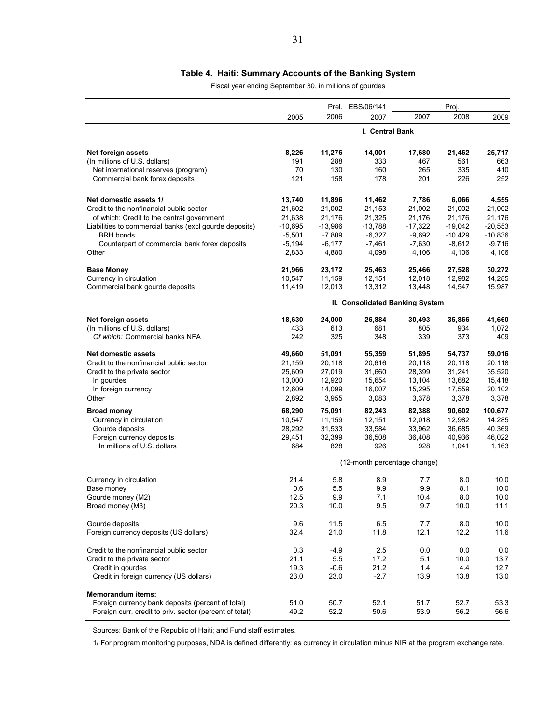### **Table 4. Haiti: Summary Accounts of the Banking System**

Fiscal year ending September 30, in millions of gourdes

|                                                         |                                 |           | Prel. EBS/06/141             | Proj.     |           |           |  |
|---------------------------------------------------------|---------------------------------|-----------|------------------------------|-----------|-----------|-----------|--|
|                                                         | 2005                            | 2006      | 2007                         | 2007      | 2008      | 2009      |  |
|                                                         | I. Central Bank                 |           |                              |           |           |           |  |
| Net foreign assets                                      | 8,226                           | 11,276    | 14,001                       | 17,680    | 21,462    | 25,717    |  |
| (In millions of U.S. dollars)                           | 191                             | 288       | 333                          | 467       | 561       | 663       |  |
| Net international reserves (program)                    | 70                              | 130       | 160                          | 265       | 335       | 410       |  |
| Commercial bank forex deposits                          | 121                             | 158       | 178                          | 201       | 226       | 252       |  |
| Net domestic assets 1/                                  | 13,740                          | 11,896    | 11,462                       | 7,786     | 6,066     | 4,555     |  |
| Credit to the nonfinancial public sector                | 21,602                          | 21,002    | 21,153                       | 21,002    | 21,002    | 21,002    |  |
| of which: Credit to the central government              | 21,638                          | 21,176    | 21,325                       | 21,176    | 21,176    | 21,176    |  |
| Liabilities to commercial banks (excl gourde deposits)  | $-10,695$                       | $-13,986$ | $-13,788$                    | $-17,322$ | $-19,042$ | $-20,553$ |  |
| <b>BRH</b> bonds                                        | $-5,501$                        | $-7,809$  | $-6,327$                     | $-9,692$  | $-10,429$ | $-10,836$ |  |
| Counterpart of commercial bank forex deposits           | $-5,194$                        | $-6,177$  | $-7,461$                     | $-7,630$  | $-8,612$  | $-9,716$  |  |
| Other                                                   | 2,833                           | 4,880     | 4,098                        | 4,106     | 4,106     | 4,106     |  |
| <b>Base Money</b>                                       | 21,966                          | 23,172    | 25,463                       | 25,466    | 27,528    | 30,272    |  |
| Currency in circulation                                 | 10,547                          | 11,159    | 12,151                       | 12,018    | 12,982    | 14,285    |  |
| Commercial bank gourde deposits                         | 11,419                          | 12,013    | 13,312                       | 13,448    | 14,547    | 15,987    |  |
|                                                         | II. Consolidated Banking System |           |                              |           |           |           |  |
| Net foreign assets                                      | 18,630                          | 24,000    | 26,884                       | 30,493    | 35,866    | 41,660    |  |
| (In millions of U.S. dollars)                           | 433                             | 613       | 681                          | 805       | 934       | 1,072     |  |
| Of which: Commercial banks NFA                          | 242                             | 325       | 348                          | 339       | 373       | 409       |  |
| <b>Net domestic assets</b>                              | 49,660                          | 51,091    | 55,359                       | 51,895    | 54,737    | 59,016    |  |
| Credit to the nonfinancial public sector                | 21,159                          | 20,118    | 20,616                       | 20,118    | 20,118    | 20,118    |  |
| Credit to the private sector                            | 25,609                          | 27,019    | 31,660                       | 28,399    | 31,241    | 35,520    |  |
| In gourdes                                              | 13,000                          | 12,920    | 15,654                       | 13,104    | 13,682    | 15,418    |  |
| In foreign currency                                     | 12,609                          | 14,099    | 16,007                       | 15,295    | 17,559    | 20,102    |  |
| Other                                                   | 2,892                           | 3,955     | 3,083                        | 3,378     | 3,378     | 3,378     |  |
| <b>Broad money</b>                                      | 68,290                          | 75,091    | 82,243                       | 82,388    | 90,602    | 100,677   |  |
| Currency in circulation                                 | 10,547                          | 11,159    | 12,151                       | 12,018    | 12,982    | 14,285    |  |
| Gourde deposits                                         | 28,292                          | 31,533    | 33,584                       | 33,962    | 36,685    | 40,369    |  |
| Foreign currency deposits                               | 29,451                          | 32,399    | 36,508                       | 36,408    | 40,936    | 46,022    |  |
| In millions of U.S. dollars                             | 684                             | 828       | 926                          | 928       | 1,041     | 1,163     |  |
|                                                         |                                 |           | (12-month percentage change) |           |           |           |  |
| Currency in circulation                                 | 21.4                            | 5.8       | 8.9                          | 7.7       | 8.0       | 10.0      |  |
| Base money                                              | 0.6                             | 5.5       | 9.9                          | 9.9       | 8.1       | 10.0      |  |
| Gourde money (M2)                                       | 12.5                            | 9.9       | 7.1                          | 10.4      | 8.0       | 10.0      |  |
| Broad money (M3)                                        | 20.3                            | 10.0      | 9.5                          | 9.7       | 10.0      | 11.1      |  |
| Gourde deposits                                         | 9.6                             | 11.5      | 6.5                          | 7.7       | 8.0       | 10.0      |  |
| Foreign currency deposits (US dollars)                  | 32.4                            | 21.0      | 11.8                         | 12.1      | 12.2      | 11.6      |  |
|                                                         |                                 |           |                              |           |           |           |  |
| Credit to the nonfinancial public sector                | 0.3                             | $-4.9$    | 2.5                          | 0.0       | 0.0       | 0.0       |  |
| Credit to the private sector                            | 21.1                            | 5.5       | 17.2                         | 5.1       | 10.0      | 13.7      |  |
| Credit in gourdes                                       | 19.3                            | $-0.6$    | 21.2                         | 1.4       | 4.4       | 12.7      |  |
| Credit in foreign currency (US dollars)                 | 23.0                            | 23.0      | $-2.7$                       | 13.9      | 13.8      | 13.0      |  |
| <b>Memorandum items:</b>                                |                                 |           |                              |           |           |           |  |
| Foreign currency bank deposits (percent of total)       | 51.0                            | 50.7      | 52.1                         | 51.7      | 52.7      | 53.3      |  |
| Foreign curr. credit to priv. sector (percent of total) | 49.2                            | 52.2      | 50.6                         | 53.9      | 56.2      | 56.6      |  |

Sources: Bank of the Republic of Haiti; and Fund staff estimates.

1/ For program monitoring purposes, NDA is defined differently: as currency in circulation minus NIR at the program exchange rate.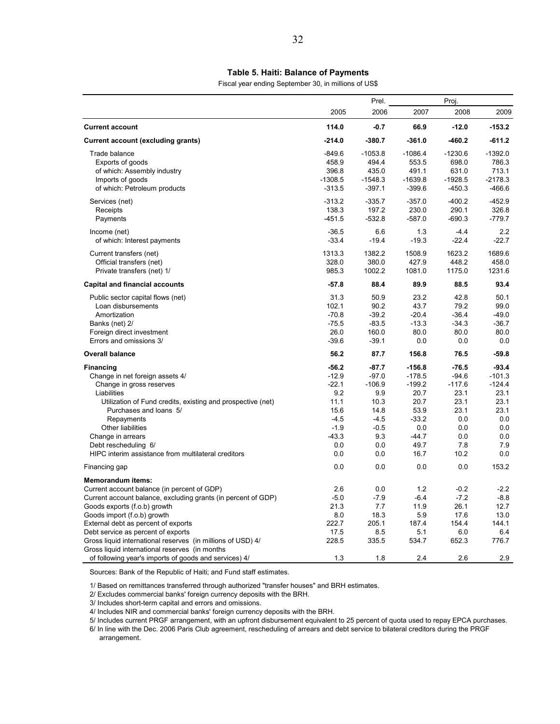#### **Table 5. Haiti: Balance of Payments**

Fiscal year ending September 30, in millions of US\$

|                                                                                                               |           | Prel.        |              |               |              |
|---------------------------------------------------------------------------------------------------------------|-----------|--------------|--------------|---------------|--------------|
|                                                                                                               | 2005      | 2006         | 2007         | Proj.<br>2008 | 2009         |
| <b>Current account</b>                                                                                        | 114.0     | $-0.7$       | 66.9         | $-12.0$       | $-153.2$     |
| Current account (excluding grants)                                                                            | $-214.0$  | $-380.7$     | $-361.0$     | $-460.2$      | $-611.2$     |
| Trade balance                                                                                                 | $-849.6$  | $-1053.8$    | $-1086.4$    | $-1230.6$     | $-1392.0$    |
| Exports of goods                                                                                              | 458.9     | 494.4        | 553.5        | 698.0         | 786.3        |
| of which: Assembly industry                                                                                   | 396.8     | 435.0        | 491.1        | 631.0         | 713.1        |
| Imports of goods                                                                                              | $-1308.5$ | $-1548.3$    | $-1639.8$    | $-1928.5$     | $-2178.3$    |
| of which: Petroleum products                                                                                  | $-313.5$  | $-397.1$     | $-399.6$     | $-450.3$      | $-466.6$     |
| Services (net)                                                                                                | $-313.2$  | $-335.7$     | $-357.0$     | $-400.2$      | $-452.9$     |
| Receipts                                                                                                      | 138.3     | 197.2        | 230.0        | 290.1         | 326.8        |
| Payments                                                                                                      | $-451.5$  | $-532.8$     | $-587.0$     | $-690.3$      | $-779.7$     |
| Income (net)                                                                                                  | $-36.5$   | 6.6          | 1.3          | $-4.4$        | 2.2          |
| of which: Interest payments                                                                                   | $-33.4$   | $-19.4$      | $-19.3$      | $-22.4$       | $-22.7$      |
| Current transfers (net)                                                                                       | 1313.3    | 1382.2       | 1508.9       | 1623.2        | 1689.6       |
| Official transfers (net)                                                                                      | 328.0     | 380.0        | 427.9        | 448.2         | 458.0        |
| Private transfers (net) 1/                                                                                    | 985.3     | 1002.2       | 1081.0       | 1175.0        | 1231.6       |
| <b>Capital and financial accounts</b>                                                                         | $-57.8$   | 88.4         | 89.9         | 88.5          | 93.4         |
| Public sector capital flows (net)                                                                             | 31.3      | 50.9         | 23.2         | 42.8          | 50.1         |
| Loan disbursements                                                                                            | 102.1     | 90.2         | 43.7         | 79.2          | 99.0         |
| Amortization                                                                                                  | $-70.8$   | $-39.2$      | $-20.4$      | $-36.4$       | $-49.0$      |
| Banks (net) 2/                                                                                                | $-75.5$   | $-83.5$      | $-13.3$      | $-34.3$       | $-36.7$      |
| Foreign direct investment                                                                                     | 26.0      | 160.0        | 80.0         | 80.0          | 80.0         |
| Errors and omissions 3/                                                                                       | $-39.6$   | $-39.1$      | 0.0          | 0.0           | 0.0          |
| <b>Overall balance</b>                                                                                        | 56.2      | 87.7         | 156.8        | 76.5          | $-59.8$      |
| <b>Financing</b>                                                                                              | $-56.2$   | $-87.7$      | $-156.8$     | $-76.5$       | $-93.4$      |
| Change in net foreign assets 4/                                                                               | $-12.9$   | $-97.0$      | $-178.5$     | $-94.6$       | $-101.3$     |
| Change in gross reserves                                                                                      | $-22.1$   | $-106.9$     | $-199.2$     | $-117.6$      | $-124.4$     |
| Liabilities                                                                                                   | 9.2       | 9.9          | 20.7         | 23.1          | 23.1         |
| Utilization of Fund credits, existing and prospective (net)                                                   | 11.1      | 10.3         | 20.7         | 23.1          | 23.1         |
| Purchases and loans 5/                                                                                        | 15.6      | 14.8         | 53.9         | 23.1          | 23.1         |
| Repayments                                                                                                    | $-4.5$    | $-4.5$       | $-33.2$      | 0.0           | 0.0          |
| Other liabilities                                                                                             | $-1.9$    | $-0.5$       | 0.0          | 0.0           | 0.0          |
| Change in arrears                                                                                             | $-43.3$   | 9.3          | $-44.7$      | 0.0           | 0.0          |
| Debt rescheduling 6/                                                                                          | 0.0       | 0.0          | 49.7         | 7.8           | 7.9          |
| HIPC interim assistance from multilateral creditors                                                           | 0.0       | 0.0          | 16.7         | 10.2          | 0.0          |
| Financing gap                                                                                                 | 0.0       | 0.0          | 0.0          | 0.0           | 153.2        |
| <b>Memorandum items:</b>                                                                                      |           |              |              |               |              |
| Current account balance (in percent of GDP)                                                                   | 2.6       | 0.0          | 1.2          | $-0.2$        | $-2.2$       |
| Current account balance, excluding grants (in percent of GDP)                                                 | $-5.0$    | $-7.9$       | $-6.4$       | $-7.2$        | $-8.8$       |
| Goods exports (f.o.b) growth                                                                                  | 21.3      | 7.7          | 11.9         | 26.1          | 12.7         |
| Goods import (f.o.b) growth                                                                                   | 8.0       | 18.3         | 5.9          | 17.6          | 13.0         |
| External debt as percent of exports                                                                           | 222.7     | 205.1        | 187.4        | 154.4         | 144.1        |
| Debt service as percent of exports                                                                            | 17.5      | 8.5<br>335.5 | 5.1<br>534.7 | 6.0<br>652.3  | 6.4<br>776.7 |
| Gross liquid international reserves (in millions of USD) 4/<br>Gross liquid international reserves (in months | 228.5     |              |              |               |              |
| of following year's imports of goods and services) 4/                                                         | 1.3       | 1.8          | 2.4          | 2.6           | 2.9          |

Sources: Bank of the Republic of Haiti; and Fund staff estimates.

1/ Based on remittances transferred through authorized "transfer houses" and BRH estimates.

2/ Excludes commercial banks' foreign currency deposits with the BRH.

3/ Includes short-term capital and errors and omissions.

4/ Includes NIR and commercial banks' foreign currency deposits with the BRH.

5/ Includes current PRGF arrangement, with an upfront disbursement equivalent to 25 percent of quota used to repay EPCA purchases.

6/ In line with the Dec. 2006 Paris Club agreement, rescheduling of arrears and debt service to bilateral creditors during the PRGF arrangement.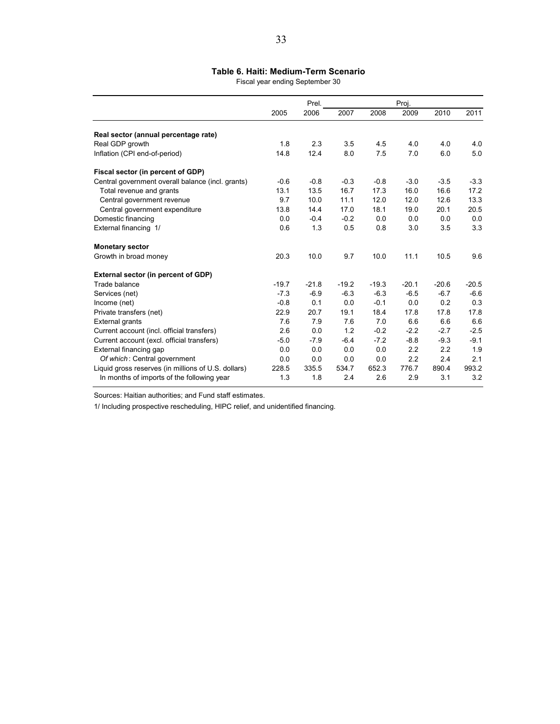### **Table 6. Haiti: Medium-Term Scenario**

Fiscal year ending September 30

|                                                     |         | Prel.   |         |         |         |         |         |
|-----------------------------------------------------|---------|---------|---------|---------|---------|---------|---------|
|                                                     | 2005    | 2006    | 2007    | 2008    | 2009    | 2010    | 2011    |
| Real sector (annual percentage rate)                |         |         |         |         |         |         |         |
| Real GDP growth                                     | 1.8     | 2.3     | 3.5     | 4.5     | 4.0     | 4.0     | 4.0     |
| Inflation (CPI end-of-period)                       | 14.8    | 12.4    | 8.0     | 7.5     | 7.0     | 6.0     | 5.0     |
| Fiscal sector (in percent of GDP)                   |         |         |         |         |         |         |         |
| Central government overall balance (incl. grants)   | $-0.6$  | $-0.8$  | $-0.3$  | $-0.8$  | $-3.0$  | $-3.5$  | $-3.3$  |
| Total revenue and grants                            | 13.1    | 13.5    | 16.7    | 17.3    | 16.0    | 16.6    | 17.2    |
| Central government revenue                          | 9.7     | 10.0    | 11.1    | 12.0    | 12.0    | 12.6    | 13.3    |
| Central government expenditure                      | 13.8    | 14.4    | 17.0    | 18.1    | 19.0    | 20.1    | 20.5    |
| Domestic financing                                  | 0.0     | $-0.4$  | $-0.2$  | 0.0     | 0.0     | 0.0     | 0.0     |
| External financing 1/                               | 0.6     | 1.3     | 0.5     | 0.8     | 3.0     | 3.5     | 3.3     |
| <b>Monetary sector</b>                              |         |         |         |         |         |         |         |
| Growth in broad money                               | 20.3    | 10.0    | 9.7     | 10.0    | 11.1    | 10.5    | 9.6     |
| External sector (in percent of GDP)                 |         |         |         |         |         |         |         |
| Trade balance                                       | $-19.7$ | $-21.8$ | $-19.2$ | $-19.3$ | $-20.1$ | $-20.6$ | $-20.5$ |
| Services (net)                                      | $-7.3$  | $-6.9$  | $-6.3$  | $-6.3$  | $-6.5$  | $-6.7$  | $-6.6$  |
| Income (net)                                        | $-0.8$  | 0.1     | 0.0     | $-0.1$  | 0.0     | 0.2     | 0.3     |
| Private transfers (net)                             | 22.9    | 20.7    | 19.1    | 18.4    | 17.8    | 17.8    | 17.8    |
| <b>External grants</b>                              | 7.6     | 7.9     | 7.6     | 7.0     | 6.6     | 6.6     | 6.6     |
| Current account (incl. official transfers)          | 2.6     | 0.0     | 1.2     | $-0.2$  | $-2.2$  | $-2.7$  | $-2.5$  |
| Current account (excl. official transfers)          | $-5.0$  | $-7.9$  | $-6.4$  | $-7.2$  | $-8.8$  | $-9.3$  | $-9.1$  |
| External financing gap                              | 0.0     | 0.0     | 0.0     | 0.0     | 2.2     | 2.2     | 1.9     |
| Of which: Central government                        | 0.0     | 0.0     | 0.0     | 0.0     | 2.2     | 2.4     | 2.1     |
| Liquid gross reserves (in millions of U.S. dollars) | 228.5   | 335.5   | 534.7   | 652.3   | 776.7   | 890.4   | 993.2   |
| In months of imports of the following year          | 1.3     | 1.8     | 2.4     | 2.6     | 2.9     | 3.1     | 3.2     |

Sources: Haitian authorities; and Fund staff estimates.

1/ Including prospective rescheduling, HIPC relief, and unidentified financing.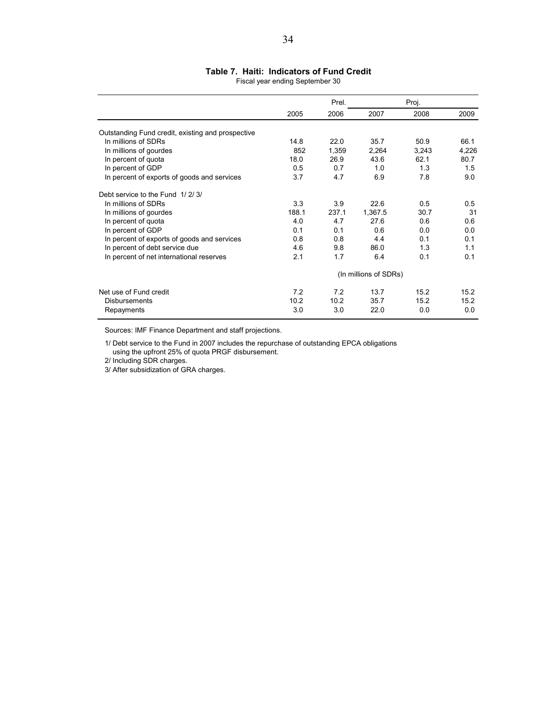#### Fiscal year ending September 30 **Table 7. Haiti: Indicators of Fund Credit**

|                                                   | 2005  |       | Prel.                 |       | Proj. |  |  |  |
|---------------------------------------------------|-------|-------|-----------------------|-------|-------|--|--|--|
|                                                   |       | 2006  | 2007                  | 2008  | 2009  |  |  |  |
| Outstanding Fund credit, existing and prospective |       |       |                       |       |       |  |  |  |
| In millions of SDRs                               | 14.8  | 22.0  | 35.7                  | 50.9  | 66.1  |  |  |  |
| In millions of gourdes                            | 852   | 1,359 | 2,264                 | 3,243 | 4,226 |  |  |  |
| In percent of quota                               | 18.0  | 26.9  | 43.6                  | 62.1  | 80.7  |  |  |  |
| In percent of GDP                                 | 0.5   | 0.7   | 1.0                   | 1.3   | 1.5   |  |  |  |
| In percent of exports of goods and services       | 3.7   | 4.7   | 6.9                   | 7.8   | 9.0   |  |  |  |
| Debt service to the Fund 1/2/3/                   |       |       |                       |       |       |  |  |  |
| In millions of SDRs                               | 3.3   | 3.9   | 22.6                  | 0.5   | 0.5   |  |  |  |
| In millions of gourdes                            | 188.1 | 237.1 | 1,367.5               | 30.7  | 31    |  |  |  |
| In percent of quota                               | 4.0   | 4.7   | 27.6                  | 0.6   | 0.6   |  |  |  |
| In percent of GDP                                 | 0.1   | 0.1   | 0.6                   | 0.0   | 0.0   |  |  |  |
| In percent of exports of goods and services       | 0.8   | 0.8   | 4.4                   | 0.1   | 0.1   |  |  |  |
| In percent of debt service due                    | 4.6   | 9.8   | 86.0                  | 1.3   | 1.1   |  |  |  |
| In percent of net international reserves          | 2.1   | 1.7   | 6.4                   | 0.1   | 0.1   |  |  |  |
|                                                   |       |       | (In millions of SDRs) |       |       |  |  |  |
| Net use of Fund credit                            | 7.2   | 7.2   | 13.7                  | 15.2  | 15.2  |  |  |  |
| <b>Disbursements</b>                              | 10.2  | 10.2  | 35.7                  | 15.2  | 15.2  |  |  |  |
| Repayments                                        | 3.0   | 3.0   | 22.0                  | 0.0   | 0.0   |  |  |  |

Sources: IMF Finance Department and staff projections.

 1/ Debt service to the Fund in 2007 includes the repurchase of outstanding EPCA obligations using the upfront 25% of quota PRGF disbursement.

2/ Including SDR charges.

3/ After subsidization of GRA charges.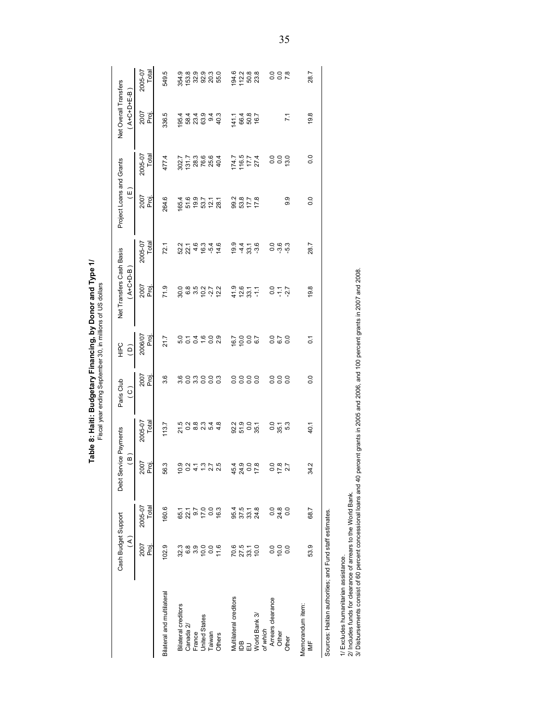| 354.9<br>និង<br>មានដឹង<br>មានដឹង<br>194.6<br>112.2<br>50.8<br>23.8<br>000<br>002<br>2007<br>Proj.<br>19.8<br>336.5<br>5<br>8 3 3 9 9<br>4 9 9 9 9<br>141.1<br>66.4<br>16.7<br>16.7<br>195.4<br>$\overline{71}$<br>Total<br>2005-07<br>$174.7$<br>116.5<br>17.7<br>000<br>000<br>0.0<br>477.4<br>27.4<br>2007<br>Proj.<br>9.9<br>264.6<br>5 9 9 7 7 7<br>5 9 8 2 8 7<br>9<br>9<br>9<br>9<br>5<br>7<br>7<br>9<br>2<br>7<br>9<br>2<br>1<br>2<br><br>0.0<br>65.4<br>2005-07<br>Total<br>2 1 1 9 3 4 6<br>2 3 4 6 5 4 5<br>19.9<br>4 3 3 4<br>4 3 4<br>ဝ ဖ က<br>ဝ ကု ကု<br>28.7<br>72.1<br>2007<br>Proj.<br>0 8 9 9 2 7 2<br>0 8 9 9 2 9 2<br>71.9<br>4287<br>19.8<br>0.7<br>이 구 있<br>2006/07<br>Proj.<br>$\frac{0}{0.1}$<br>21.7<br>16.7<br>10.0<br>10.0<br>$\overline{0}$<br>2007<br>Proj.<br>3.6<br>8 8 8 8 8 9<br>8 9 8 9 9 9<br>000000<br>$\overline{0}$ .<br>000<br>000<br>0.0<br>2005-07<br>Total<br>0 8 9 9 4 8<br>0 8 9 9 4 8<br>21.5<br>92.3<br>51.9<br>$0.0$<br>35.1<br>113.7<br>0 ក្ដ<br>0 ឆ្លូ ឆំ<br>40.1<br>2007<br>Proj.<br>$0.04 - 0.000$<br>$40000$<br>$40000$<br>$4000$<br>0 m<br>0 M<br>0 N<br>56.3<br>34.2<br>2/ Includes funds for clearance of arrears to the World Bank.<br>2005-07<br>Total<br>$0.8$<br>$24.8$<br>160.6<br>0.3<br>24.8<br>$\overline{0}$<br>$0.7$<br>7.0<br>37.5<br>95.4<br>68.7<br>22.1<br>33.1<br>Sources: Haitian authorities; and Fund staff estimates.<br>65.1<br>2007<br>70.6<br>27.5<br>6.8<br>3.9<br>10.0<br>0.0<br>11.6<br>10.0<br>0.0<br>10.0<br>$\overline{0}$<br>53.9<br>proj<br>102.9<br>32.3<br>33.1<br>1/ Excludes humanitarian assistance.<br>Bilateral and multilateral<br>Multilateral creditors<br>Arrears clearance<br>Memorandum item:<br>Bilateral creditors<br>World Bank 3/<br><b>United States</b><br>Canada 2/<br>of which<br>Other<br>France<br>Taiwan<br>Others<br>Other<br>$\geq$<br>ŪВ<br>긊 | Cash Budget Support<br>$\widehat{\mathcal{E}}$ | Debt Service Payments<br>$\overline{a}$ | Paris Club<br>$\widehat{\circ}$ | HIPC<br>H<br>$\overline{c}$ | Net Transfers Cash Basis<br>$A+C+D-B$ | Project Loans and Grants<br>$\widetilde{\Xi}$ | Net Overall Transfers<br>$A+C+D+E-B$ |                  |
|--------------------------------------------------------------------------------------------------------------------------------------------------------------------------------------------------------------------------------------------------------------------------------------------------------------------------------------------------------------------------------------------------------------------------------------------------------------------------------------------------------------------------------------------------------------------------------------------------------------------------------------------------------------------------------------------------------------------------------------------------------------------------------------------------------------------------------------------------------------------------------------------------------------------------------------------------------------------------------------------------------------------------------------------------------------------------------------------------------------------------------------------------------------------------------------------------------------------------------------------------------------------------------------------------------------------------------------------------------------------------------------------------------------------------------------------------------------------------------------------------------------------------------------------------------------------------------------------------------------------------------------------------------------------------------------------------------------------------------------------------------------------------------------------------------------------------------------------------------------|------------------------------------------------|-----------------------------------------|---------------------------------|-----------------------------|---------------------------------------|-----------------------------------------------|--------------------------------------|------------------|
|                                                                                                                                                                                                                                                                                                                                                                                                                                                                                                                                                                                                                                                                                                                                                                                                                                                                                                                                                                                                                                                                                                                                                                                                                                                                                                                                                                                                                                                                                                                                                                                                                                                                                                                                                                                                                                                              |                                                |                                         |                                 |                             |                                       |                                               |                                      | 2005-07<br>Total |
|                                                                                                                                                                                                                                                                                                                                                                                                                                                                                                                                                                                                                                                                                                                                                                                                                                                                                                                                                                                                                                                                                                                                                                                                                                                                                                                                                                                                                                                                                                                                                                                                                                                                                                                                                                                                                                                              |                                                |                                         |                                 |                             |                                       |                                               |                                      | 549.5            |
|                                                                                                                                                                                                                                                                                                                                                                                                                                                                                                                                                                                                                                                                                                                                                                                                                                                                                                                                                                                                                                                                                                                                                                                                                                                                                                                                                                                                                                                                                                                                                                                                                                                                                                                                                                                                                                                              |                                                |                                         |                                 |                             |                                       |                                               |                                      |                  |
|                                                                                                                                                                                                                                                                                                                                                                                                                                                                                                                                                                                                                                                                                                                                                                                                                                                                                                                                                                                                                                                                                                                                                                                                                                                                                                                                                                                                                                                                                                                                                                                                                                                                                                                                                                                                                                                              |                                                |                                         |                                 |                             |                                       |                                               |                                      |                  |
|                                                                                                                                                                                                                                                                                                                                                                                                                                                                                                                                                                                                                                                                                                                                                                                                                                                                                                                                                                                                                                                                                                                                                                                                                                                                                                                                                                                                                                                                                                                                                                                                                                                                                                                                                                                                                                                              |                                                |                                         |                                 |                             |                                       |                                               |                                      |                  |
|                                                                                                                                                                                                                                                                                                                                                                                                                                                                                                                                                                                                                                                                                                                                                                                                                                                                                                                                                                                                                                                                                                                                                                                                                                                                                                                                                                                                                                                                                                                                                                                                                                                                                                                                                                                                                                                              |                                                |                                         |                                 |                             |                                       |                                               |                                      |                  |
|                                                                                                                                                                                                                                                                                                                                                                                                                                                                                                                                                                                                                                                                                                                                                                                                                                                                                                                                                                                                                                                                                                                                                                                                                                                                                                                                                                                                                                                                                                                                                                                                                                                                                                                                                                                                                                                              |                                                |                                         |                                 |                             |                                       |                                               |                                      |                  |
|                                                                                                                                                                                                                                                                                                                                                                                                                                                                                                                                                                                                                                                                                                                                                                                                                                                                                                                                                                                                                                                                                                                                                                                                                                                                                                                                                                                                                                                                                                                                                                                                                                                                                                                                                                                                                                                              |                                                |                                         |                                 |                             |                                       |                                               |                                      |                  |
|                                                                                                                                                                                                                                                                                                                                                                                                                                                                                                                                                                                                                                                                                                                                                                                                                                                                                                                                                                                                                                                                                                                                                                                                                                                                                                                                                                                                                                                                                                                                                                                                                                                                                                                                                                                                                                                              |                                                |                                         |                                 |                             |                                       |                                               |                                      |                  |
|                                                                                                                                                                                                                                                                                                                                                                                                                                                                                                                                                                                                                                                                                                                                                                                                                                                                                                                                                                                                                                                                                                                                                                                                                                                                                                                                                                                                                                                                                                                                                                                                                                                                                                                                                                                                                                                              |                                                |                                         |                                 |                             |                                       |                                               |                                      |                  |
|                                                                                                                                                                                                                                                                                                                                                                                                                                                                                                                                                                                                                                                                                                                                                                                                                                                                                                                                                                                                                                                                                                                                                                                                                                                                                                                                                                                                                                                                                                                                                                                                                                                                                                                                                                                                                                                              |                                                |                                         |                                 |                             |                                       |                                               |                                      |                  |
|                                                                                                                                                                                                                                                                                                                                                                                                                                                                                                                                                                                                                                                                                                                                                                                                                                                                                                                                                                                                                                                                                                                                                                                                                                                                                                                                                                                                                                                                                                                                                                                                                                                                                                                                                                                                                                                              |                                                |                                         |                                 |                             |                                       |                                               |                                      |                  |
|                                                                                                                                                                                                                                                                                                                                                                                                                                                                                                                                                                                                                                                                                                                                                                                                                                                                                                                                                                                                                                                                                                                                                                                                                                                                                                                                                                                                                                                                                                                                                                                                                                                                                                                                                                                                                                                              |                                                |                                         |                                 |                             |                                       |                                               |                                      |                  |
|                                                                                                                                                                                                                                                                                                                                                                                                                                                                                                                                                                                                                                                                                                                                                                                                                                                                                                                                                                                                                                                                                                                                                                                                                                                                                                                                                                                                                                                                                                                                                                                                                                                                                                                                                                                                                                                              |                                                |                                         |                                 |                             |                                       |                                               |                                      |                  |
|                                                                                                                                                                                                                                                                                                                                                                                                                                                                                                                                                                                                                                                                                                                                                                                                                                                                                                                                                                                                                                                                                                                                                                                                                                                                                                                                                                                                                                                                                                                                                                                                                                                                                                                                                                                                                                                              |                                                |                                         |                                 |                             |                                       |                                               |                                      |                  |
|                                                                                                                                                                                                                                                                                                                                                                                                                                                                                                                                                                                                                                                                                                                                                                                                                                                                                                                                                                                                                                                                                                                                                                                                                                                                                                                                                                                                                                                                                                                                                                                                                                                                                                                                                                                                                                                              |                                                |                                         |                                 |                             |                                       |                                               |                                      | 28.7             |
|                                                                                                                                                                                                                                                                                                                                                                                                                                                                                                                                                                                                                                                                                                                                                                                                                                                                                                                                                                                                                                                                                                                                                                                                                                                                                                                                                                                                                                                                                                                                                                                                                                                                                                                                                                                                                                                              |                                                |                                         |                                 |                             |                                       |                                               |                                      |                  |
|                                                                                                                                                                                                                                                                                                                                                                                                                                                                                                                                                                                                                                                                                                                                                                                                                                                                                                                                                                                                                                                                                                                                                                                                                                                                                                                                                                                                                                                                                                                                                                                                                                                                                                                                                                                                                                                              |                                                |                                         |                                 |                             |                                       |                                               |                                      |                  |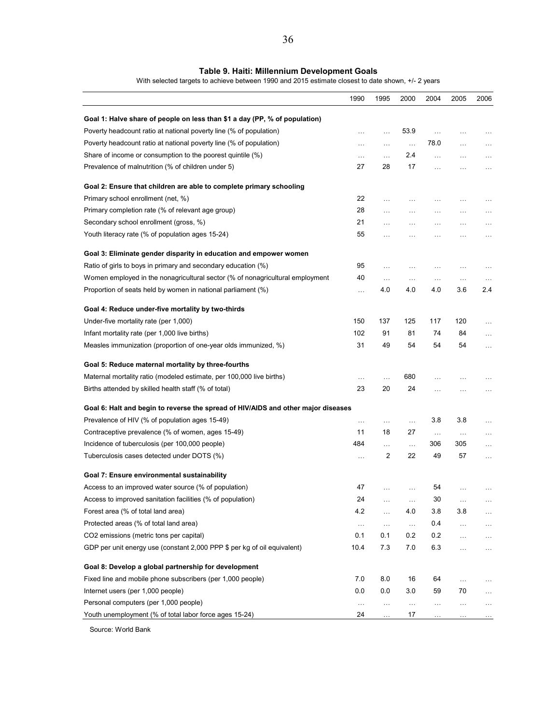#### **Table 9. Haiti: Millennium Development Goals**

With selected targets to achieve between 1990 and 2015 estimate closest to date shown, +/- 2 years

| Goal 1: Halve share of people on less than \$1 a day (PP, % of population)<br>Poverty headcount ratio at national poverty line (% of population)<br>53.9<br>$\ldots$<br>.<br>.<br>.<br>.<br>Poverty headcount ratio at national poverty line (% of population)<br>78.0<br>$\cdots$<br>.<br>$\cdots$<br>.<br>Share of income or consumption to the poorest quintile (%)<br>2.4<br>$\ldots$<br>$\ldots$<br>.<br>.<br>Prevalence of malnutrition (% of children under 5)<br>27<br>28<br>17<br>.<br>$\cdots$<br>Goal 2: Ensure that children are able to complete primary schooling<br>Primary school enrollment (net, %)<br>22<br>$\cdots$<br>.<br>.<br>Primary completion rate (% of relevant age group)<br>28<br>.<br>$\cdots$<br>.<br>.<br>21<br>Secondary school enrollment (gross, %)<br>.<br>$\ldots$<br>.<br>.<br>Youth literacy rate (% of population ages 15-24)<br>55<br>.<br>.<br>.<br>Goal 3: Eliminate gender disparity in education and empower women<br>Ratio of girls to boys in primary and secondary education (%)<br>95<br>.<br>.<br>.<br>Women employed in the nonagricultural sector (% of nonagricultural employment<br>40<br>$\cdots$<br>$\ldots$<br>$\ldots$<br>$\ldots$<br>3.6<br>Proportion of seats held by women in national parliament (%)<br>4.0<br>4.0<br>4.0<br>.<br>Goal 4: Reduce under-five mortality by two-thirds<br>150<br>125<br>117<br>120<br>Under-five mortality rate (per 1,000)<br>137<br>$\cdots$<br>Infant mortality rate (per 1,000 live births)<br>102<br>91<br>81<br>74<br>84<br>.<br>Measles immunization (proportion of one-year olds immunized, %)<br>31<br>49<br>54<br>54<br>54<br>Goal 5: Reduce maternal mortality by three-fourths<br>Maternal mortality ratio (modeled estimate, per 100,000 live births)<br>680<br>$\ddots$<br>.<br>. | 1990 | 1995 | 2000 | 2004 | 2005 | 2006     |
|----------------------------------------------------------------------------------------------------------------------------------------------------------------------------------------------------------------------------------------------------------------------------------------------------------------------------------------------------------------------------------------------------------------------------------------------------------------------------------------------------------------------------------------------------------------------------------------------------------------------------------------------------------------------------------------------------------------------------------------------------------------------------------------------------------------------------------------------------------------------------------------------------------------------------------------------------------------------------------------------------------------------------------------------------------------------------------------------------------------------------------------------------------------------------------------------------------------------------------------------------------------------------------------------------------------------------------------------------------------------------------------------------------------------------------------------------------------------------------------------------------------------------------------------------------------------------------------------------------------------------------------------------------------------------------------------------------------------------------------------------------------------------------------------|------|------|------|------|------|----------|
|                                                                                                                                                                                                                                                                                                                                                                                                                                                                                                                                                                                                                                                                                                                                                                                                                                                                                                                                                                                                                                                                                                                                                                                                                                                                                                                                                                                                                                                                                                                                                                                                                                                                                                                                                                                              |      |      |      |      |      |          |
|                                                                                                                                                                                                                                                                                                                                                                                                                                                                                                                                                                                                                                                                                                                                                                                                                                                                                                                                                                                                                                                                                                                                                                                                                                                                                                                                                                                                                                                                                                                                                                                                                                                                                                                                                                                              |      |      |      |      |      |          |
|                                                                                                                                                                                                                                                                                                                                                                                                                                                                                                                                                                                                                                                                                                                                                                                                                                                                                                                                                                                                                                                                                                                                                                                                                                                                                                                                                                                                                                                                                                                                                                                                                                                                                                                                                                                              |      |      |      |      |      | .        |
|                                                                                                                                                                                                                                                                                                                                                                                                                                                                                                                                                                                                                                                                                                                                                                                                                                                                                                                                                                                                                                                                                                                                                                                                                                                                                                                                                                                                                                                                                                                                                                                                                                                                                                                                                                                              |      |      |      |      |      | $\ldots$ |
|                                                                                                                                                                                                                                                                                                                                                                                                                                                                                                                                                                                                                                                                                                                                                                                                                                                                                                                                                                                                                                                                                                                                                                                                                                                                                                                                                                                                                                                                                                                                                                                                                                                                                                                                                                                              |      |      |      |      |      | $\cdots$ |
|                                                                                                                                                                                                                                                                                                                                                                                                                                                                                                                                                                                                                                                                                                                                                                                                                                                                                                                                                                                                                                                                                                                                                                                                                                                                                                                                                                                                                                                                                                                                                                                                                                                                                                                                                                                              |      |      |      |      |      |          |
|                                                                                                                                                                                                                                                                                                                                                                                                                                                                                                                                                                                                                                                                                                                                                                                                                                                                                                                                                                                                                                                                                                                                                                                                                                                                                                                                                                                                                                                                                                                                                                                                                                                                                                                                                                                              |      |      |      |      |      |          |
|                                                                                                                                                                                                                                                                                                                                                                                                                                                                                                                                                                                                                                                                                                                                                                                                                                                                                                                                                                                                                                                                                                                                                                                                                                                                                                                                                                                                                                                                                                                                                                                                                                                                                                                                                                                              |      |      |      |      |      |          |
|                                                                                                                                                                                                                                                                                                                                                                                                                                                                                                                                                                                                                                                                                                                                                                                                                                                                                                                                                                                                                                                                                                                                                                                                                                                                                                                                                                                                                                                                                                                                                                                                                                                                                                                                                                                              |      |      |      |      |      | $\cdots$ |
|                                                                                                                                                                                                                                                                                                                                                                                                                                                                                                                                                                                                                                                                                                                                                                                                                                                                                                                                                                                                                                                                                                                                                                                                                                                                                                                                                                                                                                                                                                                                                                                                                                                                                                                                                                                              |      |      |      |      |      | $\ldots$ |
|                                                                                                                                                                                                                                                                                                                                                                                                                                                                                                                                                                                                                                                                                                                                                                                                                                                                                                                                                                                                                                                                                                                                                                                                                                                                                                                                                                                                                                                                                                                                                                                                                                                                                                                                                                                              |      |      |      |      |      |          |
|                                                                                                                                                                                                                                                                                                                                                                                                                                                                                                                                                                                                                                                                                                                                                                                                                                                                                                                                                                                                                                                                                                                                                                                                                                                                                                                                                                                                                                                                                                                                                                                                                                                                                                                                                                                              |      |      |      |      |      |          |
|                                                                                                                                                                                                                                                                                                                                                                                                                                                                                                                                                                                                                                                                                                                                                                                                                                                                                                                                                                                                                                                                                                                                                                                                                                                                                                                                                                                                                                                                                                                                                                                                                                                                                                                                                                                              |      |      |      |      |      |          |
|                                                                                                                                                                                                                                                                                                                                                                                                                                                                                                                                                                                                                                                                                                                                                                                                                                                                                                                                                                                                                                                                                                                                                                                                                                                                                                                                                                                                                                                                                                                                                                                                                                                                                                                                                                                              |      |      |      |      |      | .        |
|                                                                                                                                                                                                                                                                                                                                                                                                                                                                                                                                                                                                                                                                                                                                                                                                                                                                                                                                                                                                                                                                                                                                                                                                                                                                                                                                                                                                                                                                                                                                                                                                                                                                                                                                                                                              |      |      |      |      |      | 2.4      |
|                                                                                                                                                                                                                                                                                                                                                                                                                                                                                                                                                                                                                                                                                                                                                                                                                                                                                                                                                                                                                                                                                                                                                                                                                                                                                                                                                                                                                                                                                                                                                                                                                                                                                                                                                                                              |      |      |      |      |      |          |
|                                                                                                                                                                                                                                                                                                                                                                                                                                                                                                                                                                                                                                                                                                                                                                                                                                                                                                                                                                                                                                                                                                                                                                                                                                                                                                                                                                                                                                                                                                                                                                                                                                                                                                                                                                                              |      |      |      |      |      |          |
|                                                                                                                                                                                                                                                                                                                                                                                                                                                                                                                                                                                                                                                                                                                                                                                                                                                                                                                                                                                                                                                                                                                                                                                                                                                                                                                                                                                                                                                                                                                                                                                                                                                                                                                                                                                              |      |      |      |      |      |          |
|                                                                                                                                                                                                                                                                                                                                                                                                                                                                                                                                                                                                                                                                                                                                                                                                                                                                                                                                                                                                                                                                                                                                                                                                                                                                                                                                                                                                                                                                                                                                                                                                                                                                                                                                                                                              |      |      |      |      |      | .        |
|                                                                                                                                                                                                                                                                                                                                                                                                                                                                                                                                                                                                                                                                                                                                                                                                                                                                                                                                                                                                                                                                                                                                                                                                                                                                                                                                                                                                                                                                                                                                                                                                                                                                                                                                                                                              |      |      |      |      |      |          |
|                                                                                                                                                                                                                                                                                                                                                                                                                                                                                                                                                                                                                                                                                                                                                                                                                                                                                                                                                                                                                                                                                                                                                                                                                                                                                                                                                                                                                                                                                                                                                                                                                                                                                                                                                                                              |      |      |      |      |      |          |
| Births attended by skilled health staff (% of total)<br>23<br>20<br>24<br>.<br>.                                                                                                                                                                                                                                                                                                                                                                                                                                                                                                                                                                                                                                                                                                                                                                                                                                                                                                                                                                                                                                                                                                                                                                                                                                                                                                                                                                                                                                                                                                                                                                                                                                                                                                             |      |      |      |      |      | $\cdots$ |
|                                                                                                                                                                                                                                                                                                                                                                                                                                                                                                                                                                                                                                                                                                                                                                                                                                                                                                                                                                                                                                                                                                                                                                                                                                                                                                                                                                                                                                                                                                                                                                                                                                                                                                                                                                                              |      |      |      |      |      |          |
| Goal 6: Halt and begin to reverse the spread of HIV/AIDS and other major diseases                                                                                                                                                                                                                                                                                                                                                                                                                                                                                                                                                                                                                                                                                                                                                                                                                                                                                                                                                                                                                                                                                                                                                                                                                                                                                                                                                                                                                                                                                                                                                                                                                                                                                                            |      |      |      |      |      |          |
| Prevalence of HIV (% of population ages 15-49)<br>3.8<br>3.8<br>$\cdots$<br>$\cdots$<br>.                                                                                                                                                                                                                                                                                                                                                                                                                                                                                                                                                                                                                                                                                                                                                                                                                                                                                                                                                                                                                                                                                                                                                                                                                                                                                                                                                                                                                                                                                                                                                                                                                                                                                                    |      |      |      |      |      | $\cdots$ |
| 18<br>27<br>Contraceptive prevalence (% of women, ages 15-49)<br>11<br>$\ldots$<br>$\ldots$                                                                                                                                                                                                                                                                                                                                                                                                                                                                                                                                                                                                                                                                                                                                                                                                                                                                                                                                                                                                                                                                                                                                                                                                                                                                                                                                                                                                                                                                                                                                                                                                                                                                                                  |      |      |      |      |      | .        |
| Incidence of tuberculosis (per 100,000 people)<br>484<br>306<br>305<br>$\cdots$<br>$\ldots$                                                                                                                                                                                                                                                                                                                                                                                                                                                                                                                                                                                                                                                                                                                                                                                                                                                                                                                                                                                                                                                                                                                                                                                                                                                                                                                                                                                                                                                                                                                                                                                                                                                                                                  |      |      |      |      |      | .        |
| $\overline{2}$<br>Tuberculosis cases detected under DOTS (%)<br>22<br>49<br>57<br>$\ldots$                                                                                                                                                                                                                                                                                                                                                                                                                                                                                                                                                                                                                                                                                                                                                                                                                                                                                                                                                                                                                                                                                                                                                                                                                                                                                                                                                                                                                                                                                                                                                                                                                                                                                                   |      |      |      |      |      | $\ldots$ |
| Goal 7: Ensure environmental sustainability                                                                                                                                                                                                                                                                                                                                                                                                                                                                                                                                                                                                                                                                                                                                                                                                                                                                                                                                                                                                                                                                                                                                                                                                                                                                                                                                                                                                                                                                                                                                                                                                                                                                                                                                                  |      |      |      |      |      |          |
| Access to an improved water source (% of population)<br>47<br>54<br>$\ddotsc$                                                                                                                                                                                                                                                                                                                                                                                                                                                                                                                                                                                                                                                                                                                                                                                                                                                                                                                                                                                                                                                                                                                                                                                                                                                                                                                                                                                                                                                                                                                                                                                                                                                                                                                |      |      |      |      |      |          |
| Access to improved sanitation facilities (% of population)<br>24<br>30                                                                                                                                                                                                                                                                                                                                                                                                                                                                                                                                                                                                                                                                                                                                                                                                                                                                                                                                                                                                                                                                                                                                                                                                                                                                                                                                                                                                                                                                                                                                                                                                                                                                                                                       |      |      |      |      |      |          |
| Forest area (% of total land area)<br>4.2<br>4.0<br>3.8<br>3.8<br>.                                                                                                                                                                                                                                                                                                                                                                                                                                                                                                                                                                                                                                                                                                                                                                                                                                                                                                                                                                                                                                                                                                                                                                                                                                                                                                                                                                                                                                                                                                                                                                                                                                                                                                                          |      |      |      |      |      | .        |
| Protected areas (% of total land area)<br>0.4<br>$\ldots$<br>$\ldots$<br>$\ldots$<br>$\ldots$                                                                                                                                                                                                                                                                                                                                                                                                                                                                                                                                                                                                                                                                                                                                                                                                                                                                                                                                                                                                                                                                                                                                                                                                                                                                                                                                                                                                                                                                                                                                                                                                                                                                                                |      |      |      |      |      | .        |
| CO2 emissions (metric tons per capital)<br>0.1<br>0.2<br>0.2<br>0.1<br>$\ldots$                                                                                                                                                                                                                                                                                                                                                                                                                                                                                                                                                                                                                                                                                                                                                                                                                                                                                                                                                                                                                                                                                                                                                                                                                                                                                                                                                                                                                                                                                                                                                                                                                                                                                                              |      |      |      |      |      | $\cdots$ |
| GDP per unit energy use (constant 2,000 PPP \$ per kg of oil equivalent)<br>10.4<br>7.3<br>7.0<br>6.3<br>$\cdots$                                                                                                                                                                                                                                                                                                                                                                                                                                                                                                                                                                                                                                                                                                                                                                                                                                                                                                                                                                                                                                                                                                                                                                                                                                                                                                                                                                                                                                                                                                                                                                                                                                                                            |      |      |      |      |      | $\ldots$ |
| Goal 8: Develop a global partnership for development                                                                                                                                                                                                                                                                                                                                                                                                                                                                                                                                                                                                                                                                                                                                                                                                                                                                                                                                                                                                                                                                                                                                                                                                                                                                                                                                                                                                                                                                                                                                                                                                                                                                                                                                         |      |      |      |      |      |          |
| Fixed line and mobile phone subscribers (per 1,000 people)<br>7.0<br>8.0<br>16<br>64<br>$\cdots$                                                                                                                                                                                                                                                                                                                                                                                                                                                                                                                                                                                                                                                                                                                                                                                                                                                                                                                                                                                                                                                                                                                                                                                                                                                                                                                                                                                                                                                                                                                                                                                                                                                                                             |      |      |      |      |      |          |
| Internet users (per 1,000 people)<br>0.0<br>0.0<br>3.0<br>59<br>70                                                                                                                                                                                                                                                                                                                                                                                                                                                                                                                                                                                                                                                                                                                                                                                                                                                                                                                                                                                                                                                                                                                                                                                                                                                                                                                                                                                                                                                                                                                                                                                                                                                                                                                           |      |      |      |      |      | .        |
| Personal computers (per 1,000 people)<br>$\ldots$<br>$\ldots$<br>$\cdots$<br>$\cdots$<br>$\cdots$                                                                                                                                                                                                                                                                                                                                                                                                                                                                                                                                                                                                                                                                                                                                                                                                                                                                                                                                                                                                                                                                                                                                                                                                                                                                                                                                                                                                                                                                                                                                                                                                                                                                                            |      |      |      |      |      | $\cdots$ |
| Youth unemployment (% of total labor force ages 15-24)<br>24<br>17<br>.                                                                                                                                                                                                                                                                                                                                                                                                                                                                                                                                                                                                                                                                                                                                                                                                                                                                                                                                                                                                                                                                                                                                                                                                                                                                                                                                                                                                                                                                                                                                                                                                                                                                                                                      |      |      |      |      |      |          |

Source: World Bank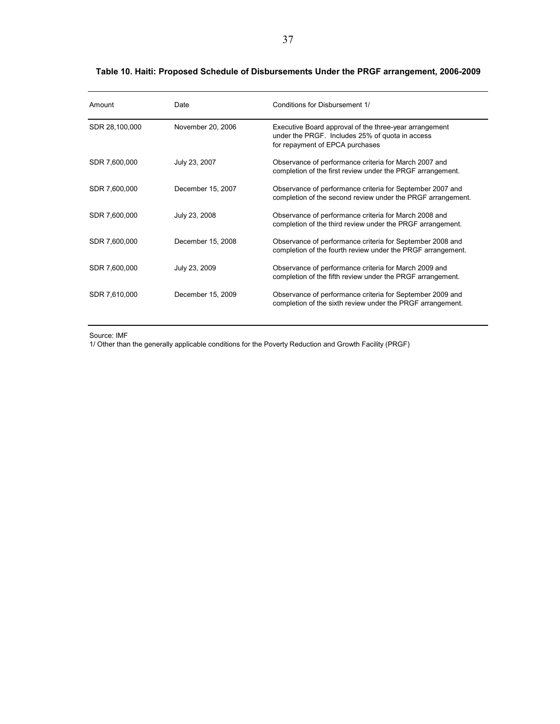| Amount         | Date              | Conditions for Disbursement 1/                                                                                                               |
|----------------|-------------------|----------------------------------------------------------------------------------------------------------------------------------------------|
| SDR 28,100,000 | November 20, 2006 | Executive Board approval of the three-year arrangement<br>under the PRGF. Includes 25% of quota in access<br>for repayment of EPCA purchases |
| SDR 7,600,000  | July 23, 2007     | Observance of performance criteria for March 2007 and<br>completion of the first review under the PRGF arrangement.                          |
| SDR 7,600,000  | December 15, 2007 | Observance of performance criteria for September 2007 and<br>completion of the second review under the PRGF arrangement.                     |
| SDR 7,600,000  | July 23, 2008     | Observance of performance criteria for March 2008 and<br>completion of the third review under the PRGF arrangement.                          |
| SDR 7,600,000  | December 15, 2008 | Observance of performance criteria for September 2008 and<br>completion of the fourth review under the PRGF arrangement.                     |
| SDR 7,600,000  | July 23, 2009     | Observance of performance criteria for March 2009 and<br>completion of the fifth review under the PRGF arrangement.                          |
| SDR 7,610,000  | December 15, 2009 | Observance of performance criteria for September 2009 and<br>completion of the sixth review under the PRGF arrangement.                      |

#### **Table 10. Haiti: Proposed Schedule of Disbursements Under the PRGF arrangement, 2006-2009**

Source: IMF

1/ Other than the generally applicable conditions for the Poverty Reduction and Growth Facility (PRGF)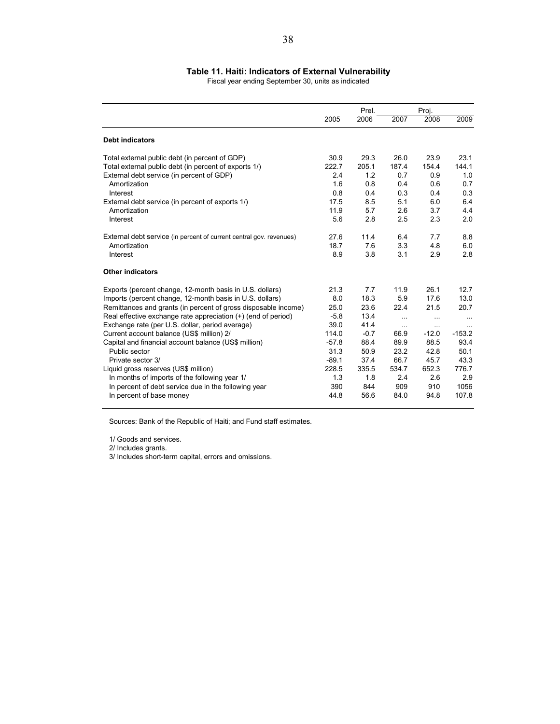#### **Table 11. Haiti: Indicators of External Vulnerability**

Fiscal year ending September 30, units as indicated

|                                                                     |         | Prel.  |          | Proj.    |          |
|---------------------------------------------------------------------|---------|--------|----------|----------|----------|
|                                                                     | 2005    | 2006   | 2007     | 2008     | 2009     |
| <b>Debt indicators</b>                                              |         |        |          |          |          |
| Total external public debt (in percent of GDP)                      | 30.9    | 29.3   | 26.0     | 23.9     | 23.1     |
| Total external public debt (in percent of exports 1/)               | 222.7   | 205.1  | 187.4    | 154.4    | 144.1    |
| External debt service (in percent of GDP)                           | 2.4     | 1.2    | 0.7      | 0.9      | 1.0      |
| Amortization                                                        | 1.6     | 0.8    | 0.4      | 0.6      | 0.7      |
| Interest                                                            | 0.8     | 0.4    | 0.3      | 0.4      | 0.3      |
| External debt service (in percent of exports 1/)                    | 17.5    | 8.5    | 5.1      | 6.0      | 6.4      |
| Amortization                                                        | 11.9    | 5.7    | 2.6      | 3.7      | 4.4      |
| Interest                                                            | 5.6     | 2.8    | 2.5      | 2.3      | 2.0      |
| External debt service (in percent of current central gov. revenues) | 27.6    | 11.4   | 6.4      | 7.7      | 8.8      |
| Amortization                                                        | 18.7    | 7.6    | 3.3      | 4.8      | 6.0      |
| Interest                                                            | 8.9     | 3.8    | 3.1      | 2.9      | 2.8      |
| <b>Other indicators</b>                                             |         |        |          |          |          |
| Exports (percent change, 12-month basis in U.S. dollars)            | 21.3    | 7.7    | 11.9     | 26.1     | 12.7     |
| Imports (percent change, 12-month basis in U.S. dollars)            | 8.0     | 18.3   | 5.9      | 17.6     | 13.0     |
| Remittances and grants (in percent of gross disposable income)      | 25.0    | 23.6   | 22.4     | 21.5     | 20.7     |
| Real effective exchange rate appreciation (+) (end of period)       | $-5.8$  | 13.4   | $\cdots$ | $\cdots$ | $\cdots$ |
| Exchange rate (per U.S. dollar, period average)                     | 39.0    | 41.4   | $\cdots$ | $\cdots$ | $\cdots$ |
| Current account balance (US\$ million) 2/                           | 114.0   | $-0.7$ | 66.9     | $-12.0$  | $-153.2$ |
| Capital and financial account balance (US\$ million)                | $-57.8$ | 88.4   | 89.9     | 88.5     | 93.4     |
| Public sector                                                       | 31.3    | 50.9   | 23.2     | 42.8     | 50.1     |
| Private sector 3/                                                   | $-89.1$ | 37.4   | 66.7     | 45.7     | 43.3     |
| Liquid gross reserves (US\$ million)                                | 228.5   | 335.5  | 534.7    | 652.3    | 776.7    |
| In months of imports of the following year 1/                       | 1.3     | 1.8    | 2.4      | 2.6      | 2.9      |
| In percent of debt service due in the following year                | 390     | 844    | 909      | 910      | 1056     |
| In percent of base money                                            | 44.8    | 56.6   | 84.0     | 94.8     | 107.8    |

Sources: Bank of the Republic of Haiti; and Fund staff estimates.

1/ Goods and services.

2/ Includes grants.

3/ Includes short-term capital, errors and omissions.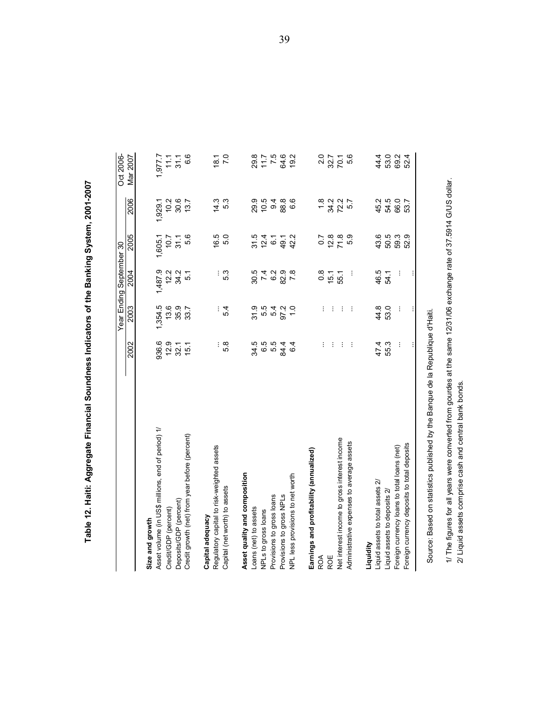| Asset volume (in US\$ millions, end of period) 1/<br>Size and growth |          |                                      | Year Ending September | 80                        |         | Oct 2006-        |
|----------------------------------------------------------------------|----------|--------------------------------------|-----------------------|---------------------------|---------|------------------|
|                                                                      | 2002     | 2003                                 | 2004                  | 2005                      | 2006    | Mar 2007         |
|                                                                      |          |                                      |                       |                           |         |                  |
|                                                                      | 936.6    | 1,354.5                              | 1,487.9               | 1,605.1                   | 1,929.1 | 1,977.7          |
| Credit/GDP (percent)                                                 | 12.9     | 13.6                                 | 12.2                  | 10.7                      | 10.2    | $\frac{11}{11}$  |
| Deposits/GDP (percent)                                               | 32.1     | 35.9<br>33.7                         | 34.2                  | 31.1                      | 30.6    | 31.1             |
| Credit growth (net) from year before (percent)                       | 15.1     |                                      | 5.1                   | 5.6                       | 13.7    | 6.6              |
| Capital adequacy                                                     |          |                                      |                       |                           |         |                  |
| Regulatory capital to risk-weighted assets                           |          |                                      |                       |                           | 14.3    | 18.1             |
| Capital (net worth) to assets                                        | : ထ<br>ດ | $\frac{5}{4}$                        |                       | $6.5$<br>$5.0$            | 53      | $\overline{7.0}$ |
| Asset quality and composition                                        |          |                                      |                       |                           |         |                  |
| Loans (net) to assets                                                |          | 31.9                                 |                       |                           | 29.9    | 29.8             |
| NPLs to gross loans                                                  |          |                                      |                       | 31 21<br>31 21<br>31 3    | 10.5    | 7.5              |
| Provisions to gross loans                                            |          | 5<br>5<br>5<br>5<br>5<br>5<br>5<br>5 |                       |                           | 9.4     |                  |
| Provisions to gross NPLs                                             |          |                                      | 87888<br>8788         | 49.1                      | 88.8    | 64.6             |
| NPL less provisions to net worth                                     | 64       | $\frac{0}{1}$                        | 7.8                   | 42.2                      | 6.6     | 19.2             |
| Earnings and profitability (annualized)                              |          |                                      |                       |                           |         |                  |
| ROA                                                                  | ÷.       | ÷                                    | $\frac{8}{2}$         | $\overline{0}$            |         |                  |
| ROE                                                                  | $\pm$    | ÷                                    | 15.1                  |                           |         | 2.0<br>32.7      |
| Net interest income to gross interest income                         | ÷        | ÷                                    | 55.1                  |                           |         | 70.1             |
| Administrative expenses to average assets                            | $\sim$   | $\sim$                               | ÷                     |                           |         | 5.6              |
| Liquidity                                                            |          |                                      |                       |                           |         |                  |
| Liquid assets to total assets 2/                                     | 47.4     | 44.8                                 | 46.5                  |                           | 45.2    | 44.4             |
| Liquid assets to deposits 2/                                         | 55.3     | 53.0                                 | 54.1                  | 6<br>ប៉ុ 6 6 6<br>6 6 6 6 | 54.5    | 53.0             |
| Foreign currency loans to total loans (net)                          |          | ÷                                    |                       |                           | 66.0    | 69.2             |
| Foreign currency deposits to total deposits                          |          |                                      |                       |                           | 53.7    | 52.4             |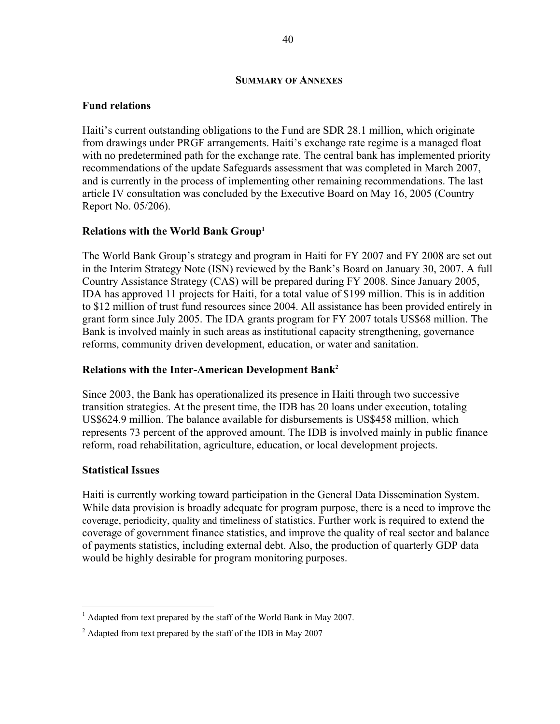#### **SUMMARY OF ANNEXES**

#### **Fund relations**

Haiti's current outstanding obligations to the Fund are SDR 28.1 million, which originate from drawings under PRGF arrangements. Haiti's exchange rate regime is a managed float with no predetermined path for the exchange rate. The central bank has implemented priority recommendations of the update Safeguards assessment that was completed in March 2007, and is currently in the process of implementing other remaining recommendations. The last article IV consultation was concluded by the Executive Board on May 16, 2005 (Country Report No. 05/206).

#### **Relations with the World Bank Group1**

The World Bank Group's strategy and program in Haiti for FY 2007 and FY 2008 are set out in the Interim Strategy Note (ISN) reviewed by the Bank's Board on January 30, 2007. A full Country Assistance Strategy (CAS) will be prepared during FY 2008. Since January 2005, IDA has approved 11 projects for Haiti, for a total value of \$199 million. This is in addition to \$12 million of trust fund resources since 2004. All assistance has been provided entirely in grant form since July 2005. The IDA grants program for FY 2007 totals US\$68 million. The Bank is involved mainly in such areas as institutional capacity strengthening, governance reforms, community driven development, education, or water and sanitation.

#### **Relations with the Inter-American Development Bank2**

Since 2003, the Bank has operationalized its presence in Haiti through two successive transition strategies. At the present time, the IDB has 20 loans under execution, totaling US\$624.9 million. The balance available for disbursements is US\$458 million, which represents 73 percent of the approved amount. The IDB is involved mainly in public finance reform, road rehabilitation, agriculture, education, or local development projects.

#### **Statistical Issues**

<u>.</u>

Haiti is currently working toward participation in the General Data Dissemination System. While data provision is broadly adequate for program purpose, there is a need to improve the coverage, periodicity, quality and timeliness of statistics. Further work is required to extend the coverage of government finance statistics, and improve the quality of real sector and balance of payments statistics, including external debt. Also, the production of quarterly GDP data would be highly desirable for program monitoring purposes.

 $<sup>1</sup>$  Adapted from text prepared by the staff of the World Bank in May 2007.</sup>

 $2$  Adapted from text prepared by the staff of the IDB in May 2007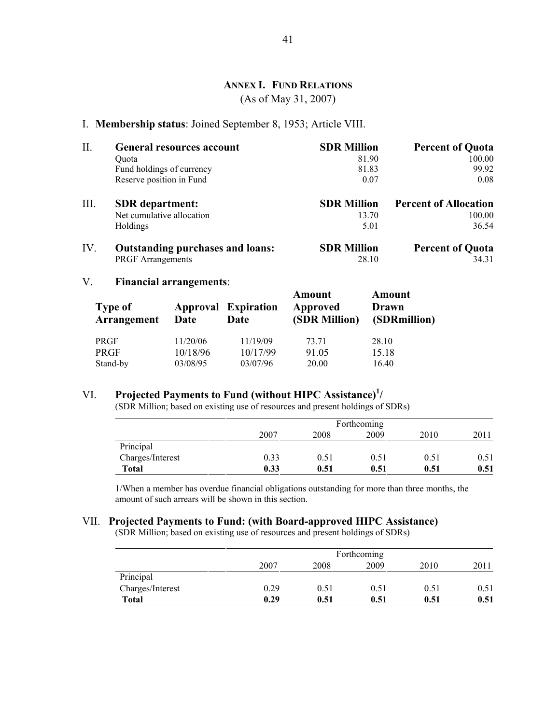#### **ANNEX I. FUND RELATIONS**

(As of May 31, 2007)

#### I. **Membership status**: Joined September 8, 1953; Article VIII.

| Π.   | <b>General resources account</b>        | <b>SDR Million</b> | <b>Percent of Quota</b>      |
|------|-----------------------------------------|--------------------|------------------------------|
|      | Ouota                                   | 81.90              | 100.00                       |
|      | Fund holdings of currency               | 81.83              | 99.92                        |
|      | Reserve position in Fund                | 0.07               | 0.08                         |
| III. | <b>SDR</b> department:                  | <b>SDR Million</b> | <b>Percent of Allocation</b> |
|      | Net cumulative allocation               | 13.70              | 100.00                       |
|      | Holdings                                | 5.01               | 36.54                        |
| IV.  | <b>Outstanding purchases and loans:</b> | <b>SDR Million</b> | <b>Percent of Quota</b>      |
|      | <b>PRGF</b> Arrangements                | 28.10              | 34.31                        |

#### V. **Financial arrangements**:

| <b>Type of</b><br>Arrangement | Date     | <b>Approval Expiration</b><br>Date | Amount<br>Approved<br>(SDR Million) | Amount<br>Drawn<br>(SDRmillion) |
|-------------------------------|----------|------------------------------------|-------------------------------------|---------------------------------|
| PRGF                          | 11/20/06 | 11/19/09                           | 73.71                               | 28.10                           |
| <b>PRGF</b>                   | 10/18/96 | 10/17/99                           | 91.05                               | 15.18                           |
| Stand-by                      | 03/08/95 | 03/07/96                           | 20.00                               | 16.40                           |

## VI. **Projected Payments to Fund (without HIPC Assistance)<sup>1</sup> /**

(SDR Million; based on existing use of resources and present holdings of SDRs)

|                  |      |      | Forthcoming |      |      |
|------------------|------|------|-------------|------|------|
|                  | 2007 | 2008 | 2009        | 2010 | 2011 |
| Principal        |      |      |             |      |      |
| Charges/Interest | 0.33 | 0.51 | 0.51        | 0.51 | 0.51 |
| Total            | 0.33 | 0.51 | 0.51        | 0.51 | 0.51 |

1/When a member has overdue financial obligations outstanding for more than three months, the amount of such arrears will be shown in this section.

### VII. **Projected Payments to Fund: (with Board-approved HIPC Assistance)**

(SDR Million; based on existing use of resources and present holdings of SDRs)

|                  |      |      | Forthcoming |      |      |
|------------------|------|------|-------------|------|------|
|                  | 2007 | 2008 | 2009        | 2010 | 2011 |
| Principal        |      |      |             |      |      |
| Charges/Interest | 0.29 | 0.51 | 0.51        | 0.51 | 0.51 |
| <b>Total</b>     | 0.29 | 0.51 | 0.51        | 0.51 | 0.51 |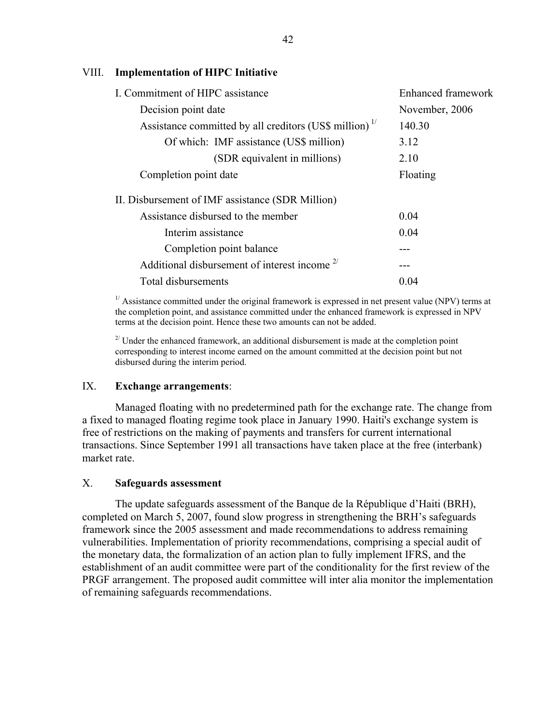#### VIII. **Implementation of HIPC Initiative**

| I. Commitment of HIPC assistance                          | Enhanced framework |
|-----------------------------------------------------------|--------------------|
| Decision point date                                       | November, 2006     |
| Assistance committed by all creditors (US\$ million) $17$ | 140.30             |
| Of which: IMF assistance (US\$ million)                   | 3.12               |
| (SDR equivalent in millions)                              | 2.10               |
| Completion point date                                     | Floating           |
| II. Disbursement of IMF assistance (SDR Million)          |                    |
| Assistance disbursed to the member                        | 0.04               |
| Interim assistance                                        | 0.04               |
| Completion point balance                                  |                    |
| Additional disbursement of interest income $2^{7}$        |                    |
| Total disbursements                                       | 0.04               |

 $1/$  Assistance committed under the original framework is expressed in net present value (NPV) terms at the completion point, and assistance committed under the enhanced framework is expressed in NPV terms at the decision point. Hence these two amounts can not be added.

 $2^{2}$  Under the enhanced framework, an additional disbursement is made at the completion point corresponding to interest income earned on the amount committed at the decision point but not disbursed during the interim period.

#### IX. **Exchange arrangements**:

 Managed floating with no predetermined path for the exchange rate. The change from a fixed to managed floating regime took place in January 1990. Haiti's exchange system is free of restrictions on the making of payments and transfers for current international transactions. Since September 1991 all transactions have taken place at the free (interbank) market rate.

#### X. **Safeguards assessment**

 The update safeguards assessment of the Banque de la République d'Haiti (BRH), completed on March 5, 2007, found slow progress in strengthening the BRH's safeguards framework since the 2005 assessment and made recommendations to address remaining vulnerabilities. Implementation of priority recommendations, comprising a special audit of the monetary data, the formalization of an action plan to fully implement IFRS, and the establishment of an audit committee were part of the conditionality for the first review of the PRGF arrangement. The proposed audit committee will inter alia monitor the implementation of remaining safeguards recommendations.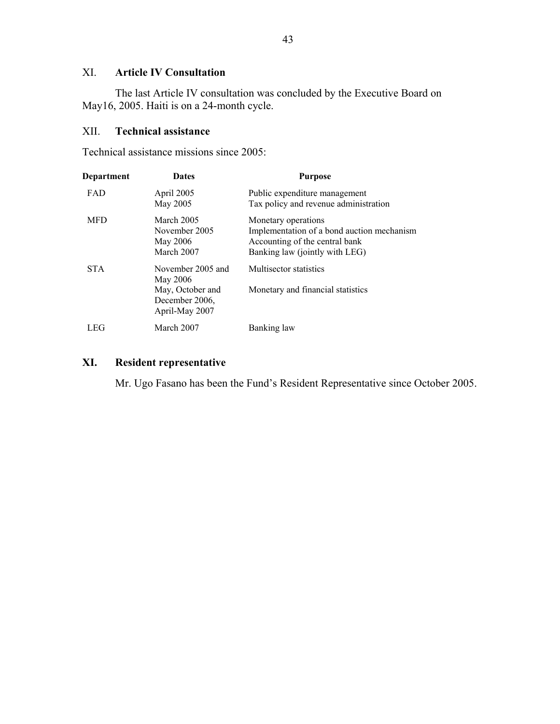### XI. **Article IV Consultation**

 The last Article IV consultation was concluded by the Executive Board on May16, 2005. Haiti is on a 24-month cycle.

#### XII. **Technical assistance**

Technical assistance missions since 2005:

| Department | <b>Dates</b>                                                                          | <b>Purpose</b>                                                                                                                        |
|------------|---------------------------------------------------------------------------------------|---------------------------------------------------------------------------------------------------------------------------------------|
| <b>FAD</b> | April 2005<br>May 2005                                                                | Public expenditure management<br>Tax policy and revenue administration                                                                |
| <b>MFD</b> | March 2005<br>November 2005<br>May 2006<br>March 2007                                 | Monetary operations<br>Implementation of a bond auction mechanism<br>Accounting of the central bank<br>Banking law (jointly with LEG) |
| <b>STA</b> | November 2005 and<br>May 2006<br>May, October and<br>December 2006,<br>April-May 2007 | Multisector statistics<br>Monetary and financial statistics                                                                           |
| LEG        | March 2007                                                                            | Banking law                                                                                                                           |

### **XI. Resident representative**

Mr. Ugo Fasano has been the Fund's Resident Representative since October 2005.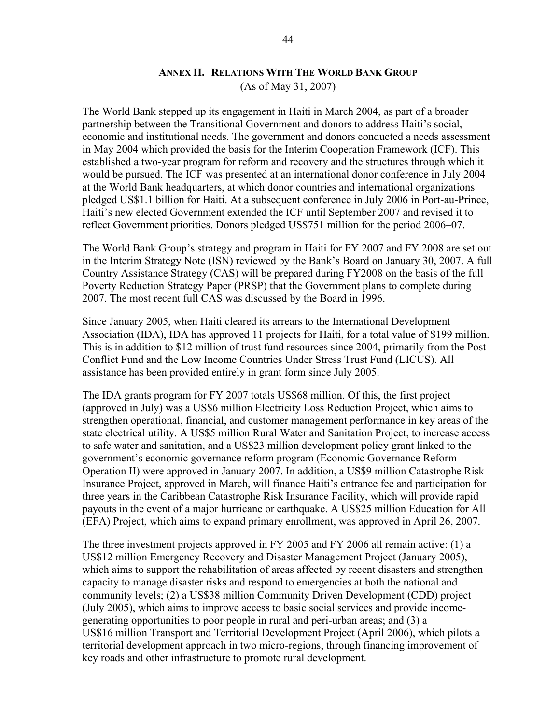#### **ANNEX II. RELATIONS WITH THE WORLD BANK GROUP**

(As of May 31, 2007)

The World Bank stepped up its engagement in Haiti in March 2004, as part of a broader partnership between the Transitional Government and donors to address Haiti's social, economic and institutional needs. The government and donors conducted a needs assessment in May 2004 which provided the basis for the Interim Cooperation Framework (ICF). This established a two-year program for reform and recovery and the structures through which it would be pursued. The ICF was presented at an international donor conference in July 2004 at the World Bank headquarters, at which donor countries and international organizations pledged US\$1.1 billion for Haiti. At a subsequent conference in July 2006 in Port-au-Prince, Haiti's new elected Government extended the ICF until September 2007 and revised it to reflect Government priorities. Donors pledged US\$751 million for the period 2006–07.

The World Bank Group's strategy and program in Haiti for FY 2007 and FY 2008 are set out in the Interim Strategy Note (ISN) reviewed by the Bank's Board on January 30, 2007. A full Country Assistance Strategy (CAS) will be prepared during FY2008 on the basis of the full Poverty Reduction Strategy Paper (PRSP) that the Government plans to complete during 2007. The most recent full CAS was discussed by the Board in 1996.

Since January 2005, when Haiti cleared its arrears to the International Development Association (IDA), IDA has approved 11 projects for Haiti, for a total value of \$199 million. This is in addition to \$12 million of trust fund resources since 2004, primarily from the Post-Conflict Fund and the Low Income Countries Under Stress Trust Fund (LICUS). All assistance has been provided entirely in grant form since July 2005.

The IDA grants program for FY 2007 totals US\$68 million. Of this, the first project (approved in July) was a US\$6 million Electricity Loss Reduction Project, which aims to strengthen operational, financial, and customer management performance in key areas of the state electrical utility. A US\$5 million Rural Water and Sanitation Project, to increase access to safe water and sanitation, and a US\$23 million development policy grant linked to the government's economic governance reform program (Economic Governance Reform Operation II) were approved in January 2007. In addition, a US\$9 million Catastrophe Risk Insurance Project, approved in March, will finance Haiti's entrance fee and participation for three years in the Caribbean Catastrophe Risk Insurance Facility, which will provide rapid payouts in the event of a major hurricane or earthquake. A US\$25 million Education for All (EFA) Project, which aims to expand primary enrollment, was approved in April 26, 2007.

The three investment projects approved in FY 2005 and FY 2006 all remain active: (1) a US\$12 million Emergency Recovery and Disaster Management Project (January 2005), which aims to support the rehabilitation of areas affected by recent disasters and strengthen capacity to manage disaster risks and respond to emergencies at both the national and community levels; (2) a US\$38 million Community Driven Development (CDD) project (July 2005), which aims to improve access to basic social services and provide incomegenerating opportunities to poor people in rural and peri-urban areas; and (3) a US\$16 million Transport and Territorial Development Project (April 2006), which pilots a territorial development approach in two micro-regions, through financing improvement of key roads and other infrastructure to promote rural development.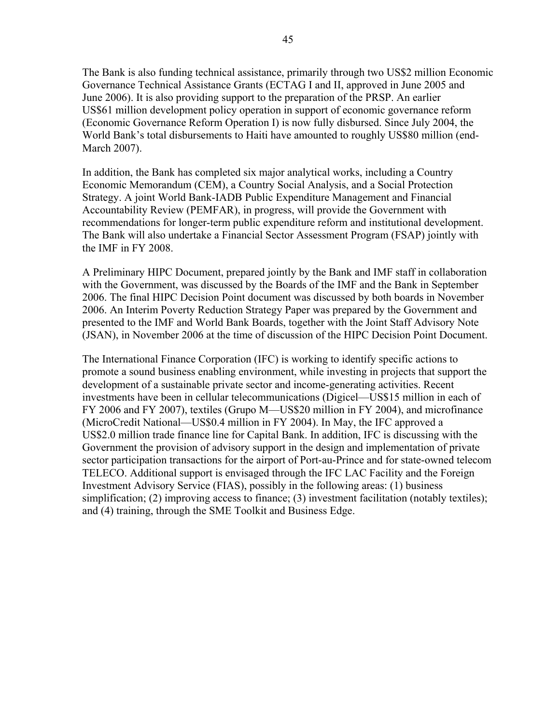The Bank is also funding technical assistance, primarily through two US\$2 million Economic Governance Technical Assistance Grants (ECTAG I and II, approved in June 2005 and June 2006). It is also providing support to the preparation of the PRSP. An earlier US\$61 million development policy operation in support of economic governance reform (Economic Governance Reform Operation I) is now fully disbursed. Since July 2004, the World Bank's total disbursements to Haiti have amounted to roughly US\$80 million (end-March 2007).

In addition, the Bank has completed six major analytical works, including a Country Economic Memorandum (CEM), a Country Social Analysis, and a Social Protection Strategy. A joint World Bank-IADB Public Expenditure Management and Financial Accountability Review (PEMFAR), in progress, will provide the Government with recommendations for longer-term public expenditure reform and institutional development. The Bank will also undertake a Financial Sector Assessment Program (FSAP) jointly with the IMF in FY 2008.

A Preliminary HIPC Document, prepared jointly by the Bank and IMF staff in collaboration with the Government, was discussed by the Boards of the IMF and the Bank in September 2006. The final HIPC Decision Point document was discussed by both boards in November 2006. An Interim Poverty Reduction Strategy Paper was prepared by the Government and presented to the IMF and World Bank Boards, together with the Joint Staff Advisory Note (JSAN), in November 2006 at the time of discussion of the HIPC Decision Point Document.

The International Finance Corporation (IFC) is working to identify specific actions to promote a sound business enabling environment, while investing in projects that support the development of a sustainable private sector and income-generating activities. Recent investments have been in cellular telecommunications (Digicel—US\$15 million in each of FY 2006 and FY 2007), textiles (Grupo M—US\$20 million in FY 2004), and microfinance (MicroCredit National—US\$0.4 million in FY 2004). In May, the IFC approved a US\$2.0 million trade finance line for Capital Bank. In addition, IFC is discussing with the Government the provision of advisory support in the design and implementation of private sector participation transactions for the airport of Port-au-Prince and for state-owned telecom TELECO. Additional support is envisaged through the IFC LAC Facility and the Foreign Investment Advisory Service (FIAS), possibly in the following areas: (1) business simplification; (2) improving access to finance; (3) investment facilitation (notably textiles); and (4) training, through the SME Toolkit and Business Edge.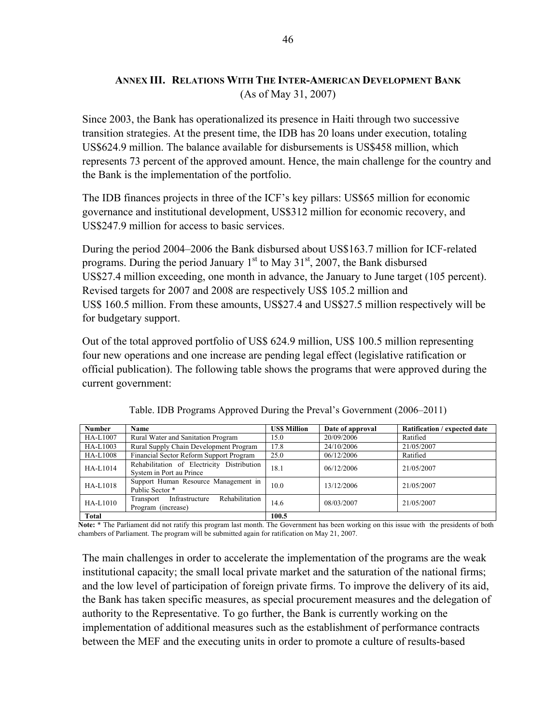### **ANNEX III. RELATIONS WITH THE INTER-AMERICAN DEVELOPMENT BANK** (As of May 31, 2007)

Since 2003, the Bank has operationalized its presence in Haiti through two successive transition strategies. At the present time, the IDB has 20 loans under execution, totaling US\$624.9 million. The balance available for disbursements is US\$458 million, which represents 73 percent of the approved amount. Hence, the main challenge for the country and the Bank is the implementation of the portfolio.

The IDB finances projects in three of the ICF's key pillars: US\$65 million for economic governance and institutional development, US\$312 million for economic recovery, and US\$247.9 million for access to basic services.

During the period 2004–2006 the Bank disbursed about US\$163.7 million for ICF-related programs. During the period January  $1<sup>st</sup>$  to May  $31<sup>st</sup>$ , 2007, the Bank disbursed US\$27.4 million exceeding, one month in advance, the January to June target (105 percent). Revised targets for 2007 and 2008 are respectively US\$ 105.2 million and US\$ 160.5 million. From these amounts, US\$27.4 and US\$27.5 million respectively will be for budgetary support.

Out of the total approved portfolio of US\$ 624.9 million, US\$ 100.5 million representing four new operations and one increase are pending legal effect (legislative ratification or official publication). The following table shows the programs that were approved during the current government:

| <b>Number</b>   | <b>Name</b>                                                            | <b>USS Million</b> | Date of approval | Ratification / expected date |
|-----------------|------------------------------------------------------------------------|--------------------|------------------|------------------------------|
| HA-L1007        | Rural Water and Sanitation Program                                     | 15.0               | 20/09/2006       | Ratified                     |
| HA-L1003        | Rural Supply Chain Development Program                                 | 17.8               | 24/10/2006       | 21/05/2007                   |
| <b>HA-L1008</b> | Financial Sector Reform Support Program                                | 25.0               | 06/12/2006       | Ratified                     |
| HA-L1014        | Rehabilitation of Electricity Distribution<br>System in Port au Prince | 18.1               | 06/12/2006       | 21/05/2007                   |
| <b>HA-L1018</b> | Support Human Resource Management in<br>Public Sector *                | 10.0               | 13/12/2006       | 21/05/2007                   |
| HA-L1010        | Rehabilitation<br>Infrastructure<br>Transport<br>Program (increase)    | 14.6               | 08/03/2007       | 21/05/2007                   |
| Total           |                                                                        | 100.5              |                  |                              |

Table. IDB Programs Approved During the Preval's Government (2006–2011)

**Note:** \* The Parliament did not ratify this program last month. The Government has been working on this issue with the presidents of both chambers of Parliament. The program will be submitted again for ratification on May 21, 2007.

The main challenges in order to accelerate the implementation of the programs are the weak institutional capacity; the small local private market and the saturation of the national firms; and the low level of participation of foreign private firms. To improve the delivery of its aid, the Bank has taken specific measures, as special procurement measures and the delegation of authority to the Representative. To go further, the Bank is currently working on the implementation of additional measures such as the establishment of performance contracts between the MEF and the executing units in order to promote a culture of results-based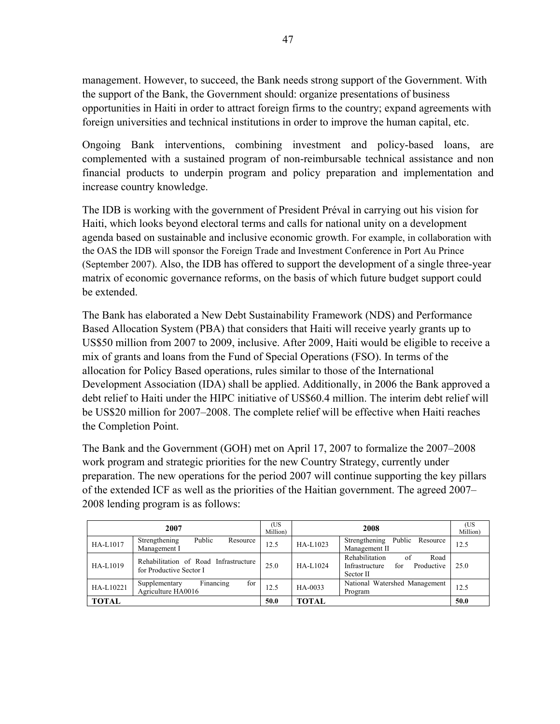management. However, to succeed, the Bank needs strong support of the Government. With the support of the Bank, the Government should: organize presentations of business opportunities in Haiti in order to attract foreign firms to the country; expand agreements with foreign universities and technical institutions in order to improve the human capital, etc.

Ongoing Bank interventions, combining investment and policy-based loans, are complemented with a sustained program of non-reimbursable technical assistance and non financial products to underpin program and policy preparation and implementation and increase country knowledge.

The IDB is working with the government of President Préval in carrying out his vision for Haiti, which looks beyond electoral terms and calls for national unity on a development agenda based on sustainable and inclusive economic growth. For example, in collaboration with the OAS the IDB will sponsor the Foreign Trade and Investment Conference in Port Au Prince (September 2007). Also, the IDB has offered to support the development of a single three-year matrix of economic governance reforms, on the basis of which future budget support could be extended.

The Bank has elaborated a New Debt Sustainability Framework (NDS) and Performance Based Allocation System (PBA) that considers that Haiti will receive yearly grants up to US\$50 million from 2007 to 2009, inclusive. After 2009, Haiti would be eligible to receive a mix of grants and loans from the Fund of Special Operations (FSO). In terms of the allocation for Policy Based operations, rules similar to those of the International Development Association (IDA) shall be applied. Additionally, in 2006 the Bank approved a debt relief to Haiti under the HIPC initiative of US\$60.4 million. The interim debt relief will be US\$20 million for 2007–2008. The complete relief will be effective when Haiti reaches the Completion Point.

The Bank and the Government (GOH) met on April 17, 2007 to formalize the 2007–2008 work program and strategic priorities for the new Country Strategy, currently under preparation. The new operations for the period 2007 will continue supporting the key pillars of the extended ICF as well as the priorities of the Haitian government. The agreed 2007– 2008 lending program is as follows:

|              | 2007                                                             | (US<br>Million) | 2008         |                                                                                  | (US<br>Million) |
|--------------|------------------------------------------------------------------|-----------------|--------------|----------------------------------------------------------------------------------|-----------------|
| HA-L1017     | Public<br>Strengthening<br>Resource<br>Management I              | 12.5            | HA-L1023     | Strengthening<br>Public Resource<br>Management II                                | 12.5            |
| HA-L1019     | Rehabilitation of Road Infrastructure<br>for Productive Sector I | 25.0            | HA-L1024     | Rehabilitation<br>Road<br>of<br>Productive<br>Infrastructure<br>for<br>Sector II | 25.0            |
| HA-L10221    | Financing<br>for<br>Supplementary<br>Agriculture HA0016          | 12.5            | HA-0033      | National Watershed Management<br>Program                                         | 12.5            |
| <b>TOTAL</b> |                                                                  | 50.0            | <b>TOTAL</b> |                                                                                  | 50.0            |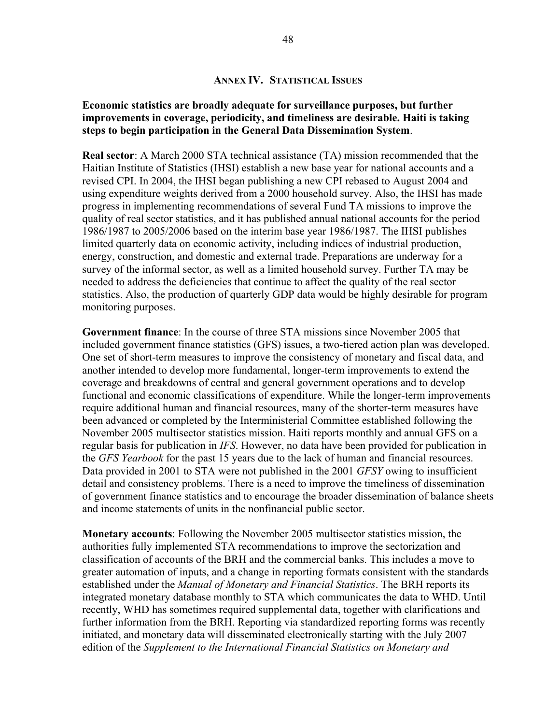#### **Economic statistics are broadly adequate for surveillance purposes, but further improvements in coverage, periodicity, and timeliness are desirable. Haiti is taking steps to begin participation in the General Data Dissemination System**.

**Real sector**: A March 2000 STA technical assistance (TA) mission recommended that the Haitian Institute of Statistics (IHSI) establish a new base year for national accounts and a revised CPI. In 2004, the IHSI began publishing a new CPI rebased to August 2004 and using expenditure weights derived from a 2000 household survey. Also, the IHSI has made progress in implementing recommendations of several Fund TA missions to improve the quality of real sector statistics, and it has published annual national accounts for the period 1986/1987 to 2005/2006 based on the interim base year 1986/1987. The IHSI publishes limited quarterly data on economic activity, including indices of industrial production, energy, construction, and domestic and external trade. Preparations are underway for a survey of the informal sector, as well as a limited household survey. Further TA may be needed to address the deficiencies that continue to affect the quality of the real sector statistics. Also, the production of quarterly GDP data would be highly desirable for program monitoring purposes.

**Government finance**: In the course of three STA missions since November 2005 that included government finance statistics (GFS) issues, a two-tiered action plan was developed. One set of short-term measures to improve the consistency of monetary and fiscal data, and another intended to develop more fundamental, longer-term improvements to extend the coverage and breakdowns of central and general government operations and to develop functional and economic classifications of expenditure. While the longer-term improvements require additional human and financial resources, many of the shorter-term measures have been advanced or completed by the Interministerial Committee established following the November 2005 multisector statistics mission. Haiti reports monthly and annual GFS on a regular basis for publication in *IFS*. However, no data have been provided for publication in the *GFS Yearbook* for the past 15 years due to the lack of human and financial resources. Data provided in 2001 to STA were not published in the 2001 *GFSY* owing to insufficient detail and consistency problems. There is a need to improve the timeliness of dissemination of government finance statistics and to encourage the broader dissemination of balance sheets and income statements of units in the nonfinancial public sector.

**Monetary accounts**: Following the November 2005 multisector statistics mission, the authorities fully implemented STA recommendations to improve the sectorization and classification of accounts of the BRH and the commercial banks. This includes a move to greater automation of inputs, and a change in reporting formats consistent with the standards established under the *Manual of Monetary and Financial Statistics*. The BRH reports its integrated monetary database monthly to STA which communicates the data to WHD. Until recently, WHD has sometimes required supplemental data, together with clarifications and further information from the BRH. Reporting via standardized reporting forms was recently initiated, and monetary data will disseminated electronically starting with the July 2007 edition of the *Supplement to the International Financial Statistics on Monetary and*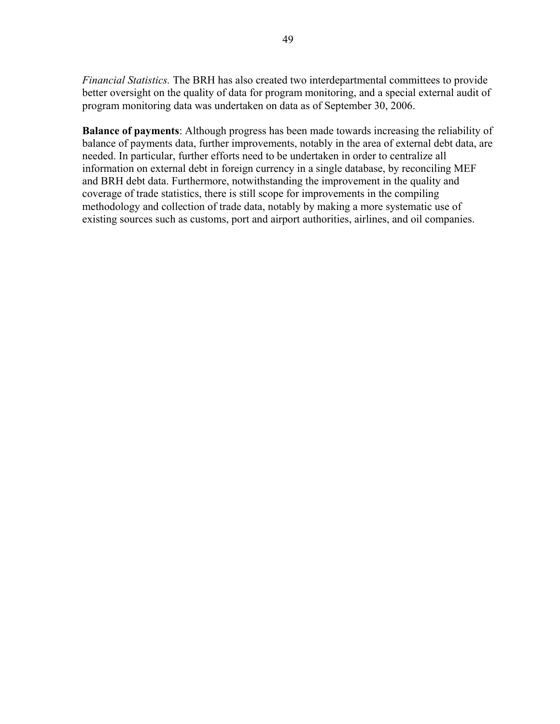*Financial Statistics.* The BRH has also created two interdepartmental committees to provide better oversight on the quality of data for program monitoring, and a special external audit of program monitoring data was undertaken on data as of September 30, 2006.

**Balance of payments**: Although progress has been made towards increasing the reliability of balance of payments data, further improvements, notably in the area of external debt data, are needed. In particular, further efforts need to be undertaken in order to centralize all information on external debt in foreign currency in a single database, by reconciling MEF and BRH debt data. Furthermore, notwithstanding the improvement in the quality and coverage of trade statistics, there is still scope for improvements in the compiling methodology and collection of trade data, notably by making a more systematic use of existing sources such as customs, port and airport authorities, airlines, and oil companies.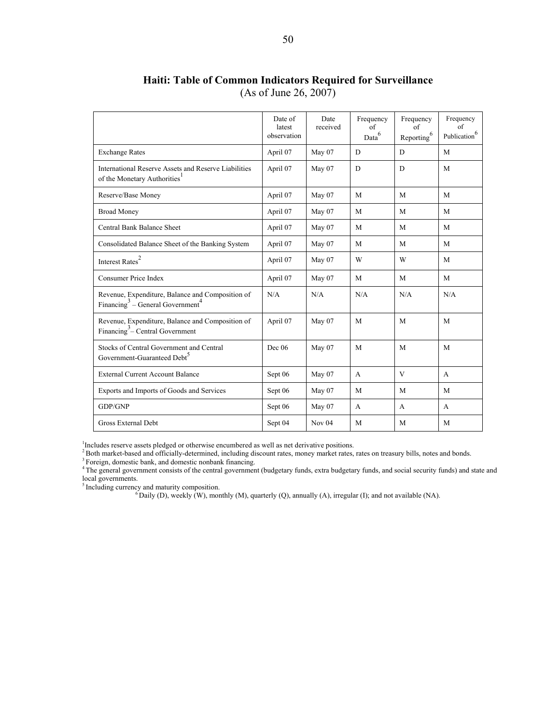|                                                                                                              | Date of<br>latest<br>observation | Date<br>received | Frequency<br>of<br>Data <sup>6</sup> | Frequency<br>of<br>Reporting <sup>6</sup> | Frequency<br>of<br>Publication $^{6}$ |
|--------------------------------------------------------------------------------------------------------------|----------------------------------|------------------|--------------------------------------|-------------------------------------------|---------------------------------------|
| <b>Exchange Rates</b>                                                                                        | April 07                         | May 07           | D                                    | D                                         | M                                     |
| International Reserve Assets and Reserve Liabilities<br>of the Monetary Authorities <sup>1</sup>             | April 07                         | May 07           | D                                    | D                                         | M                                     |
| Reserve/Base Money                                                                                           | April 07                         | May 07           | M                                    | M                                         | M                                     |
| <b>Broad Money</b>                                                                                           | April 07                         | May 07           | M                                    | M                                         | M                                     |
| Central Bank Balance Sheet                                                                                   | April 07                         | May 07           | M                                    | M                                         | M                                     |
| Consolidated Balance Sheet of the Banking System                                                             | April 07                         | May 07           | M                                    | M                                         | M                                     |
| Interest $\mbox{Rates}^2$                                                                                    | April 07                         | May 07           | W                                    | W                                         | M                                     |
| Consumer Price Index                                                                                         | April 07                         | May 07           | M                                    | M                                         | M                                     |
| Revenue, Expenditure, Balance and Composition of<br>Financing <sup>3</sup> – General Government <sup>4</sup> | N/A                              | N/A              | N/A                                  | N/A                                       | N/A                                   |
| Revenue, Expenditure, Balance and Composition of<br>Financing <sup>3</sup> – Central Government              | April 07                         | May 07           | M                                    | M                                         | M                                     |
| Stocks of Central Government and Central<br>Government-Guaranteed Debt <sup>5</sup>                          | Dec~06                           | May 07           | M                                    | M                                         | M                                     |
| <b>External Current Account Balance</b>                                                                      | Sept 06                          | May 07           | $\mathbf{A}$                         | V                                         | $\mathbf{A}$                          |
| Exports and Imports of Goods and Services                                                                    | Sept 06                          | May 07           | M                                    | M                                         | M                                     |
| GDP/GNP                                                                                                      | Sept 06                          | May 07           | A                                    | $\mathsf{A}$                              | $\mathsf{A}$                          |
| Gross External Debt                                                                                          | Sept 04                          | Nov $04$         | M                                    | M                                         | M                                     |

### **Haiti: Table of Common Indicators Required for Surveillance**  (As of June 26, 2007)

<sup>1</sup>Includes reserve assets pledged or otherwise encumbered as well as net derivative positions.<br>
<sup>2</sup>Both market-based and officially-determined, including discount rates, money market rates, rates on treasury bills, notes

<sup>4</sup>The general government consists of the central government (budgetary funds, extra budgetary funds, and social security funds) and state and local governments.<br><sup>5</sup>Including currency and maturity composition.

 $\delta$ Daily (D), weekly (W), monthly (M), quarterly (Q), annually (A), irregular (I); and not available (NA).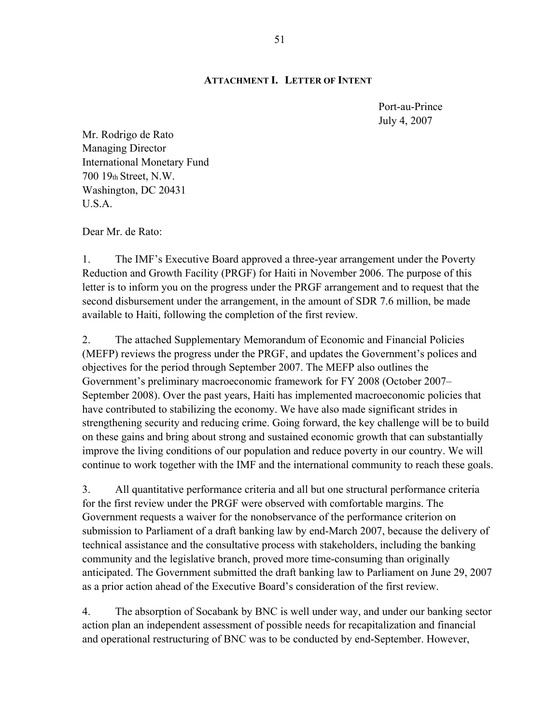#### **ATTACHMENT I. LETTER OF INTENT**

Port-au-Prince July 4, 2007

Mr. Rodrigo de Rato Managing Director International Monetary Fund 700 19th Street, N.W. Washington, DC 20431 U.S.A.

Dear Mr. de Rato:

1. The IMF's Executive Board approved a three-year arrangement under the Poverty Reduction and Growth Facility (PRGF) for Haiti in November 2006. The purpose of this letter is to inform you on the progress under the PRGF arrangement and to request that the second disbursement under the arrangement, in the amount of SDR 7.6 million, be made available to Haiti, following the completion of the first review.

2. The attached Supplementary Memorandum of Economic and Financial Policies (MEFP) reviews the progress under the PRGF, and updates the Government's polices and objectives for the period through September 2007. The MEFP also outlines the Government's preliminary macroeconomic framework for FY 2008 (October 2007– September 2008). Over the past years, Haiti has implemented macroeconomic policies that have contributed to stabilizing the economy. We have also made significant strides in strengthening security and reducing crime. Going forward, the key challenge will be to build on these gains and bring about strong and sustained economic growth that can substantially improve the living conditions of our population and reduce poverty in our country. We will continue to work together with the IMF and the international community to reach these goals.

3. All quantitative performance criteria and all but one structural performance criteria for the first review under the PRGF were observed with comfortable margins. The Government requests a waiver for the nonobservance of the performance criterion on submission to Parliament of a draft banking law by end-March 2007, because the delivery of technical assistance and the consultative process with stakeholders, including the banking community and the legislative branch, proved more time-consuming than originally anticipated. The Government submitted the draft banking law to Parliament on June 29, 2007 as a prior action ahead of the Executive Board's consideration of the first review.

4. The absorption of Socabank by BNC is well under way, and under our banking sector action plan an independent assessment of possible needs for recapitalization and financial and operational restructuring of BNC was to be conducted by end-September. However,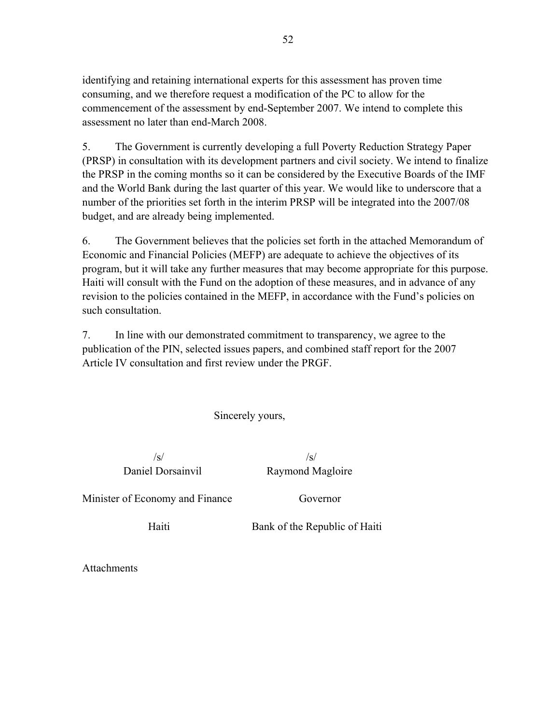identifying and retaining international experts for this assessment has proven time consuming, and we therefore request a modification of the PC to allow for the commencement of the assessment by end-September 2007. We intend to complete this assessment no later than end-March 2008.

5. The Government is currently developing a full Poverty Reduction Strategy Paper (PRSP) in consultation with its development partners and civil society. We intend to finalize the PRSP in the coming months so it can be considered by the Executive Boards of the IMF and the World Bank during the last quarter of this year. We would like to underscore that a number of the priorities set forth in the interim PRSP will be integrated into the 2007/08 budget, and are already being implemented.

6. The Government believes that the policies set forth in the attached Memorandum of Economic and Financial Policies (MEFP) are adequate to achieve the objectives of its program, but it will take any further measures that may become appropriate for this purpose. Haiti will consult with the Fund on the adoption of these measures, and in advance of any revision to the policies contained in the MEFP, in accordance with the Fund's policies on such consultation.

7. In line with our demonstrated commitment to transparency, we agree to the publication of the PIN, selected issues papers, and combined staff report for the 2007 Article IV consultation and first review under the PRGF.

Sincerely yours,

 $\sqrt{s}/\sqrt{s}$ 

Daniel Dorsainvil Raymond Magloire

Minister of Economy and Finance Governor

Haiti Bank of the Republic of Haiti

**Attachments**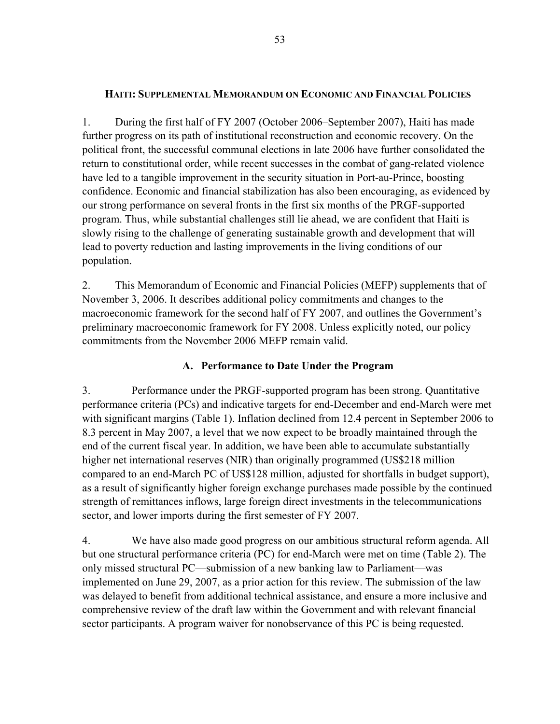#### **HAITI: SUPPLEMENTAL MEMORANDUM ON ECONOMIC AND FINANCIAL POLICIES**

1. During the first half of FY 2007 (October 2006–September 2007), Haiti has made further progress on its path of institutional reconstruction and economic recovery. On the political front, the successful communal elections in late 2006 have further consolidated the return to constitutional order, while recent successes in the combat of gang-related violence have led to a tangible improvement in the security situation in Port-au-Prince, boosting confidence. Economic and financial stabilization has also been encouraging, as evidenced by our strong performance on several fronts in the first six months of the PRGF-supported program. Thus, while substantial challenges still lie ahead, we are confident that Haiti is slowly rising to the challenge of generating sustainable growth and development that will lead to poverty reduction and lasting improvements in the living conditions of our population.

2. This Memorandum of Economic and Financial Policies (MEFP) supplements that of November 3, 2006. It describes additional policy commitments and changes to the macroeconomic framework for the second half of FY 2007, and outlines the Government's preliminary macroeconomic framework for FY 2008. Unless explicitly noted, our policy commitments from the November 2006 MEFP remain valid.

### **A. Performance to Date Under the Program**

3. Performance under the PRGF-supported program has been strong. Quantitative performance criteria (PCs) and indicative targets for end-December and end-March were met with significant margins (Table 1). Inflation declined from 12.4 percent in September 2006 to 8.3 percent in May 2007, a level that we now expect to be broadly maintained through the end of the current fiscal year. In addition, we have been able to accumulate substantially higher net international reserves (NIR) than originally programmed (US\$218 million compared to an end-March PC of US\$128 million, adjusted for shortfalls in budget support), as a result of significantly higher foreign exchange purchases made possible by the continued strength of remittances inflows, large foreign direct investments in the telecommunications sector, and lower imports during the first semester of FY 2007.

4. We have also made good progress on our ambitious structural reform agenda. All but one structural performance criteria (PC) for end-March were met on time (Table 2). The only missed structural PC—submission of a new banking law to Parliament—was implemented on June 29, 2007, as a prior action for this review. The submission of the law was delayed to benefit from additional technical assistance, and ensure a more inclusive and comprehensive review of the draft law within the Government and with relevant financial sector participants. A program waiver for nonobservance of this PC is being requested.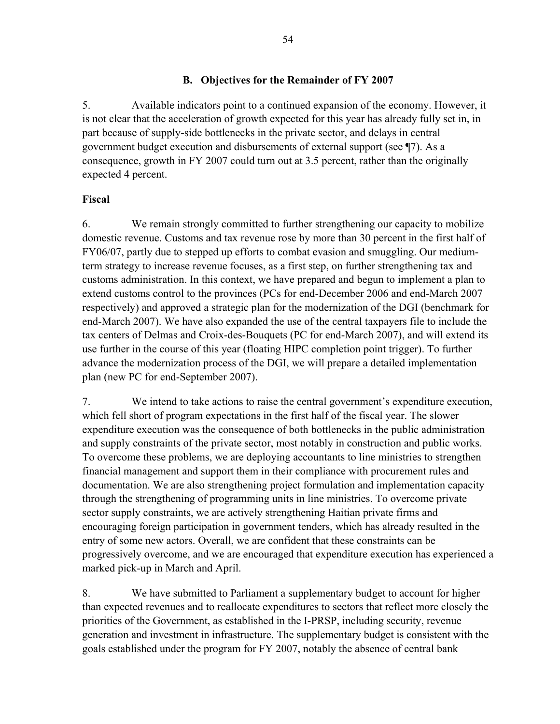### **B. Objectives for the Remainder of FY 2007**

5. Available indicators point to a continued expansion of the economy. However, it is not clear that the acceleration of growth expected for this year has already fully set in, in part because of supply-side bottlenecks in the private sector, and delays in central government budget execution and disbursements of external support (see ¶7). As a consequence, growth in FY 2007 could turn out at 3.5 percent, rather than the originally expected 4 percent.

#### **Fiscal**

6. We remain strongly committed to further strengthening our capacity to mobilize domestic revenue. Customs and tax revenue rose by more than 30 percent in the first half of FY06/07, partly due to stepped up efforts to combat evasion and smuggling. Our mediumterm strategy to increase revenue focuses, as a first step, on further strengthening tax and customs administration. In this context, we have prepared and begun to implement a plan to extend customs control to the provinces (PCs for end-December 2006 and end-March 2007 respectively) and approved a strategic plan for the modernization of the DGI (benchmark for end-March 2007). We have also expanded the use of the central taxpayers file to include the tax centers of Delmas and Croix-des-Bouquets (PC for end-March 2007), and will extend its use further in the course of this year (floating HIPC completion point trigger). To further advance the modernization process of the DGI, we will prepare a detailed implementation plan (new PC for end-September 2007).

7. We intend to take actions to raise the central government's expenditure execution, which fell short of program expectations in the first half of the fiscal year. The slower expenditure execution was the consequence of both bottlenecks in the public administration and supply constraints of the private sector, most notably in construction and public works. To overcome these problems, we are deploying accountants to line ministries to strengthen financial management and support them in their compliance with procurement rules and documentation. We are also strengthening project formulation and implementation capacity through the strengthening of programming units in line ministries. To overcome private sector supply constraints, we are actively strengthening Haitian private firms and encouraging foreign participation in government tenders, which has already resulted in the entry of some new actors. Overall, we are confident that these constraints can be progressively overcome, and we are encouraged that expenditure execution has experienced a marked pick-up in March and April.

8. We have submitted to Parliament a supplementary budget to account for higher than expected revenues and to reallocate expenditures to sectors that reflect more closely the priorities of the Government, as established in the I-PRSP, including security, revenue generation and investment in infrastructure. The supplementary budget is consistent with the goals established under the program for FY 2007, notably the absence of central bank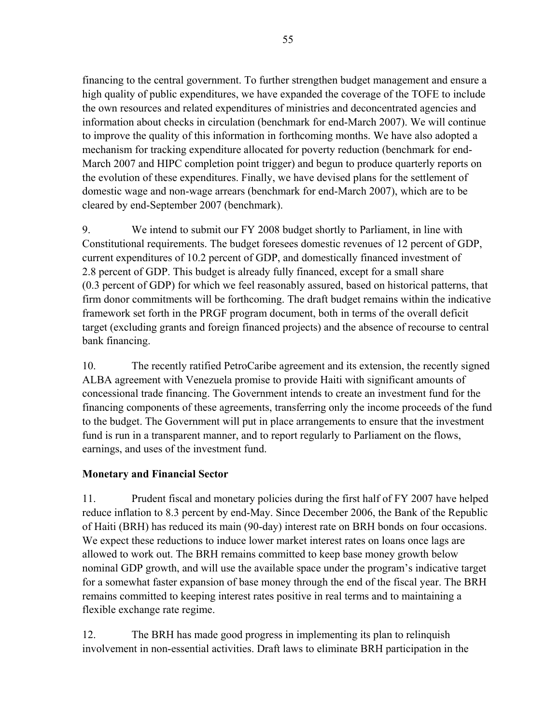financing to the central government. To further strengthen budget management and ensure a high quality of public expenditures, we have expanded the coverage of the TOFE to include the own resources and related expenditures of ministries and deconcentrated agencies and information about checks in circulation (benchmark for end-March 2007). We will continue to improve the quality of this information in forthcoming months. We have also adopted a mechanism for tracking expenditure allocated for poverty reduction (benchmark for end-March 2007 and HIPC completion point trigger) and begun to produce quarterly reports on the evolution of these expenditures. Finally, we have devised plans for the settlement of domestic wage and non-wage arrears (benchmark for end-March 2007), which are to be cleared by end-September 2007 (benchmark).

9. We intend to submit our FY 2008 budget shortly to Parliament, in line with Constitutional requirements. The budget foresees domestic revenues of 12 percent of GDP, current expenditures of 10.2 percent of GDP, and domestically financed investment of 2.8 percent of GDP. This budget is already fully financed, except for a small share (0.3 percent of GDP) for which we feel reasonably assured, based on historical patterns, that firm donor commitments will be forthcoming. The draft budget remains within the indicative framework set forth in the PRGF program document, both in terms of the overall deficit target (excluding grants and foreign financed projects) and the absence of recourse to central bank financing.

10. The recently ratified PetroCaribe agreement and its extension, the recently signed ALBA agreement with Venezuela promise to provide Haiti with significant amounts of concessional trade financing. The Government intends to create an investment fund for the financing components of these agreements, transferring only the income proceeds of the fund to the budget. The Government will put in place arrangements to ensure that the investment fund is run in a transparent manner, and to report regularly to Parliament on the flows, earnings, and uses of the investment fund.

### **Monetary and Financial Sector**

11. Prudent fiscal and monetary policies during the first half of FY 2007 have helped reduce inflation to 8.3 percent by end-May. Since December 2006, the Bank of the Republic of Haiti (BRH) has reduced its main (90-day) interest rate on BRH bonds on four occasions. We expect these reductions to induce lower market interest rates on loans once lags are allowed to work out. The BRH remains committed to keep base money growth below nominal GDP growth, and will use the available space under the program's indicative target for a somewhat faster expansion of base money through the end of the fiscal year. The BRH remains committed to keeping interest rates positive in real terms and to maintaining a flexible exchange rate regime.

12. The BRH has made good progress in implementing its plan to relinquish involvement in non-essential activities. Draft laws to eliminate BRH participation in the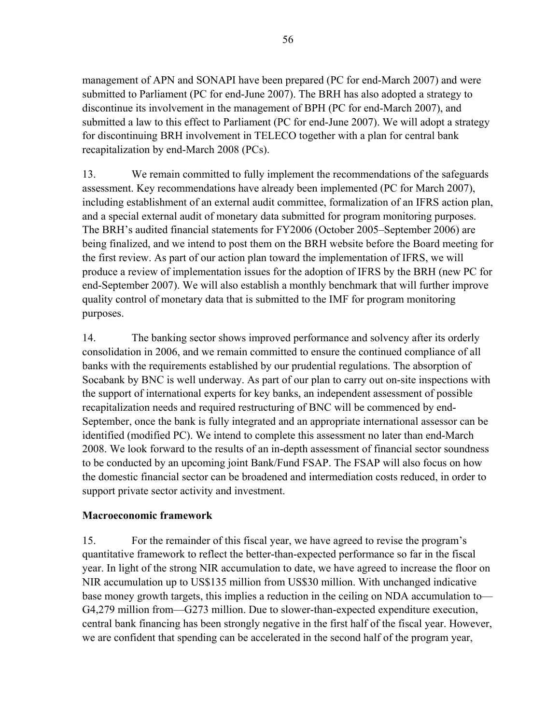management of APN and SONAPI have been prepared (PC for end-March 2007) and were submitted to Parliament (PC for end-June 2007). The BRH has also adopted a strategy to discontinue its involvement in the management of BPH (PC for end-March 2007), and submitted a law to this effect to Parliament (PC for end-June 2007). We will adopt a strategy for discontinuing BRH involvement in TELECO together with a plan for central bank recapitalization by end-March 2008 (PCs).

13. We remain committed to fully implement the recommendations of the safeguards assessment. Key recommendations have already been implemented (PC for March 2007), including establishment of an external audit committee, formalization of an IFRS action plan, and a special external audit of monetary data submitted for program monitoring purposes. The BRH's audited financial statements for FY2006 (October 2005–September 2006) are being finalized, and we intend to post them on the BRH website before the Board meeting for the first review. As part of our action plan toward the implementation of IFRS, we will produce a review of implementation issues for the adoption of IFRS by the BRH (new PC for end-September 2007). We will also establish a monthly benchmark that will further improve quality control of monetary data that is submitted to the IMF for program monitoring purposes.

14. The banking sector shows improved performance and solvency after its orderly consolidation in 2006, and we remain committed to ensure the continued compliance of all banks with the requirements established by our prudential regulations. The absorption of Socabank by BNC is well underway. As part of our plan to carry out on-site inspections with the support of international experts for key banks, an independent assessment of possible recapitalization needs and required restructuring of BNC will be commenced by end-September, once the bank is fully integrated and an appropriate international assessor can be identified (modified PC). We intend to complete this assessment no later than end-March 2008. We look forward to the results of an in-depth assessment of financial sector soundness to be conducted by an upcoming joint Bank/Fund FSAP. The FSAP will also focus on how the domestic financial sector can be broadened and intermediation costs reduced, in order to support private sector activity and investment.

### **Macroeconomic framework**

15. For the remainder of this fiscal year, we have agreed to revise the program's quantitative framework to reflect the better-than-expected performance so far in the fiscal year. In light of the strong NIR accumulation to date, we have agreed to increase the floor on NIR accumulation up to US\$135 million from US\$30 million. With unchanged indicative base money growth targets, this implies a reduction in the ceiling on NDA accumulation to— G4,279 million from—G273 million. Due to slower-than-expected expenditure execution, central bank financing has been strongly negative in the first half of the fiscal year. However, we are confident that spending can be accelerated in the second half of the program year,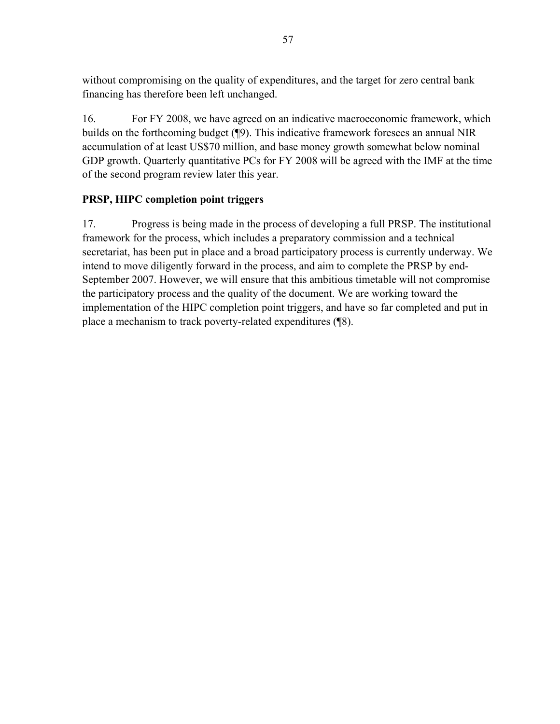without compromising on the quality of expenditures, and the target for zero central bank financing has therefore been left unchanged.

16. For FY 2008, we have agreed on an indicative macroeconomic framework, which builds on the forthcoming budget (¶9). This indicative framework foresees an annual NIR accumulation of at least US\$70 million, and base money growth somewhat below nominal GDP growth. Quarterly quantitative PCs for FY 2008 will be agreed with the IMF at the time of the second program review later this year.

### **PRSP, HIPC completion point triggers**

17. Progress is being made in the process of developing a full PRSP. The institutional framework for the process, which includes a preparatory commission and a technical secretariat, has been put in place and a broad participatory process is currently underway. We intend to move diligently forward in the process, and aim to complete the PRSP by end-September 2007. However, we will ensure that this ambitious timetable will not compromise the participatory process and the quality of the document. We are working toward the implementation of the HIPC completion point triggers, and have so far completed and put in place a mechanism to track poverty-related expenditures (¶8).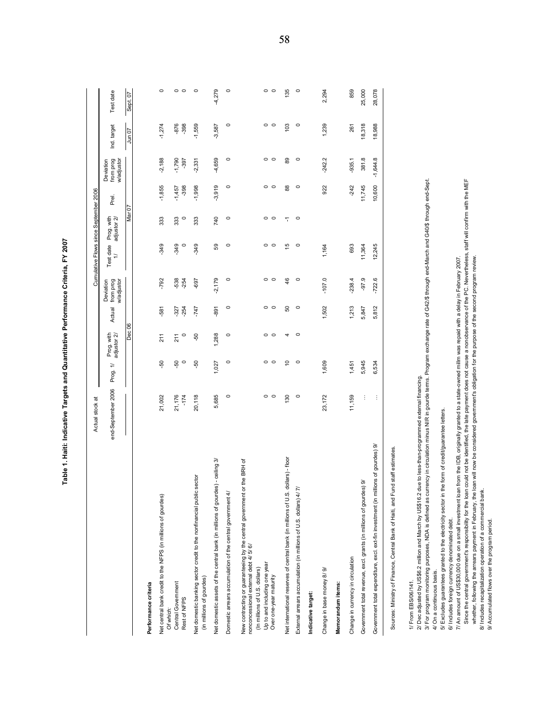|                                                                                                                                                                                                                                                      | Actual stock at                                                                                                                   |                 |                           |                  |                                      | Cumulative Flows since September 2006 |                           |                    |                                      |                 |                 |
|------------------------------------------------------------------------------------------------------------------------------------------------------------------------------------------------------------------------------------------------------|-----------------------------------------------------------------------------------------------------------------------------------|-----------------|---------------------------|------------------|--------------------------------------|---------------------------------------|---------------------------|--------------------|--------------------------------------|-----------------|-----------------|
|                                                                                                                                                                                                                                                      | end-September 2006                                                                                                                | Prog. 1/        | Prog. with<br>adjustor 2/ | Actual           | from prog<br>wladjustor<br>Deviation | Test date<br>$\Rightarrow$            | Prog. with<br>adjustor 2/ | Prel.              | from prog<br>w/adjustor<br>Deviation | Ind. target     | Test date       |
|                                                                                                                                                                                                                                                      |                                                                                                                                   |                 | Dec 06                    |                  |                                      |                                       | Mar 07                    |                    |                                      | 20 un 0         | Sept. 07        |
| Performance criteria                                                                                                                                                                                                                                 |                                                                                                                                   |                 |                           |                  |                                      |                                       |                           |                    |                                      |                 |                 |
| Net central bank credit to the NFPS (in millions of gourdes)                                                                                                                                                                                         | 21,002                                                                                                                            | βò              | 211                       | -581             | -792                                 | $-349$                                | 333                       | $-1,855$           | $-2,188$                             | $-1,274$        | $\circ$         |
| Central Government<br>Rest of NFPS<br>Of which:                                                                                                                                                                                                      | 21,176<br>$-174$                                                                                                                  | Ş,<br>$\circ$   | $\circ$<br>211            | $-254$<br>$-327$ | -538<br>$-254$                       | $\circ$<br>-349                       | 333<br>$\circ$            | $-398$<br>$-1,457$ | $-1,790$<br>$-397$                   | $-398$<br>-876  | $\circ$ $\circ$ |
| Net domestic banking sector credit to the nonfinancial public sector<br>(in millions of gourdes)                                                                                                                                                     | 20,118                                                                                                                            | -50             | $-50$                     | $-747$           | -697                                 | $-349$                                | 333                       | $-1,998$           | $-2,331$                             | $-1,559$        | $\circ$         |
| Net domestic assets of the central bank (in millions of gourdes) - ceiling 3/                                                                                                                                                                        | 5,685                                                                                                                             | 1,027           | 1,288                     | -891             | $-2,179$                             | 59                                    | 740                       | $-3,919$           | 4,659                                | $-3,587$        | $-4,279$        |
| ৰ<br>Domestic arrears accumulation of the central government                                                                                                                                                                                         | $\circ$                                                                                                                           | $\circ$         | $\circ$                   | $\circ$          | $\circ$                              | $\circ$                               | $\circ$                   | $\circ$            | $\circ$                              | $\circ$         | $\circ$         |
| New contracting or guaranteeing by the central government or the BRH of<br>nonconcessional external debt 4/ 5/6/<br>Up to and including one year<br>(In millions of U.S. dollars)<br>Over one-year maturity                                          | $\circ$ $\circ$                                                                                                                   | $\circ$ $\circ$ | $\circ$ $\circ$           | $\circ$ $\circ$  | $\circ$ $\circ$                      | $\circ$ $\circ$                       | $\circ$ $\circ$           | $\circ$ $\circ$    | $\circ$ $\circ$                      | $\circ$ $\circ$ | $\circ$ $\circ$ |
| S. dollars) - floor<br>Net international reserves of central bank (in millions of U.                                                                                                                                                                 | 130                                                                                                                               | $\overline{c}$  | 4                         | 8                | $\frac{4}{6}$                        | $\frac{5}{2}$                         | 7                         | $_{88}$            | 89                                   | 103             | 135             |
| 4/7/<br>External arrears accumulation (in millions of U.S. dollars)                                                                                                                                                                                  | $\circ$                                                                                                                           | $\circ$         | $\circ$                   | $\circ$          | $\circ$                              | $\circ$                               | $\circ$                   | $\circ$            | $\circ$                              | $\circ$         | $\circ$         |
| Indicative target:                                                                                                                                                                                                                                   |                                                                                                                                   |                 |                           |                  |                                      |                                       |                           |                    |                                      |                 |                 |
| Change in base money 8/9/                                                                                                                                                                                                                            | 23,172                                                                                                                            | 1,609           |                           | 1,502            | $-107.0$                             | 1,164                                 |                           | 922                | $-242.2$                             | 1,239           | 2,294           |
| Memorandum items:                                                                                                                                                                                                                                    |                                                                                                                                   |                 |                           |                  |                                      |                                       |                           |                    |                                      |                 |                 |
| Change in currency in circulation                                                                                                                                                                                                                    | 11,159                                                                                                                            | 1,451           |                           | 1,213            | $-238.4$                             | 693                                   |                           | $-242$             | $-935.1$                             | 261             | 859             |
| Government total revenue, excl. grants (in millions of gourdes) 9/                                                                                                                                                                                   | ÷                                                                                                                                 | 5,945           |                           | 5,847            | $-97.9$                              | 11,364                                |                           | 11,745             | 381.8                                | 18,318          | 25,000          |
| millions of gourdes) 9/<br>Government total expenditure, excl. ext-fin investment (in                                                                                                                                                                | ÷                                                                                                                                 | 6,534           |                           | 5,812            | $-722.6$                             | 12,245                                |                           | 10,600             | $-1,644.8$                           | 18,988          | 28,078          |
| Fund staff estimates.<br>Sources: Ministry of Finance, Central Bank of Haiti, and                                                                                                                                                                    |                                                                                                                                   |                 |                           |                  |                                      |                                       |                           |                    |                                      |                 |                 |
| 2/ Dec adjusted by US\$6.2 million and March by US\$16.2 due to less-than-programmed external financing.<br>3/ For program monitoring purposes, NDA is defined as<br>1/ From EBS/06/141.                                                             | currency in circulation minus NIR in gourde terms. Program exchange rate of G42/\$ through end-March and G40/\$ through end-Sept. |                 |                           |                  |                                      |                                       |                           |                    |                                      |                 |                 |
| 5/ Excludes guarantees granted to the electricity sector in the form of credit/guarantee letters.<br>4/ On a continuous basis.                                                                                                                       |                                                                                                                                   |                 |                           |                  |                                      |                                       |                           |                    |                                      |                 |                 |
| 6/ Includes foreign currency denominated debt.                                                                                                                                                                                                       |                                                                                                                                   |                 |                           |                  |                                      |                                       |                           |                    |                                      |                 |                 |
| Since the central government's responsibility for the loan could not be identified, the late payment does not cause a nonobservance of the PC. Nevertheless, staff will confirm with the MEF<br>7/ An amount of US\$30,000 due on a small investment | loan from the IDB, originally granted to a state-owned millm was repaid with a delay in February 2007.                            |                 |                           |                  |                                      |                                       |                           |                    |                                      |                 |                 |
| whether, following the arrears payment in February, the loan will now be considered government's obligation for the purpose of the second program review                                                                                             |                                                                                                                                   |                 |                           |                  |                                      |                                       |                           |                    |                                      |                 |                 |
| 8/ Includes recapitalization operation of a commercial bank.                                                                                                                                                                                         |                                                                                                                                   |                 |                           |                  |                                      |                                       |                           |                    |                                      |                 |                 |
| 9/ Accumulated flows over the program period.                                                                                                                                                                                                        |                                                                                                                                   |                 |                           |                  |                                      |                                       |                           |                    |                                      |                 |                 |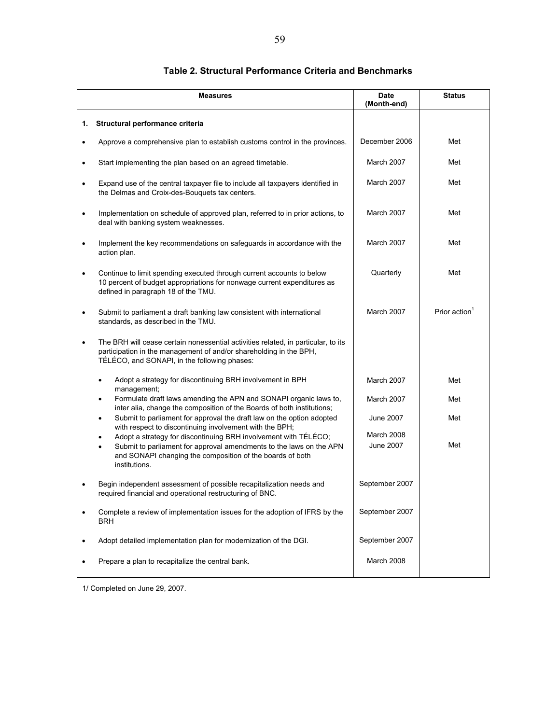|           | <b>Measures</b>                                                                                                                                                                                                      | <b>Date</b><br>(Month-end) | <b>Status</b>             |
|-----------|----------------------------------------------------------------------------------------------------------------------------------------------------------------------------------------------------------------------|----------------------------|---------------------------|
| 1.        | Structural performance criteria                                                                                                                                                                                      |                            |                           |
|           | Approve a comprehensive plan to establish customs control in the provinces.                                                                                                                                          | December 2006              | Met                       |
| ٠         | Start implementing the plan based on an agreed timetable.                                                                                                                                                            | March 2007                 | Met                       |
| $\bullet$ | Expand use of the central taxpayer file to include all taxpayers identified in<br>the Delmas and Croix-des-Bouquets tax centers.                                                                                     | March 2007                 | Met                       |
| ٠         | Implementation on schedule of approved plan, referred to in prior actions, to<br>deal with banking system weaknesses.                                                                                                | March 2007                 | Met                       |
| $\bullet$ | Implement the key recommendations on safeguards in accordance with the<br>action plan.                                                                                                                               | March 2007                 | Met                       |
| ٠         | Continue to limit spending executed through current accounts to below<br>10 percent of budget appropriations for nonwage current expenditures as<br>defined in paragraph 18 of the TMU.                              | Quarterly                  | Met                       |
|           | Submit to parliament a draft banking law consistent with international<br>standards, as described in the TMU.                                                                                                        | March 2007                 | Prior action <sup>1</sup> |
| $\bullet$ | The BRH will cease certain nonessential activities related, in particular, to its<br>participation in the management of and/or shareholding in the BPH,<br>TÉLÉCO, and SONAPI, in the following phases:              |                            |                           |
|           | Adopt a strategy for discontinuing BRH involvement in BPH<br>٠<br>management;                                                                                                                                        | March 2007                 | Met                       |
|           | Formulate draft laws amending the APN and SONAPI organic laws to,<br>inter alia, change the composition of the Boards of both institutions;                                                                          | March 2007                 | Met                       |
|           | Submit to parliament for approval the draft law on the option adopted<br>$\bullet$<br>with respect to discontinuing involvement with the BPH;                                                                        | June 2007                  | Met                       |
|           | Adopt a strategy for discontinuing BRH involvement with TÉLÉCO;<br>Submit to parliament for approval amendments to the laws on the APN<br>and SONAPI changing the composition of the boards of both<br>institutions. | March 2008<br>June 2007    | Met                       |
|           | Begin independent assessment of possible recapitalization needs and<br>required financial and operational restructuring of BNC.                                                                                      | September 2007             |                           |
|           | Complete a review of implementation issues for the adoption of IFRS by the<br><b>BRH</b>                                                                                                                             | September 2007             |                           |
|           | Adopt detailed implementation plan for modernization of the DGI.                                                                                                                                                     | September 2007             |                           |
|           | Prepare a plan to recapitalize the central bank.                                                                                                                                                                     | March 2008                 |                           |

#### **Table 2. Structural Performance Criteria and Benchmarks**

1/ Completed on June 29, 2007.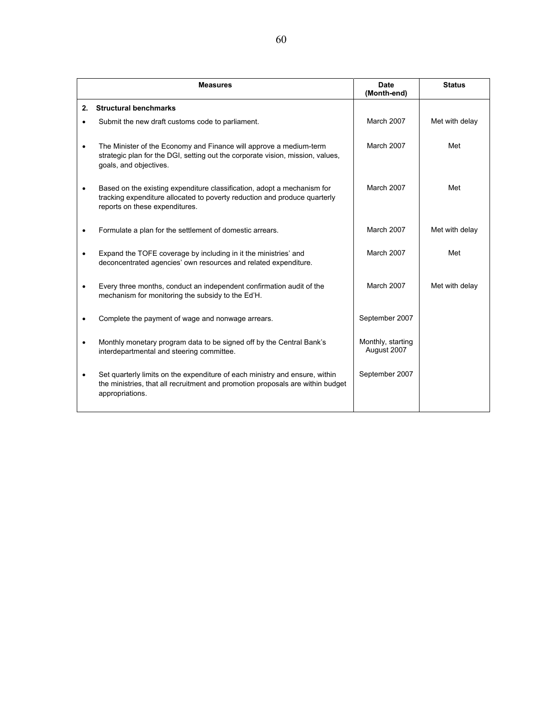|    | <b>Measures</b>                                                                                                                                                                        | <b>Date</b><br>(Month-end)       | <b>Status</b>  |
|----|----------------------------------------------------------------------------------------------------------------------------------------------------------------------------------------|----------------------------------|----------------|
| 2. | <b>Structural benchmarks</b>                                                                                                                                                           |                                  |                |
|    | Submit the new draft customs code to parliament.                                                                                                                                       | <b>March 2007</b>                | Met with delay |
|    | The Minister of the Economy and Finance will approve a medium-term<br>strategic plan for the DGI, setting out the corporate vision, mission, values,<br>goals, and objectives.         | March 2007                       | Met            |
|    | Based on the existing expenditure classification, adopt a mechanism for<br>tracking expenditure allocated to poverty reduction and produce quarterly<br>reports on these expenditures. | March 2007                       | Met            |
|    | Formulate a plan for the settlement of domestic arrears.                                                                                                                               | <b>March 2007</b>                | Met with delay |
|    | Expand the TOFE coverage by including in it the ministries' and<br>deconcentrated agencies' own resources and related expenditure.                                                     | March 2007                       | Met            |
|    | Every three months, conduct an independent confirmation audit of the<br>mechanism for monitoring the subsidy to the Ed'H.                                                              | March 2007                       | Met with delay |
|    | Complete the payment of wage and nonwage arrears.                                                                                                                                      | September 2007                   |                |
|    | Monthly monetary program data to be signed off by the Central Bank's<br>interdepartmental and steering committee.                                                                      | Monthly, starting<br>August 2007 |                |
|    | Set quarterly limits on the expenditure of each ministry and ensure, within<br>the ministries, that all recruitment and promotion proposals are within budget<br>appropriations.       | September 2007                   |                |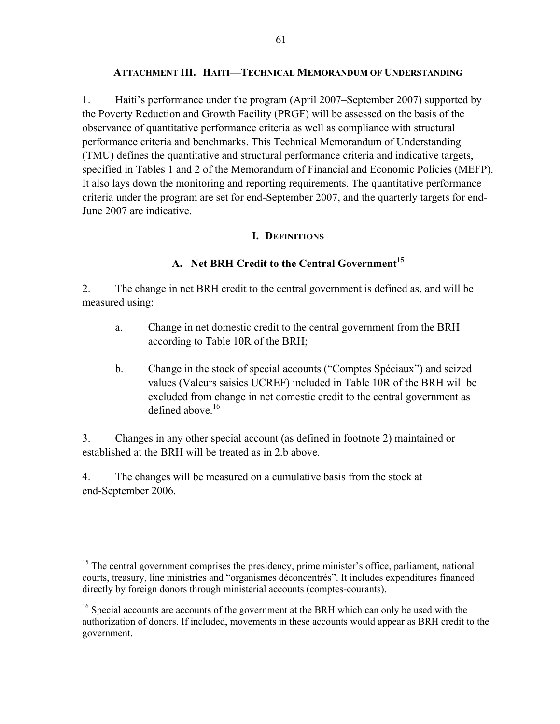#### **ATTACHMENT III. HAITI—TECHNICAL MEMORANDUM OF UNDERSTANDING**

1. Haiti's performance under the program (April 2007–September 2007) supported by the Poverty Reduction and Growth Facility (PRGF) will be assessed on the basis of the observance of quantitative performance criteria as well as compliance with structural performance criteria and benchmarks. This Technical Memorandum of Understanding (TMU) defines the quantitative and structural performance criteria and indicative targets, specified in Tables 1 and 2 of the Memorandum of Financial and Economic Policies (MEFP). It also lays down the monitoring and reporting requirements. The quantitative performance criteria under the program are set for end-September 2007, and the quarterly targets for end-June 2007 are indicative.

### **I. DEFINITIONS**

# A. Net BRH Credit to the Central Government<sup>15</sup>

2. The change in net BRH credit to the central government is defined as, and will be measured using:

- a. Change in net domestic credit to the central government from the BRH according to Table 10R of the BRH;
- b. Change in the stock of special accounts ("Comptes Spéciaux") and seized values (Valeurs saisies UCREF) included in Table 10R of the BRH will be excluded from change in net domestic credit to the central government as defined above  $16$

3. Changes in any other special account (as defined in footnote 2) maintained or established at the BRH will be treated as in 2.b above.

4. The changes will be measured on a cumulative basis from the stock at end-September 2006.

 $\overline{a}$  $15$  The central government comprises the presidency, prime minister's office, parliament, national courts, treasury, line ministries and "organismes déconcentrés". It includes expenditures financed directly by foreign donors through ministerial accounts (comptes-courants).

 $16$  Special accounts are accounts of the government at the BRH which can only be used with the authorization of donors. If included, movements in these accounts would appear as BRH credit to the government.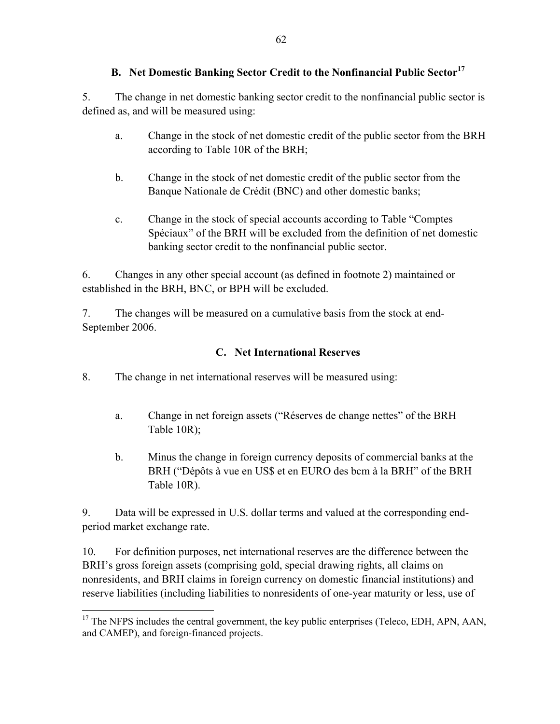# **B. Net Domestic Banking Sector Credit to the Nonfinancial Public Sector<sup>17</sup>**

5. The change in net domestic banking sector credit to the nonfinancial public sector is defined as, and will be measured using:

- a. Change in the stock of net domestic credit of the public sector from the BRH according to Table 10R of the BRH;
- b. Change in the stock of net domestic credit of the public sector from the Banque Nationale de Crédit (BNC) and other domestic banks;
- c. Change in the stock of special accounts according to Table "Comptes Spéciaux" of the BRH will be excluded from the definition of net domestic banking sector credit to the nonfinancial public sector.

6. Changes in any other special account (as defined in footnote 2) maintained or established in the BRH, BNC, or BPH will be excluded.

7. The changes will be measured on a cumulative basis from the stock at end-September 2006.

### **C. Net International Reserves**

8. The change in net international reserves will be measured using:

- a. Change in net foreign assets ("Réserves de change nettes" of the BRH Table 10R);
- b. Minus the change in foreign currency deposits of commercial banks at the BRH ("Dépôts à vue en US\$ et en EURO des bcm à la BRH" of the BRH Table 10R).

9. Data will be expressed in U.S. dollar terms and valued at the corresponding endperiod market exchange rate.

10. For definition purposes, net international reserves are the difference between the BRH's gross foreign assets (comprising gold, special drawing rights, all claims on nonresidents, and BRH claims in foreign currency on domestic financial institutions) and reserve liabilities (including liabilities to nonresidents of one-year maturity or less, use of

<u>.</u>

 $17$  The NFPS includes the central government, the key public enterprises (Teleco, EDH, APN, AAN, and CAMEP), and foreign-financed projects.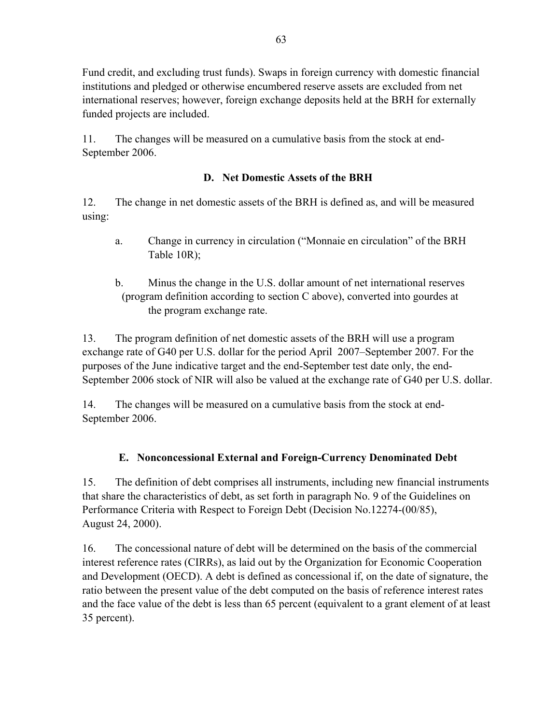Fund credit, and excluding trust funds). Swaps in foreign currency with domestic financial institutions and pledged or otherwise encumbered reserve assets are excluded from net international reserves; however, foreign exchange deposits held at the BRH for externally funded projects are included.

11. The changes will be measured on a cumulative basis from the stock at end-September 2006.

# **D. Net Domestic Assets of the BRH**

12. The change in net domestic assets of the BRH is defined as, and will be measured using:

- a. Change in currency in circulation ("Monnaie en circulation" of the BRH Table 10R);
- b. Minus the change in the U.S. dollar amount of net international reserves (program definition according to section C above), converted into gourdes at the program exchange rate.

13. The program definition of net domestic assets of the BRH will use a program exchange rate of G40 per U.S. dollar for the period April 2007–September 2007. For the purposes of the June indicative target and the end-September test date only, the end-September 2006 stock of NIR will also be valued at the exchange rate of G40 per U.S. dollar.

14. The changes will be measured on a cumulative basis from the stock at end-September 2006.

# **E. Nonconcessional External and Foreign-Currency Denominated Debt**

15. The definition of debt comprises all instruments, including new financial instruments that share the characteristics of debt, as set forth in paragraph No. 9 of the Guidelines on Performance Criteria with Respect to Foreign Debt (Decision No.12274-(00/85), August 24, 2000).

16. The concessional nature of debt will be determined on the basis of the commercial interest reference rates (CIRRs), as laid out by the Organization for Economic Cooperation and Development (OECD). A debt is defined as concessional if, on the date of signature, the ratio between the present value of the debt computed on the basis of reference interest rates and the face value of the debt is less than 65 percent (equivalent to a grant element of at least 35 percent).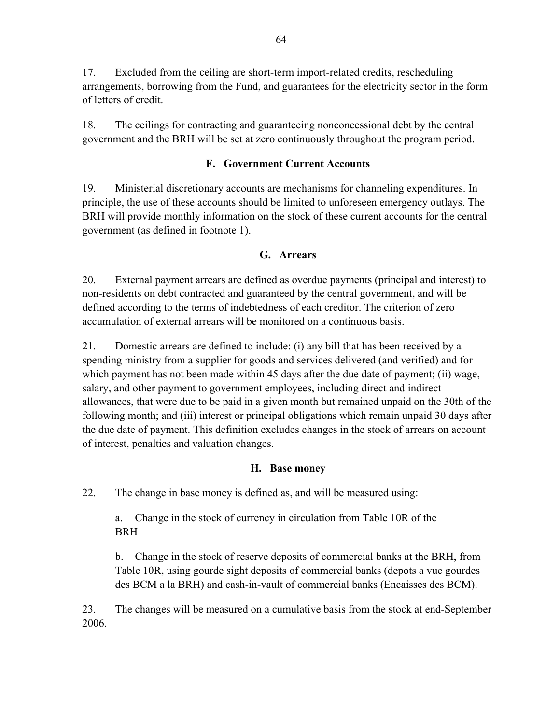17. Excluded from the ceiling are short-term import-related credits, rescheduling arrangements, borrowing from the Fund, and guarantees for the electricity sector in the form of letters of credit.

18. The ceilings for contracting and guaranteeing nonconcessional debt by the central government and the BRH will be set at zero continuously throughout the program period.

# **F. Government Current Accounts**

19. Ministerial discretionary accounts are mechanisms for channeling expenditures. In principle, the use of these accounts should be limited to unforeseen emergency outlays. The BRH will provide monthly information on the stock of these current accounts for the central government (as defined in footnote 1).

### **G. Arrears**

20. External payment arrears are defined as overdue payments (principal and interest) to non-residents on debt contracted and guaranteed by the central government, and will be defined according to the terms of indebtedness of each creditor. The criterion of zero accumulation of external arrears will be monitored on a continuous basis.

21. Domestic arrears are defined to include: (i) any bill that has been received by a spending ministry from a supplier for goods and services delivered (and verified) and for which payment has not been made within 45 days after the due date of payment; (ii) wage, salary, and other payment to government employees, including direct and indirect allowances, that were due to be paid in a given month but remained unpaid on the 30th of the following month; and (iii) interest or principal obligations which remain unpaid 30 days after the due date of payment. This definition excludes changes in the stock of arrears on account of interest, penalties and valuation changes.

### **H. Base money**

22. The change in base money is defined as, and will be measured using:

a. Change in the stock of currency in circulation from Table 10R of the BRH

b. Change in the stock of reserve deposits of commercial banks at the BRH, from Table 10R, using gourde sight deposits of commercial banks (depots a vue gourdes des BCM a la BRH) and cash-in-vault of commercial banks (Encaisses des BCM).

23. The changes will be measured on a cumulative basis from the stock at end-September 2006.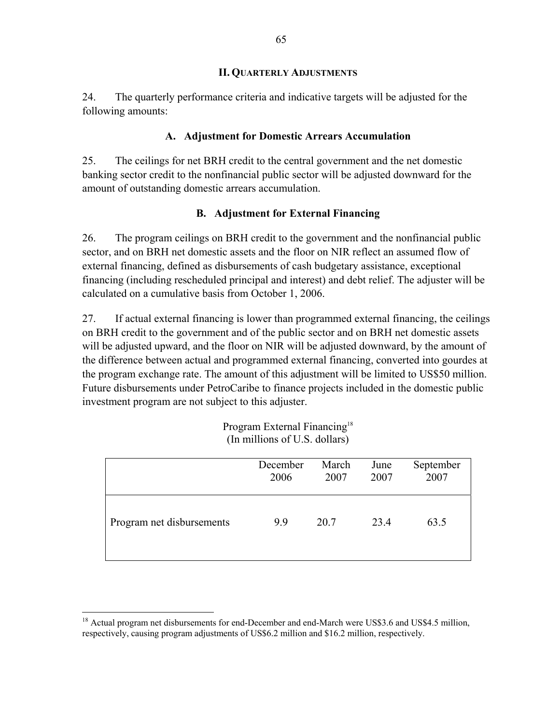#### **II. QUARTERLY ADJUSTMENTS**

24. The quarterly performance criteria and indicative targets will be adjusted for the following amounts:

#### **A. Adjustment for Domestic Arrears Accumulation**

25. The ceilings for net BRH credit to the central government and the net domestic banking sector credit to the nonfinancial public sector will be adjusted downward for the amount of outstanding domestic arrears accumulation.

#### **B. Adjustment for External Financing**

26. The program ceilings on BRH credit to the government and the nonfinancial public sector, and on BRH net domestic assets and the floor on NIR reflect an assumed flow of external financing, defined as disbursements of cash budgetary assistance, exceptional financing (including rescheduled principal and interest) and debt relief. The adjuster will be calculated on a cumulative basis from October 1, 2006.

27. If actual external financing is lower than programmed external financing, the ceilings on BRH credit to the government and of the public sector and on BRH net domestic assets will be adjusted upward, and the floor on NIR will be adjusted downward, by the amount of the difference between actual and programmed external financing, converted into gourdes at the program exchange rate. The amount of this adjustment will be limited to US\$50 million. Future disbursements under PetroCaribe to finance projects included in the domestic public investment program are not subject to this adjuster.

|                           | December | March | June | September |
|---------------------------|----------|-------|------|-----------|
|                           | 2006     | 2007  | 2007 | 2007      |
| Program net disbursements | 9.9      | 20.7  | 23.4 | 63.5      |

| Program External Financing <sup>18</sup> |
|------------------------------------------|
| (In millions of U.S. dollars)            |

 $\overline{a}$ 

<sup>&</sup>lt;sup>18</sup> Actual program net disbursements for end-December and end-March were US\$3.6 and US\$4.5 million, respectively, causing program adjustments of US\$6.2 million and \$16.2 million, respectively.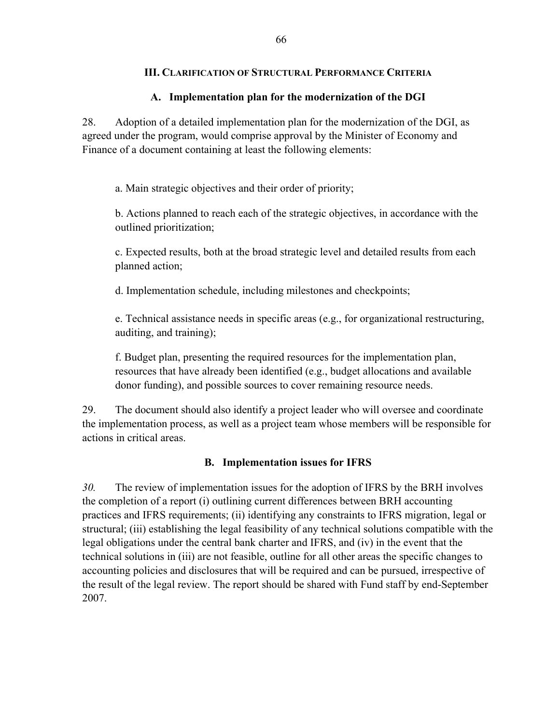### **III. CLARIFICATION OF STRUCTURAL PERFORMANCE CRITERIA**

### **A. Implementation plan for the modernization of the DGI**

28. Adoption of a detailed implementation plan for the modernization of the DGI, as agreed under the program, would comprise approval by the Minister of Economy and Finance of a document containing at least the following elements:

a. Main strategic objectives and their order of priority;

b. Actions planned to reach each of the strategic objectives, in accordance with the outlined prioritization;

c. Expected results, both at the broad strategic level and detailed results from each planned action;

d. Implementation schedule, including milestones and checkpoints;

e. Technical assistance needs in specific areas (e.g., for organizational restructuring, auditing, and training);

f. Budget plan, presenting the required resources for the implementation plan, resources that have already been identified (e.g., budget allocations and available donor funding), and possible sources to cover remaining resource needs.

29. The document should also identify a project leader who will oversee and coordinate the implementation process, as well as a project team whose members will be responsible for actions in critical areas.

### **B. Implementation issues for IFRS**

*30.* The review of implementation issues for the adoption of IFRS by the BRH involves the completion of a report (i) outlining current differences between BRH accounting practices and IFRS requirements; (ii) identifying any constraints to IFRS migration, legal or structural; (iii) establishing the legal feasibility of any technical solutions compatible with the legal obligations under the central bank charter and IFRS, and (iv) in the event that the technical solutions in (iii) are not feasible, outline for all other areas the specific changes to accounting policies and disclosures that will be required and can be pursued, irrespective of the result of the legal review. The report should be shared with Fund staff by end-September 2007.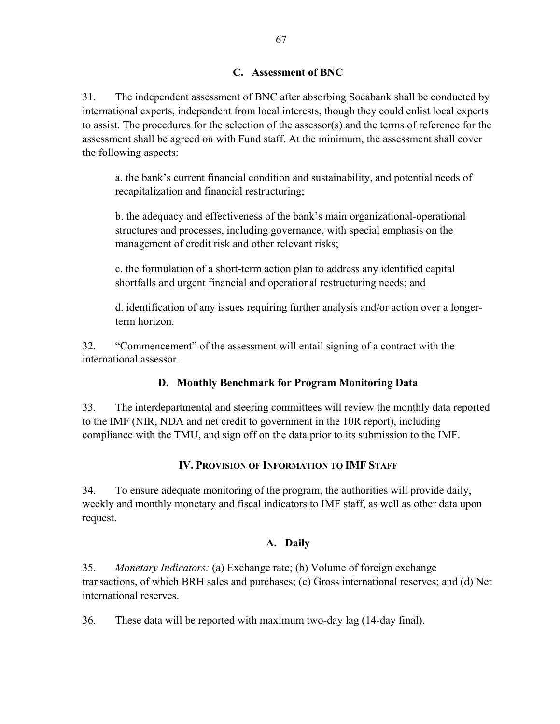### **C. Assessment of BNC**

31. The independent assessment of BNC after absorbing Socabank shall be conducted by international experts, independent from local interests, though they could enlist local experts to assist. The procedures for the selection of the assessor(s) and the terms of reference for the assessment shall be agreed on with Fund staff. At the minimum, the assessment shall cover the following aspects:

a. the bank's current financial condition and sustainability, and potential needs of recapitalization and financial restructuring;

b. the adequacy and effectiveness of the bank's main organizational-operational structures and processes, including governance, with special emphasis on the management of credit risk and other relevant risks;

c. the formulation of a short-term action plan to address any identified capital shortfalls and urgent financial and operational restructuring needs; and

d. identification of any issues requiring further analysis and/or action over a longerterm horizon.

32. "Commencement" of the assessment will entail signing of a contract with the international assessor.

# **D. Monthly Benchmark for Program Monitoring Data**

33. The interdepartmental and steering committees will review the monthly data reported to the IMF (NIR, NDA and net credit to government in the 10R report), including compliance with the TMU, and sign off on the data prior to its submission to the IMF.

# **IV. PROVISION OF INFORMATION TO IMF STAFF**

34. To ensure adequate monitoring of the program, the authorities will provide daily, weekly and monthly monetary and fiscal indicators to IMF staff, as well as other data upon request.

# **A. Daily**

35. *Monetary Indicators:* (a) Exchange rate; (b) Volume of foreign exchange transactions, of which BRH sales and purchases; (c) Gross international reserves; and (d) Net international reserves.

36. These data will be reported with maximum two-day lag (14-day final).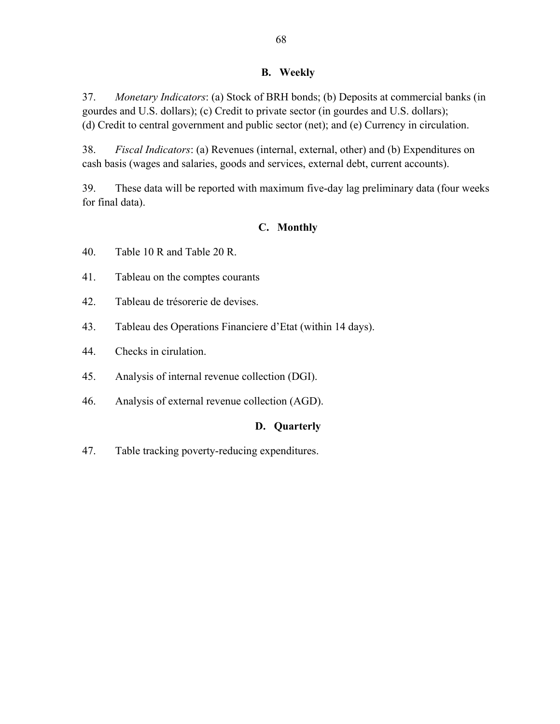#### **B. Weekly**

37. *Monetary Indicators*: (a) Stock of BRH bonds; (b) Deposits at commercial banks (in gourdes and U.S. dollars); (c) Credit to private sector (in gourdes and U.S. dollars); (d) Credit to central government and public sector (net); and (e) Currency in circulation.

38. *Fiscal Indicators*: (a) Revenues (internal, external, other) and (b) Expenditures on cash basis (wages and salaries, goods and services, external debt, current accounts).

39. These data will be reported with maximum five-day lag preliminary data (four weeks for final data).

# **C. Monthly**

40. Table 10 R and Table 20 R.

- 41. Tableau on the comptes courants
- 42. Tableau de trésorerie de devises.
- 43. Tableau des Operations Financiere d'Etat (within 14 days).
- 44. Checks in cirulation.
- 45. Analysis of internal revenue collection (DGI).
- 46. Analysis of external revenue collection (AGD).

### **D. Quarterly**

47. Table tracking poverty-reducing expenditures.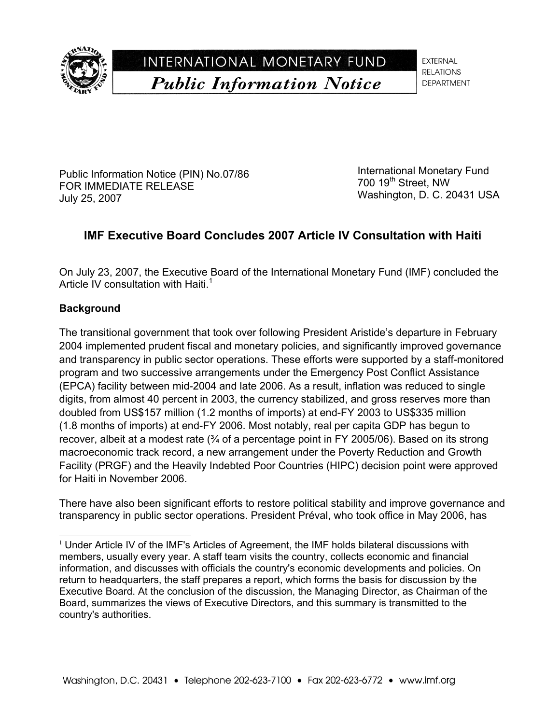

INTERNATIONAL MONETARY FUND **Public Information Notice** 

**EXTERNAL RELATIONS DEPARTMENT** 

Public Information Notice (PIN) No.07/86 FOR IMMEDIATE RELEASE July 25, 2007

International Monetary Fund 700 19<sup>th</sup> Street, NW Washington, D. C. 20431 USA

# **IMF Executive Board Concludes 2007 Article IV Consultation with Haiti**

On July 23, 2007, the Executive Board of the International Monetary Fund (IMF) concluded the Article IV consultation with Haiti.<sup>1</sup>

### **Background**

l

The transitional government that took over following President Aristide's departure in February 2004 implemented prudent fiscal and monetary policies, and significantly improved governance and transparency in public sector operations. These efforts were supported by a staff-monitored program and two successive arrangements under the Emergency Post Conflict Assistance (EPCA) facility between mid-2004 and late 2006. As a result, inflation was reduced to single digits, from almost 40 percent in 2003, the currency stabilized, and gross reserves more than doubled from US\$157 million (1.2 months of imports) at end-FY 2003 to US\$335 million (1.8 months of imports) at end-FY 2006. Most notably, real per capita GDP has begun to recover, albeit at a modest rate  $\frac{3}{4}$  of a percentage point in FY 2005/06). Based on its strong macroeconomic track record, a new arrangement under the Poverty Reduction and Growth Facility (PRGF) and the Heavily Indebted Poor Countries (HIPC) decision point were approved for Haiti in November 2006.

There have also been significant efforts to restore political stability and improve governance and transparency in public sector operations. President Préval, who took office in May 2006, has

 $1$  Under Article IV of the IMF's Articles of Agreement, the IMF holds bilateral discussions with members, usually every year. A staff team visits the country, collects economic and financial information, and discusses with officials the country's economic developments and policies. On return to headquarters, the staff prepares a report, which forms the basis for discussion by the Executive Board. At the conclusion of the discussion, the Managing Director, as Chairman of the Board, summarizes the views of Executive Directors, and this summary is transmitted to the country's authorities.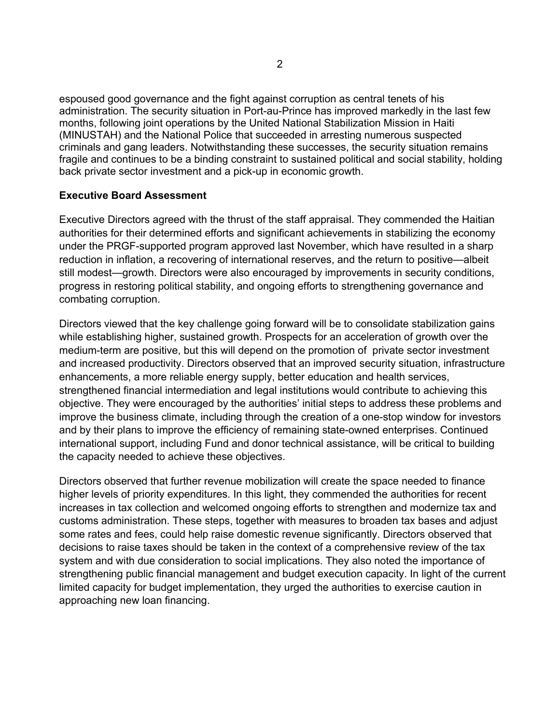espoused good governance and the fight against corruption as central tenets of his administration. The security situation in Port-au-Prince has improved markedly in the last few months, following joint operations by the United National Stabilization Mission in Haiti (MINUSTAH) and the National Police that succeeded in arresting numerous suspected criminals and gang leaders. Notwithstanding these successes, the security situation remains fragile and continues to be a binding constraint to sustained political and social stability, holding back private sector investment and a pick-up in economic growth.

#### **Executive Board Assessment**

Executive Directors agreed with the thrust of the staff appraisal. They commended the Haitian authorities for their determined efforts and significant achievements in stabilizing the economy under the PRGF-supported program approved last November, which have resulted in a sharp reduction in inflation, a recovering of international reserves, and the return to positive—albeit still modest—growth. Directors were also encouraged by improvements in security conditions, progress in restoring political stability, and ongoing efforts to strengthening governance and combating corruption.

Directors viewed that the key challenge going forward will be to consolidate stabilization gains while establishing higher, sustained growth. Prospects for an acceleration of growth over the medium-term are positive, but this will depend on the promotion of private sector investment and increased productivity. Directors observed that an improved security situation, infrastructure enhancements, a more reliable energy supply, better education and health services, strengthened financial intermediation and legal institutions would contribute to achieving this objective. They were encouraged by the authorities' initial steps to address these problems and improve the business climate, including through the creation of a one-stop window for investors and by their plans to improve the efficiency of remaining state-owned enterprises. Continued international support, including Fund and donor technical assistance, will be critical to building the capacity needed to achieve these objectives.

Directors observed that further revenue mobilization will create the space needed to finance higher levels of priority expenditures. In this light, they commended the authorities for recent increases in tax collection and welcomed ongoing efforts to strengthen and modernize tax and customs administration. These steps, together with measures to broaden tax bases and adjust some rates and fees, could help raise domestic revenue significantly. Directors observed that decisions to raise taxes should be taken in the context of a comprehensive review of the tax system and with due consideration to social implications. They also noted the importance of strengthening public financial management and budget execution capacity. In light of the current limited capacity for budget implementation, they urged the authorities to exercise caution in approaching new loan financing.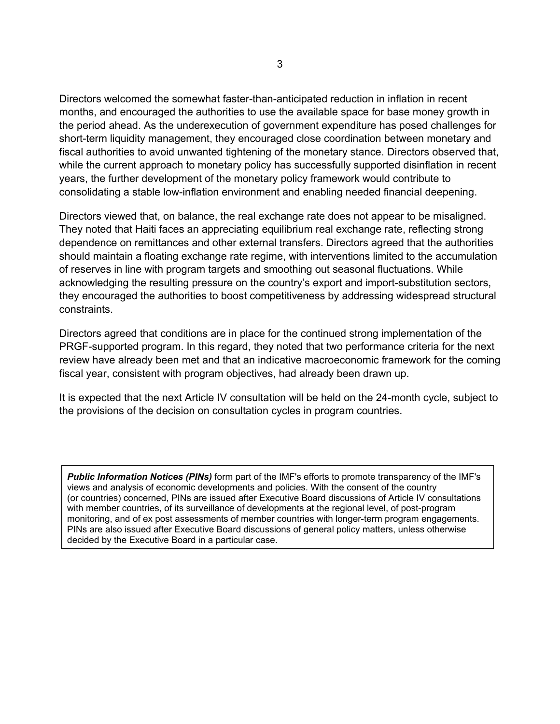Directors welcomed the somewhat faster-than-anticipated reduction in inflation in recent months, and encouraged the authorities to use the available space for base money growth in the period ahead. As the underexecution of government expenditure has posed challenges for short-term liquidity management, they encouraged close coordination between monetary and fiscal authorities to avoid unwanted tightening of the monetary stance. Directors observed that, while the current approach to monetary policy has successfully supported disinflation in recent years, the further development of the monetary policy framework would contribute to consolidating a stable low-inflation environment and enabling needed financial deepening.

Directors viewed that, on balance, the real exchange rate does not appear to be misaligned. They noted that Haiti faces an appreciating equilibrium real exchange rate, reflecting strong dependence on remittances and other external transfers. Directors agreed that the authorities should maintain a floating exchange rate regime, with interventions limited to the accumulation of reserves in line with program targets and smoothing out seasonal fluctuations. While acknowledging the resulting pressure on the country's export and import-substitution sectors, they encouraged the authorities to boost competitiveness by addressing widespread structural constraints.

Directors agreed that conditions are in place for the continued strong implementation of the PRGF-supported program. In this regard, they noted that two performance criteria for the next review have already been met and that an indicative macroeconomic framework for the coming fiscal year, consistent with program objectives, had already been drawn up.

It is expected that the next Article IV consultation will be held on the 24-month cycle, subject to the provisions of the decision on consultation cycles in program countries.

*Public Information Notices (PINs)* form part of the IMF's efforts to promote transparency of the IMF's views and analysis of economic developments and policies. With the consent of the country (or countries) concerned, PINs are issued after Executive Board discussions of Article IV consultations with member countries, of its surveillance of developments at the regional level, of post-program monitoring, and of ex post assessments of member countries with longer-term program engagements. PINs are also issued after Executive Board discussions of general policy matters, unless otherwise decided by the Executive Board in a particular case.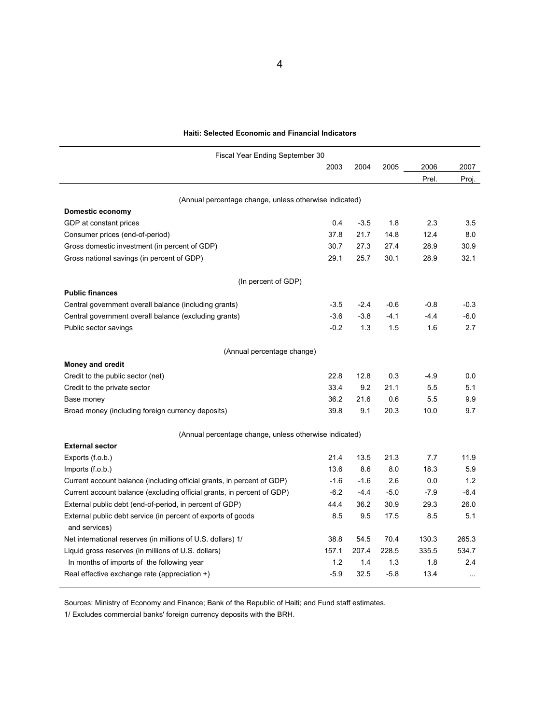| <b>Haiti: Selected Economic and Financial Indicators</b> |  |
|----------------------------------------------------------|--|
|----------------------------------------------------------|--|

| Fiscal Year Ending September 30                                               |        |        |        |        |           |  |
|-------------------------------------------------------------------------------|--------|--------|--------|--------|-----------|--|
|                                                                               | 2003   | 2004   | 2005   | 2006   | 2007      |  |
|                                                                               |        |        |        | Prel.  | Proj.     |  |
| (Annual percentage change, unless otherwise indicated)                        |        |        |        |        |           |  |
| Domestic economy                                                              |        |        |        |        |           |  |
| GDP at constant prices                                                        | 0.4    | $-3.5$ | 1.8    | 2.3    | 3.5       |  |
| Consumer prices (end-of-period)                                               | 37.8   | 21.7   | 14.8   | 12.4   | 8.0       |  |
| Gross domestic investment (in percent of GDP)                                 | 30.7   | 27.3   | 27.4   | 28.9   | 30.9      |  |
| Gross national savings (in percent of GDP)                                    | 29.1   | 25.7   | 30.1   | 28.9   | 32.1      |  |
| (In percent of GDP)                                                           |        |        |        |        |           |  |
| <b>Public finances</b>                                                        |        |        |        |        |           |  |
| Central government overall balance (including grants)                         | $-3.5$ | $-2.4$ | $-0.6$ | $-0.8$ | $-0.3$    |  |
| Central government overall balance (excluding grants)                         | $-3.6$ | $-3.8$ | $-4.1$ | $-4.4$ | $-6.0$    |  |
| Public sector savings                                                         | $-0.2$ | 1.3    | 1.5    | 1.6    | 2.7       |  |
|                                                                               |        |        |        |        |           |  |
| (Annual percentage change)                                                    |        |        |        |        |           |  |
| <b>Money and credit</b>                                                       |        |        |        |        |           |  |
| Credit to the public sector (net)                                             | 22.8   | 12.8   | 0.3    | $-4.9$ | 0.0       |  |
| Credit to the private sector                                                  | 33.4   | 9.2    | 21.1   | 5.5    | 5.1       |  |
| Base money                                                                    | 36.2   | 21.6   | 0.6    | 5.5    | 9.9       |  |
| Broad money (including foreign currency deposits)                             | 39.8   | 9.1    | 20.3   | 10.0   | 9.7       |  |
| (Annual percentage change, unless otherwise indicated)                        |        |        |        |        |           |  |
| <b>External sector</b>                                                        |        |        |        |        |           |  |
| Exports (f.o.b.)                                                              | 21.4   | 13.5   | 21.3   | 7.7    | 11.9      |  |
| Imports $(f.o.b.)$                                                            | 13.6   | 8.6    | 8.0    | 18.3   | 5.9       |  |
| Current account balance (including official grants, in percent of GDP)        | $-1.6$ | $-1.6$ | 2.6    | 0.0    | 1.2       |  |
| Current account balance (excluding official grants, in percent of GDP)        | $-6.2$ | $-4.4$ | $-5.0$ | $-7.9$ | $-6.4$    |  |
| External public debt (end-of-period, in percent of GDP)                       | 44.4   | 36.2   | 30.9   | 29.3   | 26.0      |  |
| External public debt service (in percent of exports of goods<br>and services) | 8.5    | 9.5    | 17.5   | 8.5    | 5.1       |  |
| Net international reserves (in millions of U.S. dollars) 1/                   | 38.8   | 54.5   | 70.4   | 130.3  | 265.3     |  |
| Liquid gross reserves (in millions of U.S. dollars)                           | 157.1  | 207.4  | 228.5  | 335.5  | 534.7     |  |
| In months of imports of the following year                                    | 1.2    | 1.4    | 1.3    | 1.8    | 2.4       |  |
| Real effective exchange rate (appreciation $+$ )                              | $-5.9$ | 32.5   | $-5.8$ | 13.4   | $\ddotsc$ |  |

Sources: Ministry of Economy and Finance; Bank of the Republic of Haiti; and Fund staff estimates.

1/ Excludes commercial banks' foreign currency deposits with the BRH.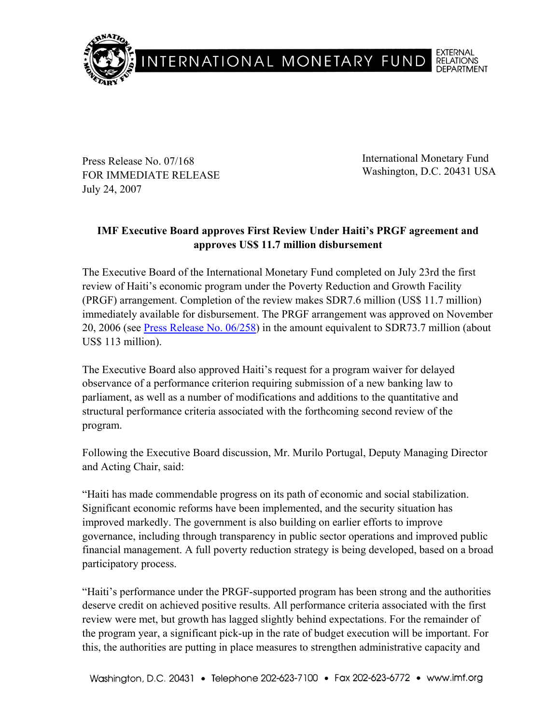

Press Release No. 07/168 FOR IMMEDIATE RELEASE July 24, 2007

International Monetary Fund Washington, D.C. 20431 USA

## **IMF Executive Board approves First Review Under Haiti's PRGF agreement and approves US\$ 11.7 million disbursement**

The Executive Board of the International Monetary Fund completed on July 23rd the first review of Haiti's economic program under the Poverty Reduction and Growth Facility (PRGF) arrangement. Completion of the review makes SDR7.6 million (US\$ 11.7 million) immediately available for disbursement. The PRGF arrangement was approved on November 20, 2006 (see Press Release No. 06/258) in the amount equivalent to SDR73.7 million (about US\$ 113 million).

The Executive Board also approved Haiti's request for a program waiver for delayed observance of a performance criterion requiring submission of a new banking law to parliament, as well as a number of modifications and additions to the quantitative and structural performance criteria associated with the forthcoming second review of the program.

Following the Executive Board discussion, Mr. Murilo Portugal, Deputy Managing Director and Acting Chair, said:

"Haiti has made commendable progress on its path of economic and social stabilization. Significant economic reforms have been implemented, and the security situation has improved markedly. The government is also building on earlier efforts to improve governance, including through transparency in public sector operations and improved public financial management. A full poverty reduction strategy is being developed, based on a broad participatory process.

"Haiti's performance under the PRGF-supported program has been strong and the authorities deserve credit on achieved positive results. All performance criteria associated with the first review were met, but growth has lagged slightly behind expectations. For the remainder of the program year, a significant pick-up in the rate of budget execution will be important. For this, the authorities are putting in place measures to strengthen administrative capacity and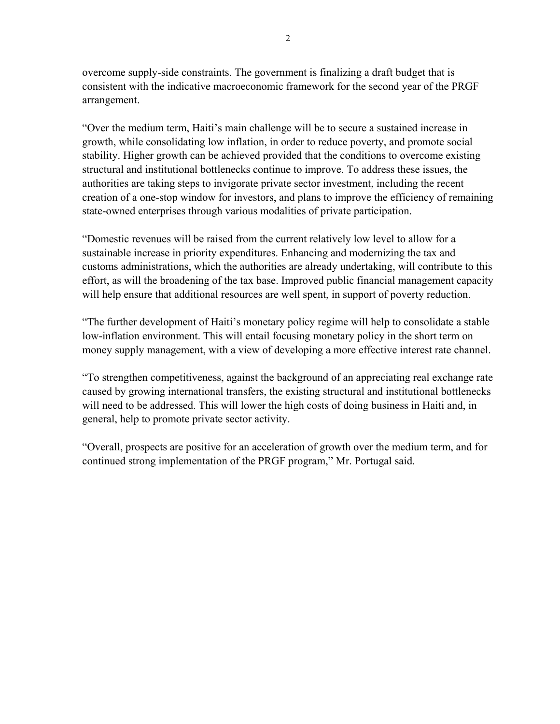overcome supply-side constraints. The government is finalizing a draft budget that is consistent with the indicative macroeconomic framework for the second year of the PRGF arrangement.

"Over the medium term, Haiti's main challenge will be to secure a sustained increase in growth, while consolidating low inflation, in order to reduce poverty, and promote social stability. Higher growth can be achieved provided that the conditions to overcome existing structural and institutional bottlenecks continue to improve. To address these issues, the authorities are taking steps to invigorate private sector investment, including the recent creation of a one-stop window for investors, and plans to improve the efficiency of remaining state-owned enterprises through various modalities of private participation.

"Domestic revenues will be raised from the current relatively low level to allow for a sustainable increase in priority expenditures. Enhancing and modernizing the tax and customs administrations, which the authorities are already undertaking, will contribute to this effort, as will the broadening of the tax base. Improved public financial management capacity will help ensure that additional resources are well spent, in support of poverty reduction.

"The further development of Haiti's monetary policy regime will help to consolidate a stable low-inflation environment. This will entail focusing monetary policy in the short term on money supply management, with a view of developing a more effective interest rate channel.

"To strengthen competitiveness, against the background of an appreciating real exchange rate caused by growing international transfers, the existing structural and institutional bottlenecks will need to be addressed. This will lower the high costs of doing business in Haiti and, in general, help to promote private sector activity.

"Overall, prospects are positive for an acceleration of growth over the medium term, and for continued strong implementation of the PRGF program," Mr. Portugal said.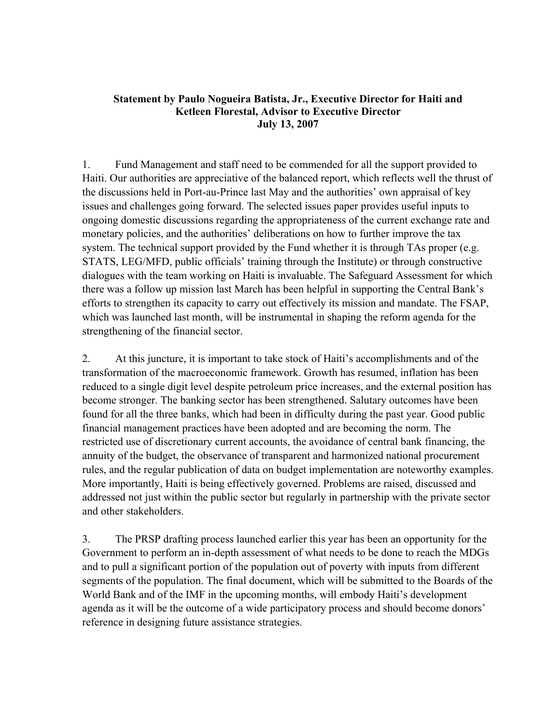## **Statement by Paulo Nogueira Batista, Jr., Executive Director for Haiti and Ketleen Florestal, Advisor to Executive Director July 13, 2007**

1. Fund Management and staff need to be commended for all the support provided to Haiti. Our authorities are appreciative of the balanced report, which reflects well the thrust of the discussions held in Port-au-Prince last May and the authorities' own appraisal of key issues and challenges going forward. The selected issues paper provides useful inputs to ongoing domestic discussions regarding the appropriateness of the current exchange rate and monetary policies, and the authorities' deliberations on how to further improve the tax system. The technical support provided by the Fund whether it is through TAs proper (e.g. STATS, LEG/MFD, public officials' training through the Institute) or through constructive dialogues with the team working on Haiti is invaluable. The Safeguard Assessment for which there was a follow up mission last March has been helpful in supporting the Central Bank's efforts to strengthen its capacity to carry out effectively its mission and mandate. The FSAP, which was launched last month, will be instrumental in shaping the reform agenda for the strengthening of the financial sector.

2. At this juncture, it is important to take stock of Haiti's accomplishments and of the transformation of the macroeconomic framework. Growth has resumed, inflation has been reduced to a single digit level despite petroleum price increases, and the external position has become stronger. The banking sector has been strengthened. Salutary outcomes have been found for all the three banks, which had been in difficulty during the past year. Good public financial management practices have been adopted and are becoming the norm. The restricted use of discretionary current accounts, the avoidance of central bank financing, the annuity of the budget, the observance of transparent and harmonized national procurement rules, and the regular publication of data on budget implementation are noteworthy examples. More importantly, Haiti is being effectively governed. Problems are raised, discussed and addressed not just within the public sector but regularly in partnership with the private sector and other stakeholders.

3. The PRSP drafting process launched earlier this year has been an opportunity for the Government to perform an in-depth assessment of what needs to be done to reach the MDGs and to pull a significant portion of the population out of poverty with inputs from different segments of the population. The final document, which will be submitted to the Boards of the World Bank and of the IMF in the upcoming months, will embody Haiti's development agenda as it will be the outcome of a wide participatory process and should become donors' reference in designing future assistance strategies.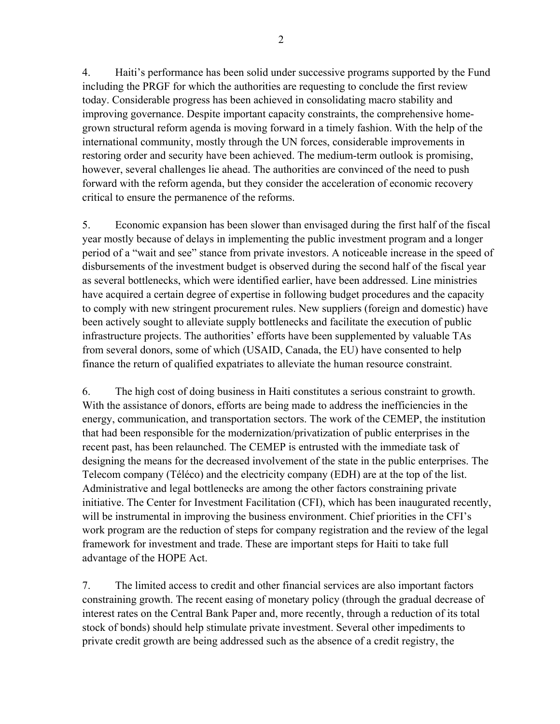4. Haiti's performance has been solid under successive programs supported by the Fund including the PRGF for which the authorities are requesting to conclude the first review today. Considerable progress has been achieved in consolidating macro stability and improving governance. Despite important capacity constraints, the comprehensive homegrown structural reform agenda is moving forward in a timely fashion. With the help of the international community, mostly through the UN forces, considerable improvements in restoring order and security have been achieved. The medium-term outlook is promising, however, several challenges lie ahead. The authorities are convinced of the need to push forward with the reform agenda, but they consider the acceleration of economic recovery critical to ensure the permanence of the reforms.

5. Economic expansion has been slower than envisaged during the first half of the fiscal year mostly because of delays in implementing the public investment program and a longer period of a "wait and see" stance from private investors. A noticeable increase in the speed of disbursements of the investment budget is observed during the second half of the fiscal year as several bottlenecks, which were identified earlier, have been addressed. Line ministries have acquired a certain degree of expertise in following budget procedures and the capacity to comply with new stringent procurement rules. New suppliers (foreign and domestic) have been actively sought to alleviate supply bottlenecks and facilitate the execution of public infrastructure projects. The authorities' efforts have been supplemented by valuable TAs from several donors, some of which (USAID, Canada, the EU) have consented to help finance the return of qualified expatriates to alleviate the human resource constraint.

6. The high cost of doing business in Haiti constitutes a serious constraint to growth. With the assistance of donors, efforts are being made to address the inefficiencies in the energy, communication, and transportation sectors. The work of the CEMEP, the institution that had been responsible for the modernization/privatization of public enterprises in the recent past, has been relaunched. The CEMEP is entrusted with the immediate task of designing the means for the decreased involvement of the state in the public enterprises. The Telecom company (Téléco) and the electricity company (EDH) are at the top of the list. Administrative and legal bottlenecks are among the other factors constraining private initiative. The Center for Investment Facilitation (CFI), which has been inaugurated recently, will be instrumental in improving the business environment. Chief priorities in the CFI's work program are the reduction of steps for company registration and the review of the legal framework for investment and trade. These are important steps for Haiti to take full advantage of the HOPE Act.

7. The limited access to credit and other financial services are also important factors constraining growth. The recent easing of monetary policy (through the gradual decrease of interest rates on the Central Bank Paper and, more recently, through a reduction of its total stock of bonds) should help stimulate private investment. Several other impediments to private credit growth are being addressed such as the absence of a credit registry, the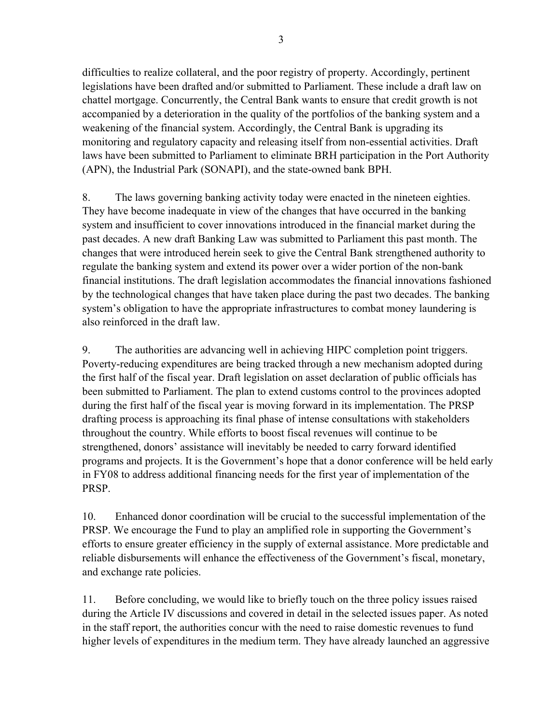difficulties to realize collateral, and the poor registry of property. Accordingly, pertinent legislations have been drafted and/or submitted to Parliament. These include a draft law on chattel mortgage. Concurrently, the Central Bank wants to ensure that credit growth is not accompanied by a deterioration in the quality of the portfolios of the banking system and a weakening of the financial system. Accordingly, the Central Bank is upgrading its monitoring and regulatory capacity and releasing itself from non-essential activities. Draft laws have been submitted to Parliament to eliminate BRH participation in the Port Authority (APN), the Industrial Park (SONAPI), and the state-owned bank BPH.

8. The laws governing banking activity today were enacted in the nineteen eighties. They have become inadequate in view of the changes that have occurred in the banking system and insufficient to cover innovations introduced in the financial market during the past decades. A new draft Banking Law was submitted to Parliament this past month. The changes that were introduced herein seek to give the Central Bank strengthened authority to regulate the banking system and extend its power over a wider portion of the non-bank financial institutions. The draft legislation accommodates the financial innovations fashioned by the technological changes that have taken place during the past two decades. The banking system's obligation to have the appropriate infrastructures to combat money laundering is also reinforced in the draft law.

9. The authorities are advancing well in achieving HIPC completion point triggers. Poverty-reducing expenditures are being tracked through a new mechanism adopted during the first half of the fiscal year. Draft legislation on asset declaration of public officials has been submitted to Parliament. The plan to extend customs control to the provinces adopted during the first half of the fiscal year is moving forward in its implementation. The PRSP drafting process is approaching its final phase of intense consultations with stakeholders throughout the country. While efforts to boost fiscal revenues will continue to be strengthened, donors' assistance will inevitably be needed to carry forward identified programs and projects. It is the Government's hope that a donor conference will be held early in FY08 to address additional financing needs for the first year of implementation of the PRSP.

10. Enhanced donor coordination will be crucial to the successful implementation of the PRSP. We encourage the Fund to play an amplified role in supporting the Government's efforts to ensure greater efficiency in the supply of external assistance. More predictable and reliable disbursements will enhance the effectiveness of the Government's fiscal, monetary, and exchange rate policies.

11. Before concluding, we would like to briefly touch on the three policy issues raised during the Article IV discussions and covered in detail in the selected issues paper. As noted in the staff report, the authorities concur with the need to raise domestic revenues to fund higher levels of expenditures in the medium term. They have already launched an aggressive